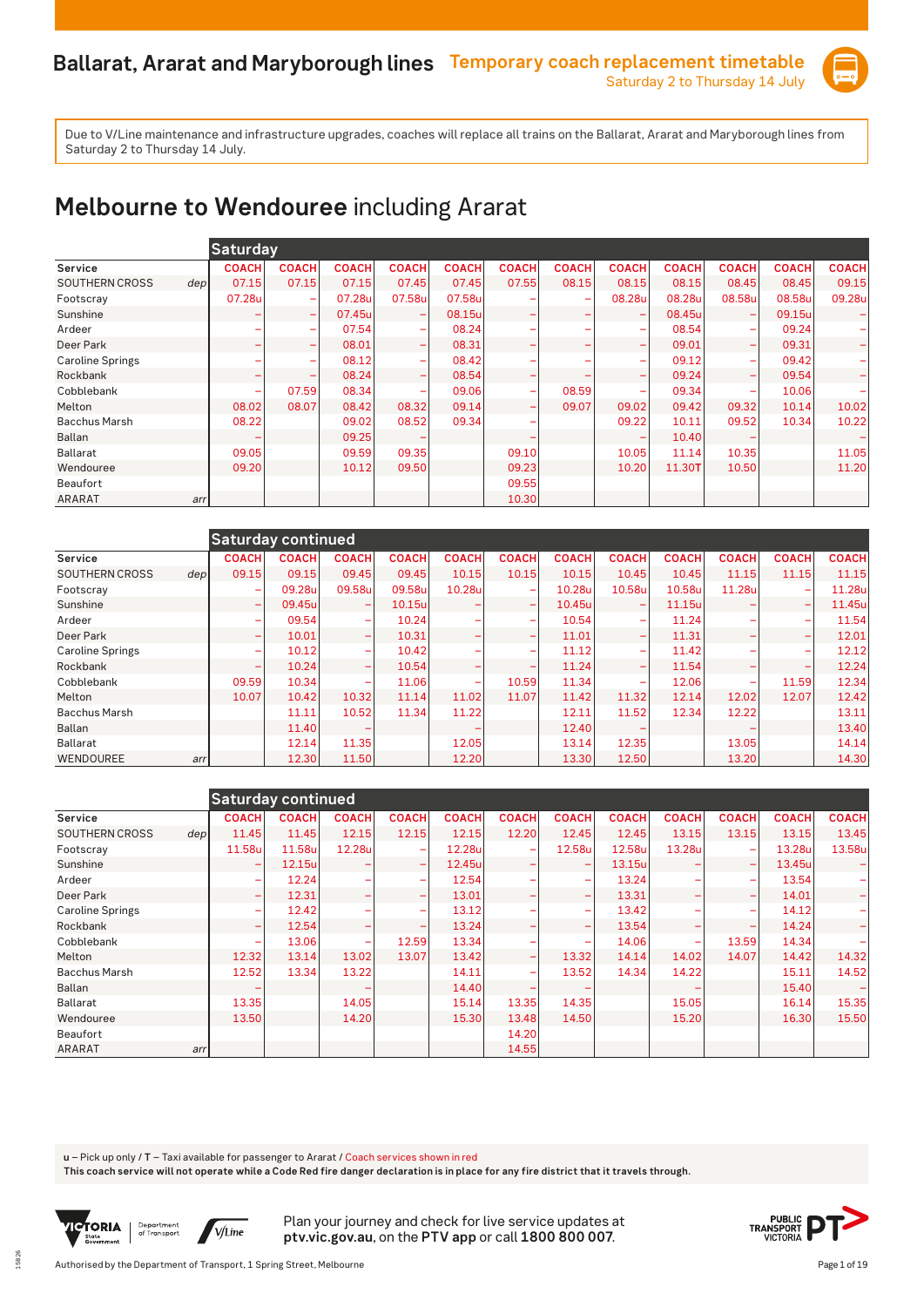

### **Melbourne to Wendouree** including Ararat

|                         | <b>Saturday</b>           |              |              |                              |              |              |                          |                          |              |                          |              |              |
|-------------------------|---------------------------|--------------|--------------|------------------------------|--------------|--------------|--------------------------|--------------------------|--------------|--------------------------|--------------|--------------|
| Service                 | <b>COACH</b>              | <b>COACH</b> | <b>COACH</b> | <b>COACH</b>                 | <b>COACH</b> | <b>COACH</b> | <b>COACH</b>             | <b>COACH</b>             | <b>COACH</b> | <b>COACH</b>             | <b>COACH</b> | <b>COACH</b> |
| <b>SOUTHERN CROSS</b>   | 07.15<br>dep <sub>l</sub> | 07.15        | 07.15        | 07.45                        | 07.45        | 07.55        | 08.15                    | 08.15                    | 08.15        | 08.45                    | 08.45        | 09.15        |
| Footscray               | 07.28u                    | ۰            | 07.28u       | 07.58u                       | 07.58u       |              | -                        | 08.28u                   | 08.28u       | 08.58u                   | 08.58u       | 09.28u       |
| Sunshine                | -                         | -            | 07.45u       |                              | 08.15u       |              | $\overline{\phantom{0}}$ |                          | 08.45u       | $\overline{\phantom{0}}$ | 09.15u       |              |
| Ardeer                  | ۰                         | ۰            | 07.54        | ۰                            | 08.24        |              |                          | -                        | 08.54        | ÷                        | 09.24        |              |
| Deer Park               | ۰                         | ۰            | 08.01        | ۰                            | 08.31        |              |                          |                          | 09.01        | -                        | 09.31        |              |
| <b>Caroline Springs</b> | ۰                         |              | 08.12        |                              | 08.42        |              |                          |                          | 09.12        |                          | 09.42        |              |
| Rockbank                | ۰                         | ۰            | 08.24        | $\qquad \qquad \blacksquare$ | 08.54        |              |                          | -                        | 09.24        | -                        | 09.54        |              |
| Cobblebank              | ۰                         | 07.59        | 08.34        | $\overline{\phantom{a}}$     | 09.06        |              | 08.59                    | $\overline{\phantom{0}}$ | 09.34        | ۰                        | 10.06        |              |
| Melton                  | 08.02                     | 08.07        | 08.42        | 08.32                        | 09.14        |              | 09.07                    | 09.02                    | 09.42        | 09.32                    | 10.14        | 10.02        |
| <b>Bacchus Marsh</b>    | 08.22                     |              | 09.02        | 08.52                        | 09.34        |              |                          | 09.22                    | 10.11        | 09.52                    | 10.34        | 10.22        |
| <b>Ballan</b>           |                           |              | 09.25        |                              |              |              |                          |                          | 10.40        |                          |              |              |
| <b>Ballarat</b>         | 09.05                     |              | 09.59        | 09.35                        |              | 09.10        |                          | 10.05                    | 11.14        | 10.35                    |              | 11.05        |
| Wendouree               | 09.20                     |              | 10.12        | 09.50                        |              | 09.23        |                          | 10.20                    | 11.30T       | 10.50                    |              | 11.20        |
| <b>Beaufort</b>         |                           |              |              |                              |              | 09.55        |                          |                          |              |                          |              |              |
| ARARAT                  | arr                       |              |              |                              |              | 10.30        |                          |                          |              |                          |              |              |

|                                           | <b>Saturday continued</b> |              |              |              |              |                          |              |                          |              |              |              |              |
|-------------------------------------------|---------------------------|--------------|--------------|--------------|--------------|--------------------------|--------------|--------------------------|--------------|--------------|--------------|--------------|
| Service                                   | <b>COACH</b>              | <b>COACH</b> | <b>COACH</b> | <b>COACH</b> | <b>COACH</b> | <b>COACH</b>             | <b>COACH</b> | <b>COACH</b>             | <b>COACH</b> | <b>COACH</b> | <b>COACH</b> | <b>COACH</b> |
| <b>SOUTHERN CROSS</b><br>dep <sub>l</sub> | 09.15                     | 09.15        | 09.45        | 09.45        | 10.15        | 10.15                    | 10.15        | 10.45                    | 10.45        | 11.15        | 11.15        | 11.15        |
| Footscray                                 | ۰                         | 09.28u       | 09.58u       | 09.58u       | 10.28u       | $\overline{\phantom{0}}$ | 10.28u       | 10.58u                   | 10.58u       | 11.28u       |              | 11.28u       |
| Sunshine                                  | $\overline{\phantom{0}}$  | 09.45u       | -            | 10.15u       |              | $\overline{\phantom{0}}$ | 10.45u       |                          | 11.15u       |              |              | 11.45u       |
| Ardeer                                    | -                         | 09.54        | -            | 10.24        |              | $\overline{\phantom{a}}$ | 10.54        | -                        | 11.24        | -            |              | 11.54        |
| Deer Park                                 | -                         | 10.01        | ÷            | 10.31        |              | $\overline{\phantom{0}}$ | 11.01        | $\overline{\phantom{a}}$ | 11.31        |              |              | 12.01        |
| <b>Caroline Springs</b>                   | -                         | 10.12        | -            | 10.42        |              | $\overline{\phantom{a}}$ | 11.12        | $\overline{\phantom{a}}$ | 11.42        | -            |              | 12.12        |
| Rockbank                                  | ۳                         | 10.24        | ÷            | 10.54        |              |                          | 11.24        | ÷                        | 11.54        |              |              | 12.24        |
| Cobblebank                                | 09.59                     | 10.34        | -            | 11.06        |              | 10.59                    | 11.34        | -                        | 12.06        | -            | 11.59        | 12.34        |
| Melton                                    | 10.07                     | 10.42        | 10.32        | 11.14        | 11.02        | 11.07                    | 11.42        | 11.32                    | 12.14        | 12.02        | 12.07        | 12.42        |
| <b>Bacchus Marsh</b>                      |                           | 11.11        | 10.52        | 11.34        | 11.22        |                          | 12.11        | 11.52                    | 12.34        | 12.22        |              | 13.11        |
| <b>Ballan</b>                             |                           | 11.40        |              |              |              |                          | 12.40        |                          |              |              |              | 13.40        |
| Ballarat                                  |                           | 12.14        | 11.35        |              | 12.05        |                          | 13.14        | 12.35                    |              | 13.05        |              | 14.14        |
| <b>WENDOUREE</b><br>arr                   |                           | 12.30        | 11.50        |              | 12.20        |                          | 13.30        | 12.50                    |              | 13.20        |              | 14.30        |

|                         |     |                 | <b>Saturday continued</b> |              |              |              |                          |                          |              |              |              |              |              |
|-------------------------|-----|-----------------|---------------------------|--------------|--------------|--------------|--------------------------|--------------------------|--------------|--------------|--------------|--------------|--------------|
| Service                 |     | <b>COACH</b>    | <b>COACH</b>              | <b>COACH</b> | <b>COACH</b> | <b>COACH</b> | <b>COACH</b>             | <b>COACH</b>             | <b>COACH</b> | <b>COACH</b> | <b>COACH</b> | <b>COACH</b> | <b>COACH</b> |
| <b>SOUTHERN CROSS</b>   | dep | 11.45           | 11.45                     | 12.15        | 12.15        | 12.15        | 12.20                    | 12.45                    | 12.45        | 13.15        | 13.15        | 13.15        | 13.45        |
| Footscray               |     | 11.58u          | 11.58u                    | 12.28u       |              | 12.28u       |                          | 12.58u                   | 12.58u       | 13.28u       | -            | 13.28u       | 13.58u       |
| Sunshine                |     |                 | 12.15u                    |              | -            | 12.45u       |                          |                          | 13.15u       |              | -            | 13.45u       |              |
| Ardeer                  |     | -               | 12.24                     |              |              | 12.54        |                          | $\overline{\phantom{a}}$ | 13.24        |              | -            | 13.54        |              |
| Deer Park               |     | -               | 12.31                     |              |              | 13.01        |                          |                          | 13.31        |              | -            | 14.01        |              |
| <b>Caroline Springs</b> |     |                 | 12.42                     |              |              | 13.12        |                          |                          | 13.42        |              | -            | 14.12        |              |
| Rockbank                |     | $\qquad \qquad$ | 12.54                     |              |              | 13.24        |                          | $\overline{\phantom{a}}$ | 13.54        |              | -            | 14.24        |              |
| Cobblebank              |     | ۰               | 13.06                     | ۰            | 12.59        | 13.34        |                          | $\overline{\phantom{0}}$ | 14.06        | -            | 13.59        | 14.34        |              |
| Melton                  |     | 12.32           | 13.14                     | 13.02        | 13.07        | 13.42        | $\overline{\phantom{0}}$ | 13.32                    | 14.14        | 14.02        | 14.07        | 14.42        | 14.32        |
| <b>Bacchus Marsh</b>    |     | 12.52           | 13.34                     | 13.22        |              | 14.11        |                          | 13.52                    | 14.34        | 14.22        |              | 15.11        | 14.52        |
| Ballan                  |     |                 |                           |              |              | 14.40        |                          |                          |              |              |              | 15.40        |              |
| <b>Ballarat</b>         |     | 13.35           |                           | 14.05        |              | 15.14        | 13.35                    | 14.35                    |              | 15.05        |              | 16.14        | 15.35        |
| Wendouree               |     | 13.50           |                           | 14.20        |              | 15.30        | 13.48                    | 14.50                    |              | 15.20        |              | 16.30        | 15.50        |
| Beaufort                |     |                 |                           |              |              |              | 14.20                    |                          |              |              |              |              |              |
| ARARAT                  | arr |                 |                           |              |              |              | 14.55                    |                          |              |              |              |              |              |

**u** – Pick up only / **T** – Taxi available for passenger to Ararat / Coach services shown in red

**This coach service will not operate while a Code Red fire danger declaration is in place for any fire district that it travels through.**



15826

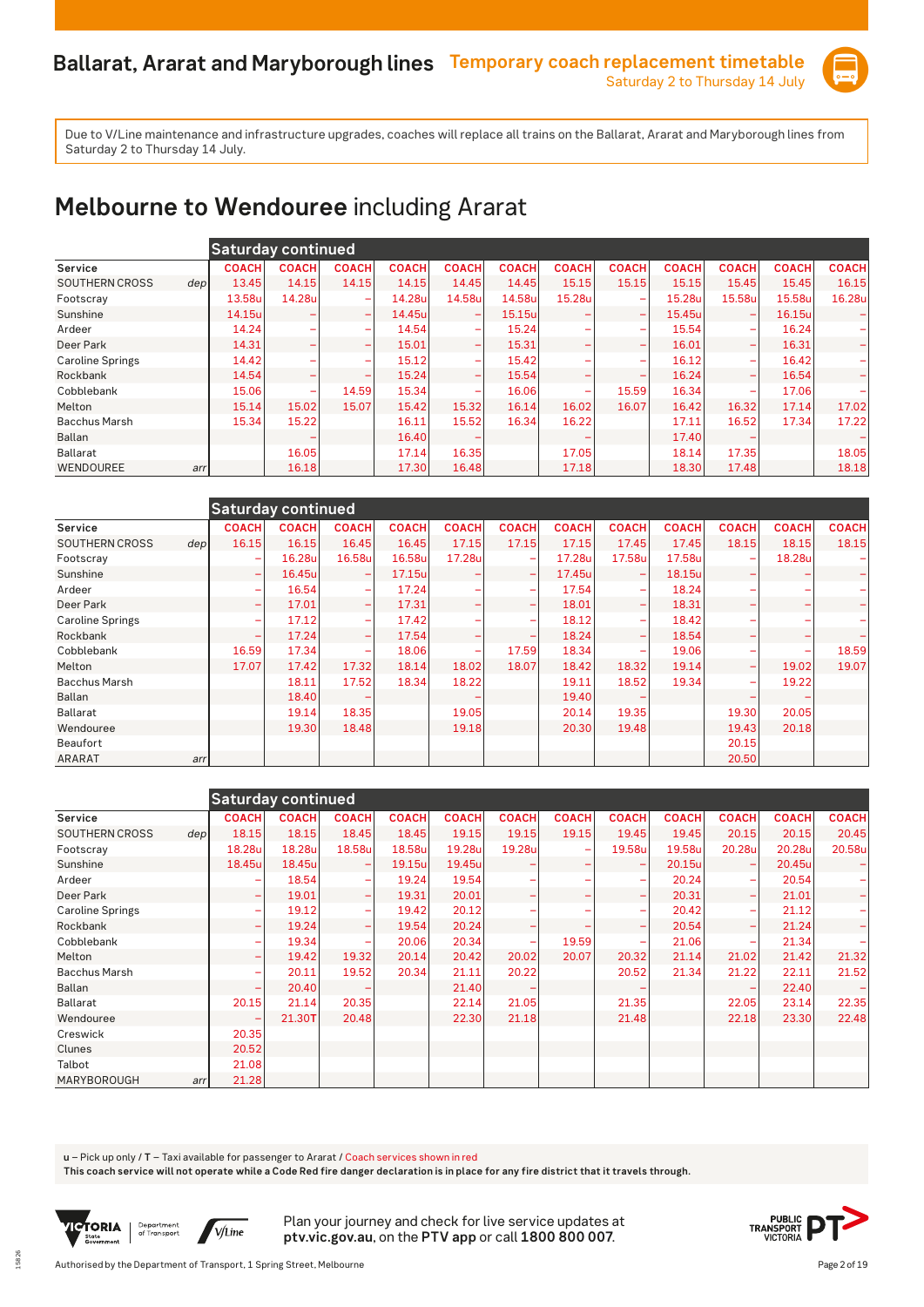

### **Melbourne to Wendouree** including Ararat

|                               |              | <b>Saturday continued</b> |                          |              |                          |              |              |                          |              |                          |              |              |
|-------------------------------|--------------|---------------------------|--------------------------|--------------|--------------------------|--------------|--------------|--------------------------|--------------|--------------------------|--------------|--------------|
| Service                       | <b>COACH</b> | <b>COACH</b>              | <b>COACH</b>             | <b>COACH</b> | <b>COACH</b>             | <b>COACH</b> | <b>COACH</b> | <b>COACH</b>             | <b>COACH</b> | <b>COACH</b>             | <b>COACH</b> | <b>COACH</b> |
| <b>SOUTHERN CROSS</b><br>depl | 13.45        | 14.15                     | 14.15                    | 14.15        | 14.45                    | 14.45        | 15.15        | 15.15                    | 15.15        | 15.45                    | 15.45        | 16.15        |
| Footscray                     | 13.58u       | 14.28u                    | $\overline{\phantom{0}}$ | 14.28u       | 14.58u                   | 14.58u       | 15.28u       | $\overline{\phantom{0}}$ | 15.28u       | 15.58u                   | 15.58u       | 16.28u       |
| Sunshine                      | 14.15u       |                           | $\overline{\phantom{0}}$ | 14.45u       |                          | 15.15u       |              |                          | 15.45u       |                          | 16.15u       |              |
| Ardeer                        | 14.24        |                           | $\overline{\phantom{a}}$ | 14.54        | $\overline{\phantom{0}}$ | 15.24        |              | -                        | 15.54        | $\overline{\phantom{0}}$ | 16.24        |              |
| Deer Park                     | 14.31        |                           | $\overline{\phantom{a}}$ | 15.01        | $\overline{\phantom{0}}$ | 15.31        |              | ÷                        | 16.01        | -                        | 16.31        |              |
| <b>Caroline Springs</b>       | 14.42        |                           | -                        | 15.12        | $\overline{\phantom{0}}$ | 15.42        |              | -                        | 16.12        | -                        | 16.42        |              |
| Rockbank                      | 14.54        |                           | $\overline{\phantom{0}}$ | 15.24        | $\overline{\phantom{a}}$ | 15.54        |              | -                        | 16.24        | $\overline{\phantom{0}}$ | 16.54        |              |
| Cobblebank                    | 15.06        | $\overline{\phantom{0}}$  | 14.59                    | 15.34        |                          | 16.06        |              | 15.59                    | 16.34        | -                        | 17.06        |              |
| Melton                        | 15.14        | 15.02                     | 15.07                    | 15.42        | 15.32                    | 16.14        | 16.02        | 16.07                    | 16.42        | 16.32                    | 17.14        | 17.02        |
| <b>Bacchus Marsh</b>          | 15.34        | 15.22                     |                          | 16.11        | 15.52                    | 16.34        | 16.22        |                          | 17.11        | 16.52                    | 17.34        | 17.22        |
| Ballan                        |              |                           |                          | 16.40        |                          |              |              |                          | 17.40        |                          |              |              |
| <b>Ballarat</b>               |              | 16.05                     |                          | 17.14        | 16.35                    |              | 17.05        |                          | 18.14        | 17.35                    |              | 18.05        |
| WENDOUREE                     | arr          | 16.18                     |                          | 17.30        | 16.48                    |              | 17.18        |                          | 18.30        | 17.48                    |              | 18.18        |

|                         |                  | <b>Saturday continued</b> |              |                          |              |              |                          |              |                          |              |              |              |              |
|-------------------------|------------------|---------------------------|--------------|--------------------------|--------------|--------------|--------------------------|--------------|--------------------------|--------------|--------------|--------------|--------------|
| Service                 |                  | <b>COACH</b>              | <b>COACH</b> | <b>COACH</b>             | <b>COACH</b> | <b>COACH</b> | <b>COACH</b>             | <b>COACH</b> | <b>COACH</b>             | <b>COACH</b> | <b>COACH</b> | <b>COACH</b> | <b>COACH</b> |
| <b>SOUTHERN CROSS</b>   | dep <sub>l</sub> | 16.15                     | 16.15        | 16.45                    | 16.45        | 17.15        | 17.15                    | 17.15        | 17.45                    | 17.45        | 18.15        | 18.15        | 18.15        |
| Footscray               |                  | ۰                         | 16.28u       | 16.58u                   | 16.58u       | 17.28u       | $\overline{\phantom{a}}$ | 17.28u       | 17.58u                   | 17.58u       |              | 18.28u       |              |
| Sunshine                |                  | ۰                         | 16.45u       | $\overline{\phantom{0}}$ | 17.15u       |              | $\overline{\phantom{0}}$ | 17.45u       |                          | 18.15u       |              |              | -            |
| Ardeer                  |                  | ۰                         | 16.54        | $\overline{\phantom{m}}$ | 17.24        |              | $\overline{\phantom{a}}$ | 17.54        | $\overline{\phantom{0}}$ | 18.24        |              |              | ۰            |
| Deer Park               |                  | ÷                         | 17.01        | -                        | 17.31        |              | $\overline{\phantom{0}}$ | 18.01        | $\overline{\phantom{0}}$ | 18.31        |              |              | -            |
| <b>Caroline Springs</b> |                  | ۰                         | 17.12        | $\overline{\phantom{0}}$ | 17.42        |              |                          | 18.12        |                          | 18.42        |              |              |              |
| Rockbank                |                  | ۰                         | 17.24        | $\overline{\phantom{0}}$ | 17.54        |              |                          | 18.24        | $\overline{\phantom{0}}$ | 18.54        |              |              |              |
| Cobblebank              |                  | 16.59                     | 17.34        | ۰                        | 18.06        | <b>-</b>     | 17.59                    | 18.34        | $\overline{\phantom{a}}$ | 19.06        |              |              | 18.59        |
| Melton                  |                  | 17.07                     | 17.42        | 17.32                    | 18.14        | 18.02        | 18.07                    | 18.42        | 18.32                    | 19.14        | -            | 19.02        | 19.07        |
| <b>Bacchus Marsh</b>    |                  |                           | 18.11        | 17.52                    | 18.34        | 18.22        |                          | 19.11        | 18.52                    | 19.34        | -            | 19.22        |              |
| Ballan                  |                  |                           | 18.40        |                          |              |              |                          | 19.40        |                          |              |              |              |              |
| Ballarat                |                  |                           | 19.14        | 18.35                    |              | 19.05        |                          | 20.14        | 19.35                    |              | 19.30        | 20.05        |              |
| Wendouree               |                  |                           | 19.30        | 18.48                    |              | 19.18        |                          | 20.30        | 19.48                    |              | 19.43        | 20.18        |              |
| Beaufort                |                  |                           |              |                          |              |              |                          |              |                          |              | 20.15        |              |              |
| <b>ARARAT</b>           | arr              |                           |              |                          |              |              |                          |              |                          |              | 20.50        |              |              |

|                         |      | <b>Saturday continued</b>    |              |                              |              |              |              |              |                          |              |              |              |              |
|-------------------------|------|------------------------------|--------------|------------------------------|--------------|--------------|--------------|--------------|--------------------------|--------------|--------------|--------------|--------------|
| Service                 |      | <b>COACH</b>                 | <b>COACH</b> | <b>COACH</b>                 | <b>COACH</b> | <b>COACH</b> | <b>COACH</b> | <b>COACH</b> | <b>COACH</b>             | <b>COACH</b> | <b>COACH</b> | <b>COACH</b> | <b>COACH</b> |
| <b>SOUTHERN CROSS</b>   | depl | 18.15                        | 18.15        | 18.45                        | 18.45        | 19.15        | 19.15        | 19.15        | 19.45                    | 19.45        | 20.15        | 20.15        | 20.45        |
| Footscray               |      | 18.28u                       | 18.28u       | 18.58u                       | 18.58u       | 19.28u       | 19.28u       |              | 19.58u                   | 19.58u       | 20.28u       | 20.28u       | 20.58u       |
| Sunshine                |      | 18.45u                       | 18.45u       |                              | 19.15u       | 19.45u       |              |              |                          | 20.15u       | -            | 20.45u       |              |
| Ardeer                  |      |                              | 18.54        | $\overline{\phantom{a}}$     | 19.24        | 19.54        |              |              | $\overline{\phantom{a}}$ | 20.24        | -            | 20.54        |              |
| Deer Park               |      | ۰                            | 19.01        | $\qquad \qquad \blacksquare$ | 19.31        | 20.01        |              |              | $\overline{\phantom{0}}$ | 20.31        | -            | 21.01        |              |
| <b>Caroline Springs</b> |      | ۰                            | 19.12        | ۰                            | 19.42        | 20.12        |              |              | $\overline{\phantom{0}}$ | 20.42        | -            | 21.12        |              |
| Rockbank                |      | $\qquad \qquad \blacksquare$ | 19.24        | $\overline{\phantom{0}}$     | 19.54        | 20.24        |              |              | -                        | 20.54        | -            | 21.24        |              |
| Cobblebank              |      |                              | 19.34        |                              | 20.06        | 20.34        |              | 19.59        |                          | 21.06        |              | 21.34        |              |
| Melton                  |      | $\overline{\phantom{0}}$     | 19.42        | 19.32                        | 20.14        | 20.42        | 20.02        | 20.07        | 20.32                    | 21.14        | 21.02        | 21.42        | 21.32        |
| <b>Bacchus Marsh</b>    |      |                              | 20.11        | 19.52                        | 20.34        | 21.11        | 20.22        |              | 20.52                    | 21.34        | 21.22        | 22.11        | 21.52        |
| Ballan                  |      |                              | 20.40        |                              |              | 21.40        |              |              |                          |              |              | 22.40        |              |
| <b>Ballarat</b>         |      | 20.15                        | 21.14        | 20.35                        |              | 22.14        | 21.05        |              | 21.35                    |              | 22.05        | 23.14        | 22.35        |
| Wendouree               |      |                              | 21.30T       | 20.48                        |              | 22.30        | 21.18        |              | 21.48                    |              | 22.18        | 23.30        | 22.48        |
| Creswick                |      | 20.35                        |              |                              |              |              |              |              |                          |              |              |              |              |
| Clunes                  |      | 20.52                        |              |                              |              |              |              |              |                          |              |              |              |              |
| Talbot                  |      | 21.08                        |              |                              |              |              |              |              |                          |              |              |              |              |
| MARYBOROUGH             | arr  | 21.28                        |              |                              |              |              |              |              |                          |              |              |              |              |

**u** – Pick up only / **T** – Taxi available for passenger to Ararat / Coach services shown in red

**This coach service will not operate while a Code Red fire danger declaration is in place for any fire district that it travels through.**



15826

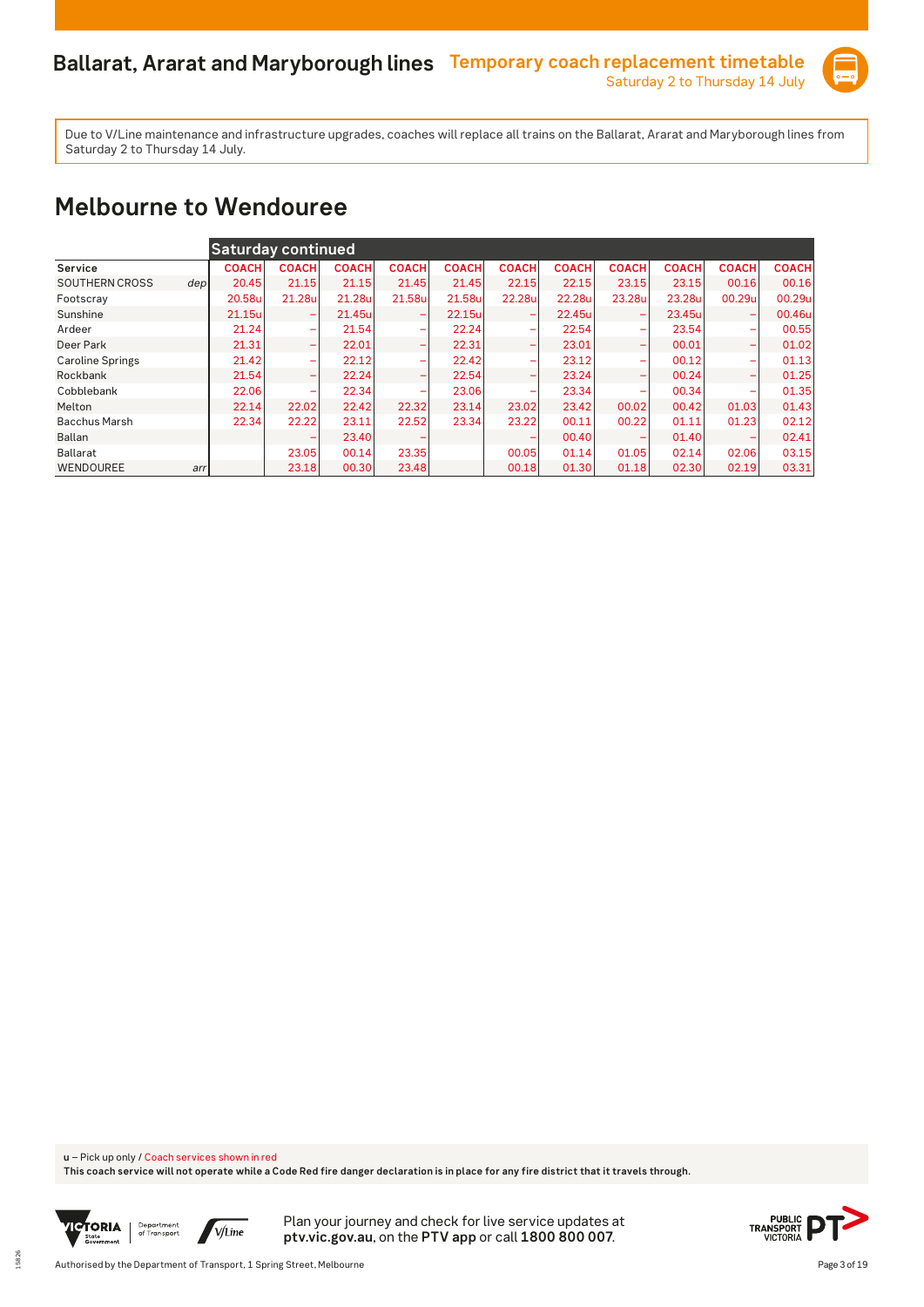

#### **Melbourne to Wendouree**

|                         |      | Saturday continued |                          |              |              |              |              |              |                          |              |                          |              |
|-------------------------|------|--------------------|--------------------------|--------------|--------------|--------------|--------------|--------------|--------------------------|--------------|--------------------------|--------------|
| Service                 |      | <b>COACH</b>       | <b>COACH</b>             | <b>COACH</b> | <b>COACH</b> | <b>COACH</b> | <b>COACH</b> | <b>COACH</b> | <b>COACH</b>             | <b>COACH</b> | <b>COACH</b>             | <b>COACH</b> |
| <b>SOUTHERN CROSS</b>   | depl | 20.45              | 21.15                    | 21.15        | 21.45        | 21.45        | 22.15        | 22.15        | 23.15                    | 23.15        | 00.16                    | 00.16        |
| Footscray               |      | 20.58u             | 21.28u                   | 21.28u       | 21.58u       | 21.58u       | 22.28u       | 22.28u       | 23.28u                   | 23.28u       | 00.29u                   | 00.29u       |
| Sunshine                |      | 21.15u             | -                        | 21.45u       |              | 22.15u       |              | 22.45u       |                          | 23.45ul      | -                        | 00.46u       |
| Ardeer                  |      | 21.24              | $\overline{\phantom{a}}$ | 21.54        | -            | 22.24        |              | 22.54        | -                        | 23.54        | ۰                        | 00.55        |
| Deer Park               |      | 21.31              | -                        | 22.01        | -            | 22.31        | -            | 23.01        | $\overline{\phantom{0}}$ | 00.01        | ۰                        | 01.02        |
| <b>Caroline Springs</b> |      | 21.42              | ۰                        | 22.12        | -            | 22.42        | -            | 23.12        | -                        | 00.12        | -                        | 01.13        |
| Rockbank                |      | 21.54              | $\overline{\phantom{0}}$ | 22.24        | -            | 22.54        | -            | 23.24        | -                        | 00.24        | $\overline{\phantom{0}}$ | 01.25        |
| Cobblebank              |      | 22.06              | ۰                        | 22.34        |              | 23.06        |              | 23.34        |                          | 00.34        | ۰                        | 01.35        |
| Melton                  |      | 22.14              | 22.02                    | 22.42        | 22.32        | 23.14        | 23.02        | 23.42        | 00.02                    | 00.42        | 01.03                    | 01.43        |
| <b>Bacchus Marsh</b>    |      | 22.34              | 22.22                    | 23.11        | 22.52        | 23.34        | 23.22        | 00.11        | 00.22                    | 01.11        | 01.23                    | 02.12        |
| Ballan                  |      |                    | -                        | 23.40        |              |              |              | 00.40        |                          | 01.40        | -                        | 02.41        |
| <b>Ballarat</b>         |      |                    | 23.05                    | 00.14        | 23.35        |              | 00.05        | 01.14        | 01.05                    | 02.14        | 02.06                    | 03.15        |
| WENDOUREE               | arr  |                    | 23.18                    | 00.30        | 23.48        |              | 00.18        | 01.30        | 01.18                    | 02.30        | 02.19                    | 03.31        |

**u** – Pick up only / Coach services shown in red

**This coach service will not operate while a Code Red fire danger declaration is in place for any fire district that it travels through.**



15826

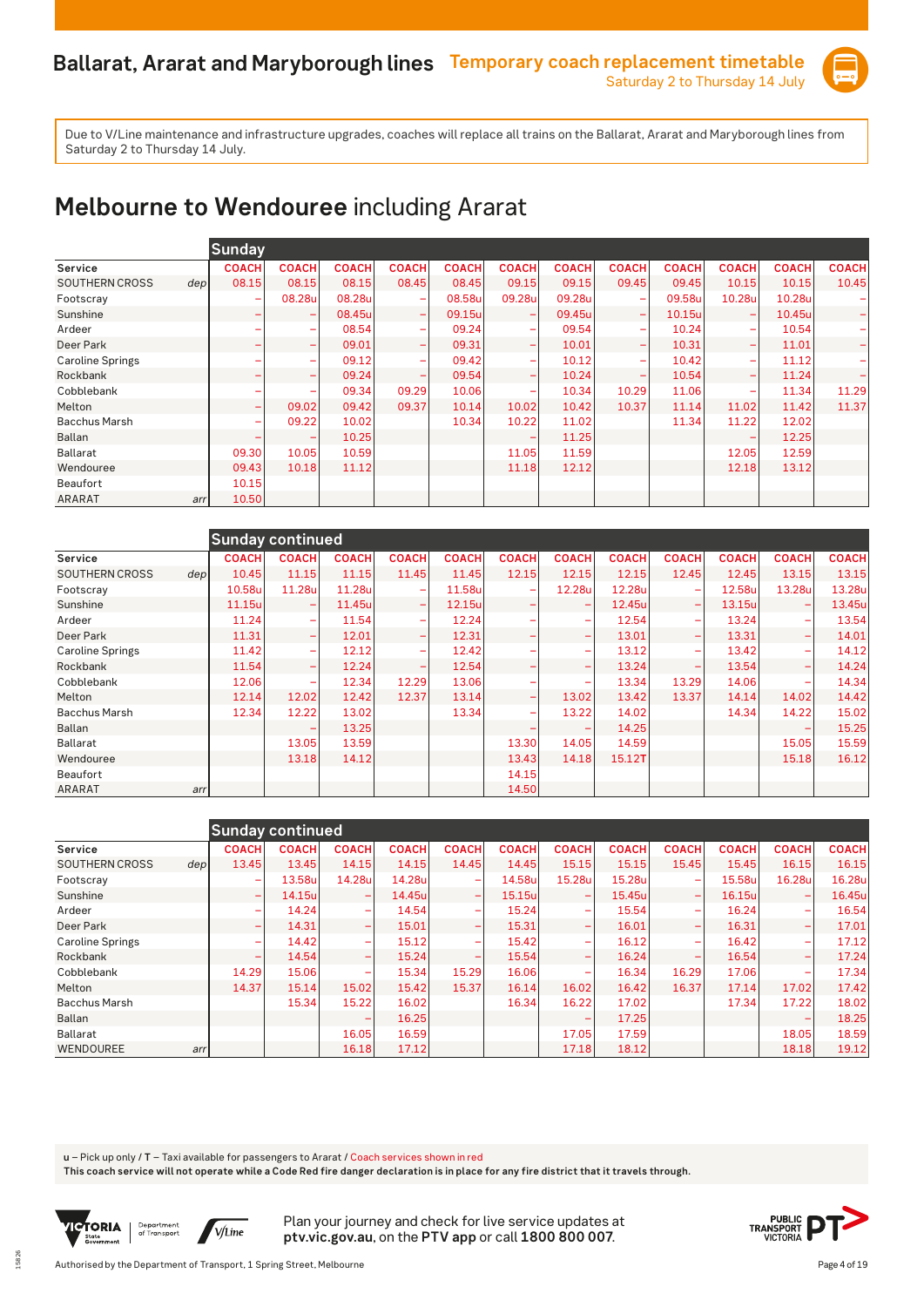

# **Melbourne to Wendouree** including Ararat

|                                           | Sunday       |              |              |                          |              |                          |              |                          |              |              |              |              |
|-------------------------------------------|--------------|--------------|--------------|--------------------------|--------------|--------------------------|--------------|--------------------------|--------------|--------------|--------------|--------------|
| Service                                   | <b>COACH</b> | <b>COACH</b> | <b>COACH</b> | <b>COACH</b>             | <b>COACH</b> | <b>COACH</b>             | <b>COACH</b> | <b>COACH</b>             | <b>COACH</b> | <b>COACH</b> | <b>COACH</b> | <b>COACH</b> |
| <b>SOUTHERN CROSS</b><br>dep <sub>l</sub> | 08.15        | 08.15        | 08.15        | 08.45                    | 08.45        | 09.15                    | 09.15        | 09.45                    | 09.45        | 10.15        | 10.15        | 10.45        |
| Footscray                                 | ۰            | 08.28u       | 08.28u       | $\overline{\phantom{0}}$ | 08.58u       | 09.28u                   | 09.28u       | $\overline{\phantom{a}}$ | 09.58u       | 10.28u       | 10.28u       |              |
| Sunshine                                  | ۰            | ۰            | 08.45u       | $\overline{\phantom{0}}$ | 09.15u       | $\overline{\phantom{0}}$ | 09.45u       | $\overline{\phantom{0}}$ | 10.15u       |              | 10.45u       |              |
| Ardeer                                    |              | ۰            | 08.54        |                          | 09.24        | $\overline{\phantom{a}}$ | 09.54        |                          | 10.24        | ÷            | 10.54        |              |
| Deer Park                                 | ۰            | ۰            | 09.01        |                          | 09.31        | $\overline{\phantom{0}}$ | 10.01        | $\overline{\phantom{0}}$ | 10.31        | -            | 11.01        |              |
| <b>Caroline Springs</b>                   |              | ۰            | 09.12        |                          | 09.42        | $\overline{\phantom{a}}$ | 10.12        | -                        | 10.42        | ÷            | 11.12        |              |
| Rockbank                                  |              | -            | 09.24        |                          | 09.54        | -                        | 10.24        | -                        | 10.54        | -            | 11.24        |              |
| Cobblebank                                |              | ۰            | 09.34        | 09.29                    | 10.06        | -                        | 10.34        | 10.29                    | 11.06        | ÷            | 11.34        | 11.29        |
| Melton                                    | -            | 09.02        | 09.42        | 09.37                    | 10.14        | 10.02                    | 10.42        | 10.37                    | 11.14        | 11.02        | 11.42        | 11.37        |
| <b>Bacchus Marsh</b>                      | ۰            | 09.22        | 10.02        |                          | 10.34        | 10.22                    | 11.02        |                          | 11.34        | 11.22        | 12.02        |              |
| <b>Ballan</b>                             |              |              | 10.25        |                          |              |                          | 11.25        |                          |              |              | 12.25        |              |
| <b>Ballarat</b>                           | 09.30        | 10.05        | 10.59        |                          |              | 11.05                    | 11.59        |                          |              | 12.05        | 12.59        |              |
| Wendouree                                 | 09.43        | 10.18        | 11.12        |                          |              | 11.18                    | 12.12        |                          |              | 12.18        | 13.12        |              |
| Beaufort                                  | 10.15        |              |              |                          |              |                          |              |                          |              |              |              |              |
| <b>ARARAT</b><br>arr                      | 10.50        |              |              |                          |              |                          |              |                          |              |              |              |              |

|                         |                           | <b>Sunday continued</b>  |              |                              |              |                          |                          |              |              |              |              |              |
|-------------------------|---------------------------|--------------------------|--------------|------------------------------|--------------|--------------------------|--------------------------|--------------|--------------|--------------|--------------|--------------|
| Service                 | <b>COACH</b>              | <b>COACH</b>             | <b>COACH</b> | <b>COACH</b>                 | <b>COACH</b> | <b>COACH</b>             | <b>COACH</b>             | <b>COACH</b> | <b>COACH</b> | <b>COACH</b> | <b>COACH</b> | <b>COACH</b> |
| <b>SOUTHERN CROSS</b>   | 10.45<br>dep <sub>l</sub> | 11.15                    | 11.15        | 11.45                        | 11.45        | 12.15                    | 12.15                    | 12.15        | 12.45        | 12.45        | 13.15        | 13.15        |
| Footscray               | 10.58u                    | 11.28u                   | 11.28u       | $\overline{\phantom{a}}$     | 11.58u       | $\overline{\phantom{a}}$ | 12.28u                   | 12.28u       |              | 12.58u       | 13.28u       | 13.28u       |
| Sunshine                | 11.15u                    | ۰                        | 11.45u       | $\overline{\phantom{m}}$     | 12.15u       |                          | $\overline{\phantom{0}}$ | 12.45u       |              | 13.15u       |              | 13.45u       |
| Ardeer                  | 11.24                     | $\overline{\phantom{0}}$ | 11.54        | $\overline{\phantom{a}}$     | 12.24        |                          | $\overline{\phantom{a}}$ | 12.54        |              | 13.24        |              | 13.54        |
| Deer Park               | 11.31                     | -                        | 12.01        | ۰                            | 12.31        |                          | $\overline{\phantom{0}}$ | 13.01        |              | 13.31        |              | 14.01        |
| <b>Caroline Springs</b> | 11.42                     |                          | 12.12        |                              | 12.42        |                          | ۰                        | 13.12        |              | 13.42        |              | 14.12        |
| Rockbank                | 11.54                     | -                        | 12.24        | $\qquad \qquad \blacksquare$ | 12.54        |                          | -                        | 13.24        |              | 13.54        |              | 14.24        |
| Cobblebank              | 12.06                     | -                        | 12.34        | 12.29                        | 13.06        |                          | $\overline{\phantom{0}}$ | 13.34        | 13.29        | 14.06        |              | 14.34        |
| Melton                  | 12.14                     | 12.02                    | 12.42        | 12.37                        | 13.14        | $\overline{\phantom{0}}$ | 13.02                    | 13.42        | 13.37        | 14.14        | 14.02        | 14.42        |
| <b>Bacchus Marsh</b>    | 12.34                     | 12.22                    | 13.02        |                              | 13.34        |                          | 13.22                    | 14.02        |              | 14.34        | 14.22        | 15.02        |
| <b>Ballan</b>           |                           |                          | 13.25        |                              |              |                          |                          | 14.25        |              |              |              | 15.25        |
| <b>Ballarat</b>         |                           | 13.05                    | 13.59        |                              |              | 13.30                    | 14.05                    | 14.59        |              |              | 15.05        | 15.59        |
| Wendouree               |                           | 13.18                    | 14.12        |                              |              | 13.43                    | 14.18                    | 15.12T       |              |              | 15.18        | 16.12        |
| Beaufort                |                           |                          |              |                              |              | 14.15                    |                          |              |              |              |              |              |
| <b>ARARAT</b>           | arr                       |                          |              |                              |              | 14.50                    |                          |              |              |              |              |              |

|                         |                  |                              | Sunday continued |                          |              |                          |              |                          |              |                          |              |              |              |
|-------------------------|------------------|------------------------------|------------------|--------------------------|--------------|--------------------------|--------------|--------------------------|--------------|--------------------------|--------------|--------------|--------------|
| Service                 |                  | <b>COACH</b>                 | <b>COACH</b>     | <b>COACH</b>             | <b>COACH</b> | <b>COACH</b>             | <b>COACH</b> | <b>COACH</b>             | <b>COACH</b> | <b>COACH</b>             | <b>COACH</b> | <b>COACH</b> | <b>COACH</b> |
| <b>SOUTHERN CROSS</b>   | dep <sub>l</sub> | 13.45                        | 13.45            | 14.15                    | 14.15        | 14.45                    | 14.45        | 15.15                    | 15.15        | 15.45                    | 15.45        | 16.15        | 16.15        |
| Footscray               |                  |                              | 13.58u           | 14.28u                   | 14.28u       | -                        | 14.58u       | 15.28u                   | 15.28u       |                          | 15.58u       | 16.28u       | 16.28u       |
| Sunshine                |                  | $\qquad \qquad \blacksquare$ | 14.15u           | $\overline{\phantom{0}}$ | 14.45u       | -                        | 15.15u       | $\overline{\phantom{0}}$ | 15.45u       | -                        | 16.15u       | -            | 16.45u       |
| Ardeer                  |                  | -                            | 14.24            | $\overline{\phantom{a}}$ | 14.54        | $\overline{\phantom{0}}$ | 15.24        | $\overline{\phantom{a}}$ | 15.54        | -                        | 16.24        |              | 16.54        |
| Deer Park               |                  |                              | 14.31            | $\overline{\phantom{0}}$ | 15.01        | $\overline{\phantom{0}}$ | 15.31        |                          | 16.01        |                          | 16.31        |              | 17.01        |
| <b>Caroline Springs</b> |                  | ۰                            | 14.42            | $\overline{\phantom{0}}$ | 15.12        | $\overline{\phantom{a}}$ | 15.42        | $\overline{\phantom{0}}$ | 16.12        | $\overline{\phantom{0}}$ | 16.42        |              | 17.12        |
| Rockbank                |                  |                              | 14.54            | $\overline{\phantom{m}}$ | 15.24        | $\equiv$                 | 15.54        | $\overline{\phantom{a}}$ | 16.24        |                          | 16.54        | -            | 17.24        |
| Cobblebank              |                  | 14.29                        | 15.06            |                          | 15.34        | 15.29                    | 16.06        |                          | 16.34        | 16.29                    | 17.06        |              | 17.34        |
| Melton                  |                  | 14.37                        | 15.14            | 15.02                    | 15.42        | 15.37                    | 16.14        | 16.02                    | 16.42        | 16.37                    | 17.14        | 17.02        | 17.42        |
| <b>Bacchus Marsh</b>    |                  |                              | 15.34            | 15.22                    | 16.02        |                          | 16.34        | 16.22                    | 17.02        |                          | 17.34        | 17.22        | 18.02        |
| Ballan                  |                  |                              |                  | $\overline{\phantom{0}}$ | 16.25        |                          |              |                          | 17.25        |                          |              |              | 18.25        |
| Ballarat                |                  |                              |                  | 16.05                    | 16.59        |                          |              | 17.05                    | 17.59        |                          |              | 18.05        | 18.59        |
| WENDOUREE               | arr              |                              |                  | 16.18                    | 17.12        |                          |              | 17.18                    | 18.12        |                          |              | 18.18        | 19.12        |

**u** – Pick up only / **T** – Taxi available for passengers to Ararat / Coach services shown in red

**This coach service will not operate while a Code Red fire danger declaration is in place for any fire district that it travels through.**



15826

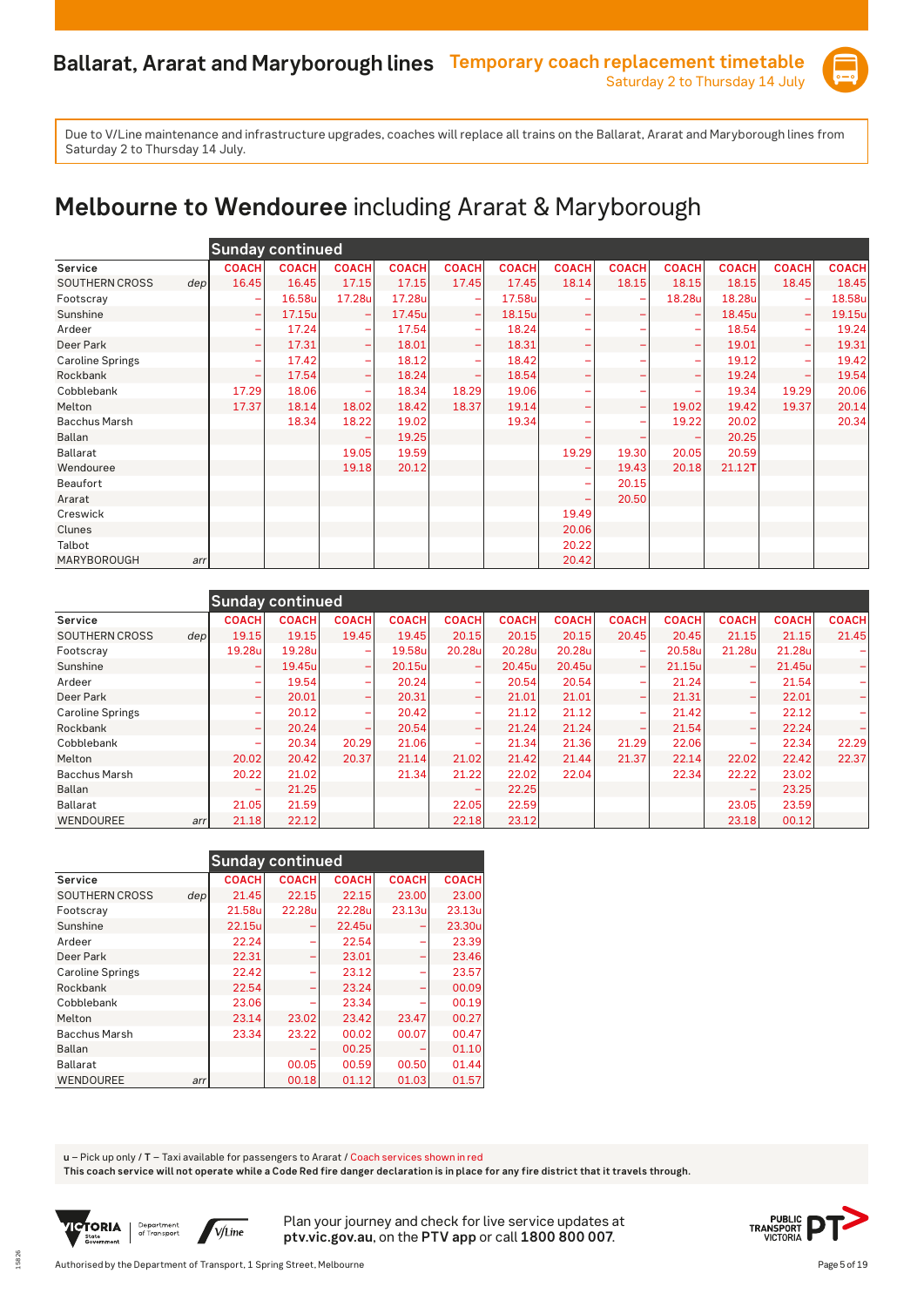

# **Melbourne to Wendouree** including Ararat & Maryborough

|                         |                  |              | <b>Sunday continued</b> |                          |              |                          |              |                          |              |              |              |              |              |
|-------------------------|------------------|--------------|-------------------------|--------------------------|--------------|--------------------------|--------------|--------------------------|--------------|--------------|--------------|--------------|--------------|
| Service                 |                  | <b>COACH</b> | <b>COACH</b>            | <b>COACH</b>             | <b>COACH</b> | <b>COACH</b>             | <b>COACH</b> | <b>COACH</b>             | <b>COACH</b> | <b>COACH</b> | <b>COACH</b> | <b>COACH</b> | <b>COACH</b> |
| <b>SOUTHERN CROSS</b>   | dep <sub>l</sub> | 16.45        | 16.45                   | 17.15                    | 17.15        | 17.45                    | 17.45        | 18.14                    | 18.15        | 18.15        | 18.15        | 18.45        | 18.45        |
| Footscray               |                  | ۰            | 16.58u                  | 17.28u                   | 17.28u       |                          | 17.58u       |                          |              | 18.28u       | 18.28u       |              | 18.58u       |
| Sunshine                |                  | ÷            | 17.15u                  | ÷                        | 17.45u       | $\overline{\phantom{a}}$ | 18.15u       |                          |              |              | 18.45u       | ۳            | 19.15u       |
| Ardeer                  |                  | -            | 17.24                   | $\overline{\phantom{0}}$ | 17.54        |                          | 18.24        |                          |              |              | 18.54        |              | 19.24        |
| Deer Park               |                  | ۰            | 17.31                   | $\qquad \qquad -$        | 18.01        | $\overline{\phantom{m}}$ | 18.31        |                          |              |              | 19.01        |              | 19.31        |
| <b>Caroline Springs</b> |                  | -            | 17.42                   | $\overline{\phantom{0}}$ | 18.12        |                          | 18.42        |                          |              |              | 19.12        |              | 19.42        |
| Rockbank                |                  | ۰            | 17.54                   | $\overline{\phantom{m}}$ | 18.24        |                          | 18.54        |                          |              |              | 19.24        |              | 19.54        |
| Cobblebank              |                  | 17.29        | 18.06                   |                          | 18.34        | 18.29                    | 19.06        |                          |              |              | 19.34        | 19.29        | 20.06        |
| Melton                  |                  | 17.37        | 18.14                   | 18.02                    | 18.42        | 18.37                    | 19.14        |                          | -            | 19.02        | 19.42        | 19.37        | 20.14        |
| <b>Bacchus Marsh</b>    |                  |              | 18.34                   | 18.22                    | 19.02        |                          | 19.34        |                          | ۰            | 19.22        | 20.02        |              | 20.34        |
| Ballan                  |                  |              |                         |                          | 19.25        |                          |              |                          | -            |              | 20.25        |              |              |
| <b>Ballarat</b>         |                  |              |                         | 19.05                    | 19.59        |                          |              | 19.29                    | 19.30        | 20.05        | 20.59        |              |              |
| Wendouree               |                  |              |                         | 19.18                    | 20.12        |                          |              |                          | 19.43        | 20.18        | 21.12T       |              |              |
| <b>Beaufort</b>         |                  |              |                         |                          |              |                          |              |                          | 20.15        |              |              |              |              |
| Ararat                  |                  |              |                         |                          |              |                          |              | $\overline{\phantom{0}}$ | 20.50        |              |              |              |              |
| Creswick                |                  |              |                         |                          |              |                          |              | 19.49                    |              |              |              |              |              |
| Clunes                  |                  |              |                         |                          |              |                          |              | 20.06                    |              |              |              |              |              |
| Talbot                  |                  |              |                         |                          |              |                          |              | 20.22                    |              |              |              |              |              |
| MARYBOROUGH             | arrl             |              |                         |                          |              |                          |              | 20.42                    |              |              |              |              |              |

|                               |                          | <b>Sunday continued</b> |                          |              |                          |              |              |                          |              |              |              |              |
|-------------------------------|--------------------------|-------------------------|--------------------------|--------------|--------------------------|--------------|--------------|--------------------------|--------------|--------------|--------------|--------------|
| Service                       | <b>COACH</b>             | <b>COACH</b>            | <b>COACH</b>             | <b>COACH</b> | <b>COACH</b>             | <b>COACH</b> | <b>COACH</b> | <b>COACH</b>             | <b>COACH</b> | <b>COACH</b> | <b>COACH</b> | <b>COACH</b> |
| <b>SOUTHERN CROSS</b><br>depl | 19.15                    | 19.15                   | 19.45                    | 19.45        | 20.15                    | 20.15        | 20.15        | 20.45                    | 20.45        | 21.15        | 21.15        | 21.45        |
| Footscray                     | 19.28u                   | 19.28u                  | ۰                        | 19.58u       | 20.28u                   | 20.28u       | 20.28u       | $\overline{\phantom{0}}$ | 20.58u       | 21.28u       | 21.28u       |              |
| Sunshine                      | ۰                        | 19.45u                  | $\overline{\phantom{0}}$ | 20.15u       | $\overline{\phantom{0}}$ | 20.45u       | 20.45u       | $\overline{\phantom{0}}$ | 21.15ul      | -            | 21.45ul      |              |
| Ardeer                        | -                        | 19.54                   | -                        | 20.24        | $\overline{\phantom{a}}$ | 20.54        | 20.54        | -                        | 21.24        | -            | 21.54        |              |
| Deer Park                     | -                        | 20.01                   | $\overline{\phantom{0}}$ | 20.31        | -                        | 21.01        | 21.01        | -                        | 21.31        | -            | 22.01        |              |
| <b>Caroline Springs</b>       | -                        | 20.12                   | $\overline{\phantom{a}}$ | 20.42        | -                        | 21.12        | 21.12        | -                        | 21.42        | -            | 22.12        |              |
| Rockbank                      | ۰                        | 20.24                   | $\overline{\phantom{a}}$ | 20.54        | $\overline{\phantom{0}}$ | 21.24        | 21.24        | $\overline{\phantom{0}}$ | 21.54        | -            | 22.24        |              |
| Cobblebank                    | -                        | 20.34                   | 20.29                    | 21.06        | -                        | 21.34        | 21.36        | 21.29                    | 22.06        | -            | 22.34        | 22.29        |
| Melton                        | 20.02                    | 20.42                   | 20.37                    | 21.14        | 21.02                    | 21.42        | 21.44        | 21.37                    | 22.14        | 22.02        | 22.42        | 22.37        |
| <b>Bacchus Marsh</b>          | 20.22                    | 21.02                   |                          | 21.34        | 21.22                    | 22.02        | 22.04        |                          | 22.34        | 22.22        | 23.02        |              |
| Ballan                        | $\overline{\phantom{0}}$ | 21.25                   |                          |              | -                        | 22.25        |              |                          |              |              | 23.25        |              |
| Ballarat                      | 21.05                    | 21.59                   |                          |              | 22.05                    | 22.59        |              |                          |              | 23.05        | 23.59        |              |
| WENDOUREE                     | 21.18<br>arr             | 22.12                   |                          |              | 22.18                    | 23.12        |              |                          |              | 23.18        | 00.12        |              |

|                         |     | <b>Sunday continued</b> |              |              |              |              |
|-------------------------|-----|-------------------------|--------------|--------------|--------------|--------------|
| Service                 |     | <b>COACH</b>            | <b>COACH</b> | <b>COACH</b> | <b>COACH</b> | <b>COACH</b> |
| <b>SOUTHERN CROSS</b>   | dep | 21.45                   | 22.15        | 22.15        | 23.00        | 23.00        |
| Footscray               |     | 21.58u                  | 22.28u       | 22.28u       | 23.13u       | 23.13ul      |
| Sunshine                |     | 22.15u                  |              | 22.45u       |              | 23.30u       |
| Ardeer                  |     | 22.24                   |              | 22.54        |              | 23.39        |
| Deer Park               |     | 22.31                   |              | 23.01        |              | 23.46        |
| <b>Caroline Springs</b> |     | 22.42                   |              | 23.12        |              | 23.57        |
| Rockbank                |     | 22.54                   |              | 23.24        |              | 00.09        |
| Cobblebank              |     | 23.06                   |              | 23.34        |              | 00.19        |
| Melton                  |     | 23.14                   | 23.02        | 23.42        | 23.47        | 00.27        |
| <b>Bacchus Marsh</b>    |     | 23.34                   | 23.22        | 00.02        | 00.07        | 00.47        |
| <b>Ballan</b>           |     |                         |              | 00.25        |              | 01.10        |
| <b>Ballarat</b>         |     |                         | 00.05        | 00.59        | 00.50        | 01.44        |
| <b>WENDOUREE</b>        | arr |                         | 00.18        | 01.12        | 01.03        | 01.57        |

**u** – Pick up only / **T** – Taxi available for passengers to Ararat / Coach services shown in red

**This coach service will not operate while a Code Red fire danger declaration is in place for any fire district that it travels through.**



15826

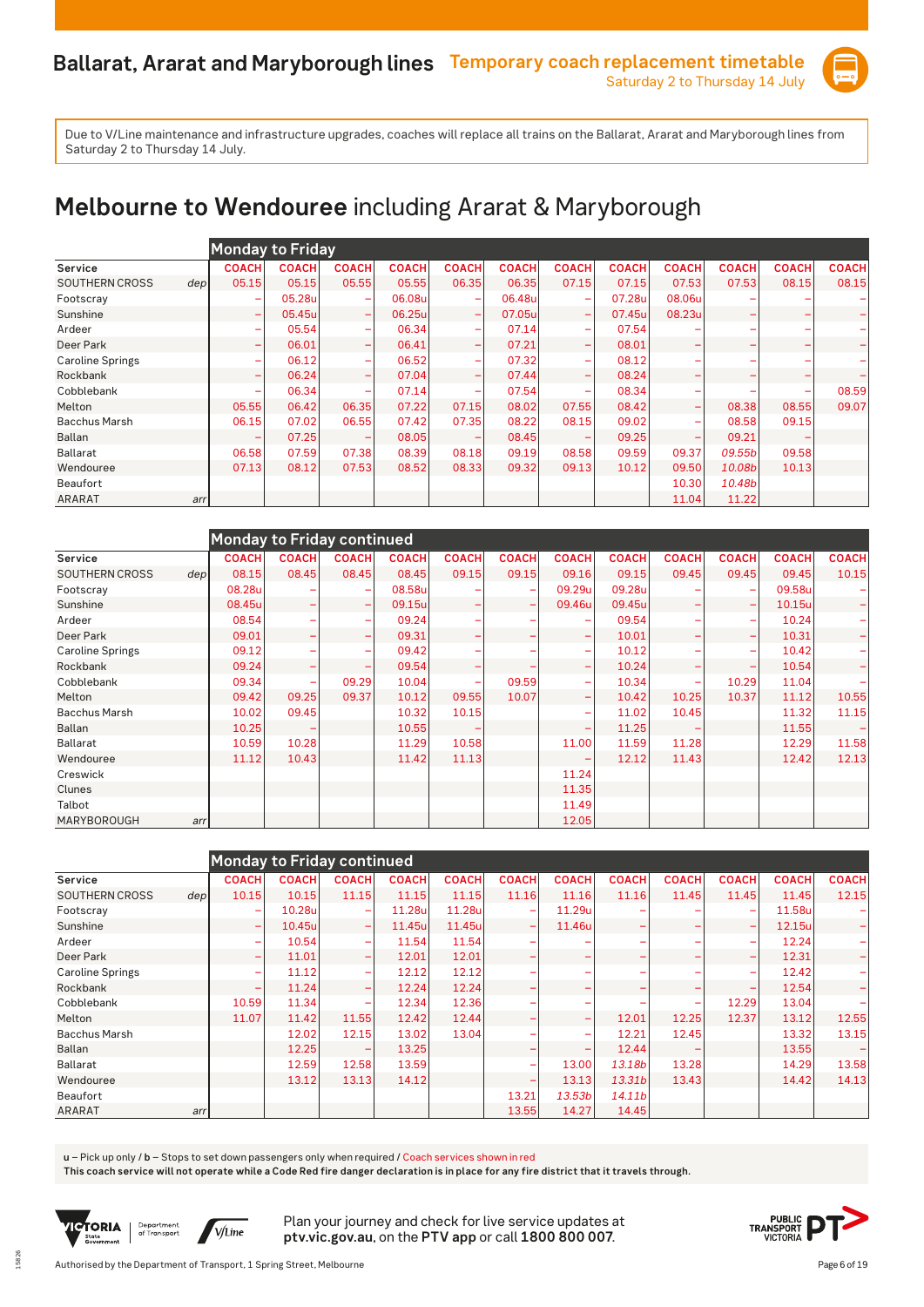

# **Melbourne to Wendouree** including Ararat & Maryborough

|                         |                           | <b>Monday to Friday</b>           |                          |              |                              |              |                          |              |                          |              |              |              |
|-------------------------|---------------------------|-----------------------------------|--------------------------|--------------|------------------------------|--------------|--------------------------|--------------|--------------------------|--------------|--------------|--------------|
| Service                 | <b>COACH</b>              | <b>COACH</b>                      | <b>COACH</b>             | <b>COACH</b> | <b>COACH</b>                 | <b>COACH</b> | <b>COACH</b>             | <b>COACH</b> | <b>COACH</b>             | <b>COACH</b> | <b>COACH</b> | <b>COACH</b> |
| <b>SOUTHERN CROSS</b>   | 05.15<br>dep <sub>l</sub> | 05.15                             | 05.55                    | 05.55        | 06.35                        | 06.35        | 07.15                    | 07.15        | 07.53                    | 07.53        | 08.15        | 08.15        |
| Footscray               |                           | 05.28u<br>۰                       | $\overline{\phantom{a}}$ | 06.08u       | $\overline{\phantom{a}}$     | 06.48u       | -                        | 07.28u       | 08.06u                   |              |              |              |
| Sunshine                |                           | 05.45u<br>۰                       | $\overline{\phantom{0}}$ | 06.25u       | $\qquad \qquad \blacksquare$ | 07.05u       | $\overline{\phantom{0}}$ | 07.45u       | 08.23u                   | -            | -            |              |
| Ardeer                  |                           | 05.54<br>۰                        | $\overline{\phantom{m}}$ | 06.34        | $\overline{\phantom{a}}$     | 07.14        |                          | 07.54        |                          |              |              |              |
| Deer Park               |                           | 06.01<br>۰                        | $\overline{\phantom{0}}$ | 06.41        | $\qquad \qquad \blacksquare$ | 07.21        | $\overline{\phantom{a}}$ | 08.01        |                          | -            | -            |              |
| <b>Caroline Springs</b> |                           | 06.12<br>۰                        | $\overline{\phantom{a}}$ | 06.52        | $\overline{\phantom{0}}$     | 07.32        |                          | 08.12        |                          |              |              |              |
| Rockbank                |                           | 06.24<br>$\overline{\phantom{0}}$ | $\overline{\phantom{0}}$ | 07.04        | $\overline{\phantom{a}}$     | 07.44        | $\overline{\phantom{0}}$ | 08.24        | $\overline{\phantom{0}}$ | -            | -            |              |
| Cobblebank              |                           | 06.34<br>۰                        | $\overline{\phantom{a}}$ | 07.14        | -                            | 07.54        |                          | 08.34        |                          |              |              | 08.59        |
| Melton                  | 05.55                     | 06.42                             | 06.35                    | 07.22        | 07.15                        | 08.02        | 07.55                    | 08.42        | $\overline{\phantom{0}}$ | 08.38        | 08.55        | 09.07        |
| <b>Bacchus Marsh</b>    | 06.15                     | 07.02                             | 06.55                    | 07.42        | 07.35                        | 08.22        | 08.15                    | 09.02        |                          | 08.58        | 09.15        |              |
| <b>Ballan</b>           |                           | 07.25                             |                          | 08.05        |                              | 08.45        |                          | 09.25        |                          | 09.21        |              |              |
| <b>Ballarat</b>         | 06.58                     | 07.59                             | 07.38                    | 08.39        | 08.18                        | 09.19        | 08.58                    | 09.59        | 09.37                    | 09.55b       | 09.58        |              |
| Wendouree               | 07.13                     | 08.12                             | 07.53                    | 08.52        | 08.33                        | 09.32        | 09.13                    | 10.12        | 09.50                    | 10.08b       | 10.13        |              |
| <b>Beaufort</b>         |                           |                                   |                          |              |                              |              |                          |              | 10.30                    | 10.48b       |              |              |
| <b>ARARAT</b>           | arr                       |                                   |                          |              |                              |              |                          |              | 11.04                    | 11.22        |              |              |

|                         |     |              | <b>Monday to Friday continued</b> |                                |              |              |              |                          |              |              |                          |              |              |
|-------------------------|-----|--------------|-----------------------------------|--------------------------------|--------------|--------------|--------------|--------------------------|--------------|--------------|--------------------------|--------------|--------------|
| Service                 |     | <b>COACH</b> | <b>COACH</b>                      | <b>COACH</b>                   | <b>COACH</b> | <b>COACH</b> | <b>COACH</b> | <b>COACH</b>             | <b>COACH</b> | <b>COACH</b> | <b>COACH</b>             | <b>COACH</b> | <b>COACH</b> |
| <b>SOUTHERN CROSS</b>   | dep | 08.15        | 08.45                             | 08.45                          | 08.45        | 09.15        | 09.15        | 09.16                    | 09.15        | 09.45        | 09.45                    | 09.45        | 10.15        |
| Footscray               |     | 08.28u       |                                   | ۰                              | 08.58u       |              |              | 09.29u                   | 09.28u       |              |                          | 09.58u       |              |
| Sunshine                |     | 08.45u       |                                   | $\qquad \qquad \longleftarrow$ | 09.15u       |              |              | 09.46u                   | 09.45u       |              |                          | 10.15u       |              |
| Ardeer                  |     | 08.54        |                                   | ۰                              | 09.24        |              |              |                          | 09.54        |              | -                        | 10.24        |              |
| Deer Park               |     | 09.01        |                                   | $\overline{\phantom{0}}$       | 09.31        |              |              | $\overline{\phantom{0}}$ | 10.01        |              | $\overline{\phantom{0}}$ | 10.31        |              |
| <b>Caroline Springs</b> |     | 09.12        |                                   | ۰                              | 09.42        |              |              | $\overline{\phantom{0}}$ | 10.12        |              | ÷                        | 10.42        |              |
| Rockbank                |     | 09.24        | ۰                                 | -                              | 09.54        |              |              | $\overline{\phantom{0}}$ | 10.24        |              | -                        | 10.54        |              |
| Cobblebank              |     | 09.34        |                                   | 09.29                          | 10.04        |              | 09.59        | ۰                        | 10.34        |              | 10.29                    | 11.04        |              |
| Melton                  |     | 09.42        | 09.25                             | 09.37                          | 10.12        | 09.55        | 10.07        | $\overline{\phantom{0}}$ | 10.42        | 10.25        | 10.37                    | 11.12        | 10.55        |
| <b>Bacchus Marsh</b>    |     | 10.02        | 09.45                             |                                | 10.32        | 10.15        |              | -                        | 11.02        | 10.45        |                          | 11.32        | 11.15        |
| <b>Ballan</b>           |     | 10.25        |                                   |                                | 10.55        |              |              |                          | 11.25        |              |                          | 11.55        |              |
| <b>Ballarat</b>         |     | 10.59        | 10.28                             |                                | 11.29        | 10.58        |              | 11.00                    | 11.59        | 11.28        |                          | 12.29        | 11.58        |
| Wendouree               |     | 11.12        | 10.43                             |                                | 11.42        | 11.13        |              |                          | 12.12        | 11.43        |                          | 12.42        | 12.13        |
| Creswick                |     |              |                                   |                                |              |              |              | 11.24                    |              |              |                          |              |              |
| Clunes                  |     |              |                                   |                                |              |              |              | 11.35                    |              |              |                          |              |              |
| Talbot                  |     |              |                                   |                                |              |              |              | 11.49                    |              |              |                          |              |              |
| MARYBOROUGH             | arr |              |                                   |                                |              |              |              | 12.05                    |              |              |                          |              |              |

|                              | Monday to Friday continued |              |                          |              |              |              |                          |              |              |              |              |              |
|------------------------------|----------------------------|--------------|--------------------------|--------------|--------------|--------------|--------------------------|--------------|--------------|--------------|--------------|--------------|
| Service                      | <b>COACH</b>               | <b>COACH</b> | <b>COACH</b>             | <b>COACH</b> | <b>COACH</b> | <b>COACH</b> | <b>COACH</b>             | <b>COACH</b> | <b>COACH</b> | <b>COACH</b> | <b>COACH</b> | <b>COACH</b> |
| <b>SOUTHERN CROSS</b><br>dep | 10.15                      | 10.15        | 11.15                    | 11.15        | 11.15        | 11.16        | 11.16                    | 11.16        | 11.45        | 11.45        | 11.45        | 12.15        |
| Footscray                    | ۰                          | 10.28u       | $\overline{\phantom{a}}$ | 11.28u       | 11.28u       |              | 11.29u                   |              |              | -            | 11.58u       |              |
| Sunshine                     | ۰                          | 10.45u       | $\qquad \qquad -$        | 11.45u       | 11.45u       |              | 11.46u                   |              |              |              | 12.15u       |              |
| Ardeer                       | ۰                          | 10.54        | ۰                        | 11.54        | 11.54        |              |                          |              |              |              | 12.24        |              |
| Deer Park                    | ۰                          | 11.01        | $\overline{\phantom{0}}$ | 12.01        | 12.01        |              |                          | -            |              | -            | 12.31        |              |
| <b>Caroline Springs</b>      | ۰                          | 11.12        | ۰                        | 12.12        | 12.12        |              |                          |              |              | -            | 12.42        |              |
| Rockbank                     | ۰                          | 11.24        | $\overline{\phantom{0}}$ | 12.24        | 12.24        |              |                          |              |              | -            | 12.54        |              |
| Cobblebank                   | 10.59                      | 11.34        |                          | 12.34        | 12.36        |              |                          |              |              | 12.29        | 13.04        |              |
| Melton                       | 11.07                      | 11.42        | 11.55                    | 12.42        | 12.44        |              | $\overline{\phantom{a}}$ | 12.01        | 12.25        | 12.37        | 13.12        | 12.55        |
| <b>Bacchus Marsh</b>         |                            | 12.02        | 12.15                    | 13.02        | 13.04        |              | $\overline{\phantom{a}}$ | 12.21        | 12.45        |              | 13.32        | 13.15        |
| <b>Ballan</b>                |                            | 12.25        |                          | 13.25        |              |              |                          | 12.44        |              |              | 13.55        |              |
| <b>Ballarat</b>              |                            | 12.59        | 12.58                    | 13.59        |              |              | 13.00                    | 13.18b       | 13.28        |              | 14.29        | 13.58        |
| Wendouree                    |                            | 13.12        | 13.13                    | 14.12        |              |              | 13.13                    | 13.31b       | 13.43        |              | 14.42        | 14.13        |
| <b>Beaufort</b>              |                            |              |                          |              |              | 13.21        | 13.53 <sub>b</sub>       | 14.11b       |              |              |              |              |
| <b>ARARAT</b><br>arr         |                            |              |                          |              |              | 13.55        | 14.27                    | 14.45        |              |              |              |              |

**u** – Pick up only / **b** – Stops to set down passengers only when required / Coach services shown in red

**This coach service will not operate while a Code Red fire danger declaration is in place for any fire district that it travels through.**



15826

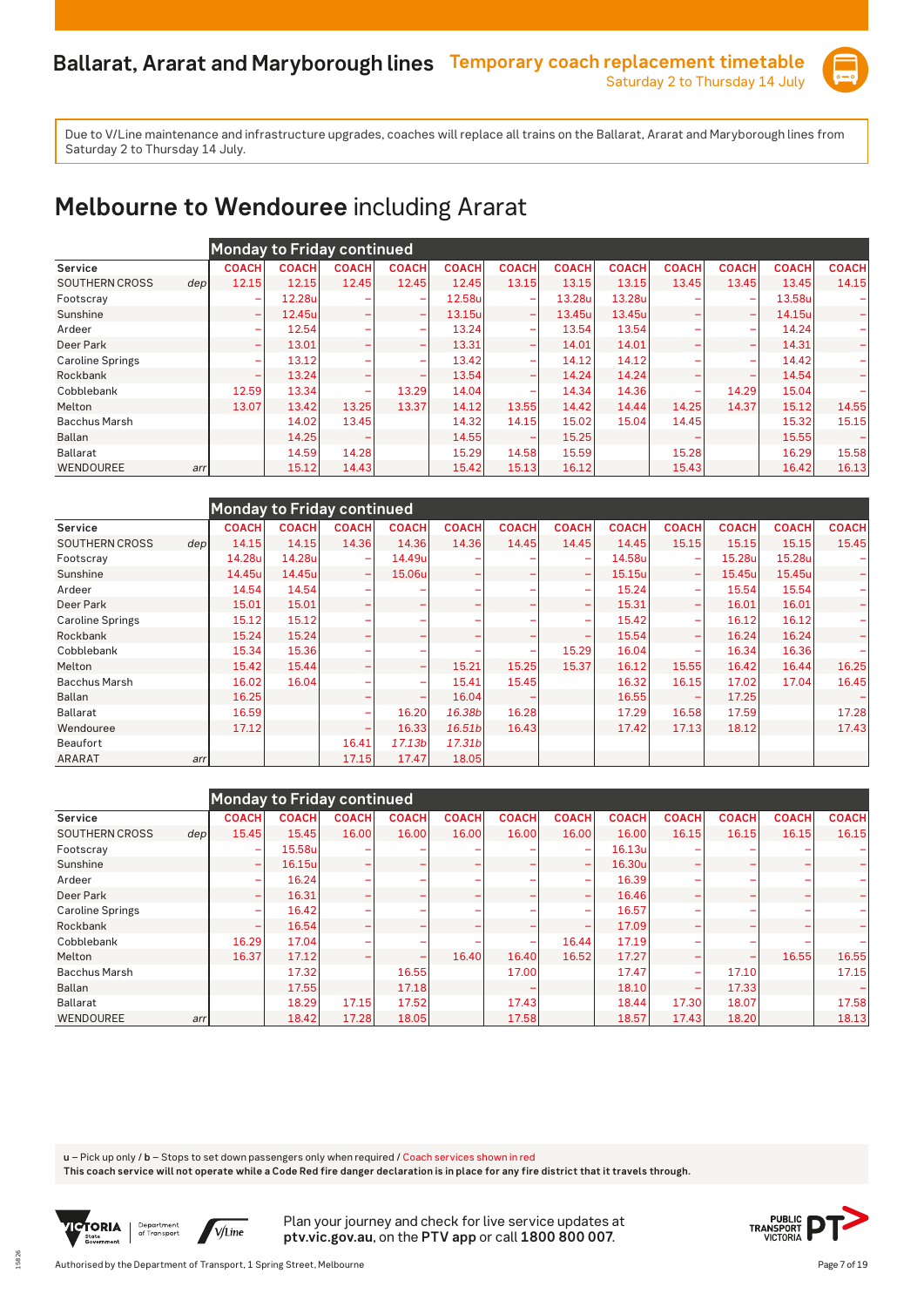

### **Melbourne to Wendouree** including Ararat

|                                           | Monday to Friday continued |              |                          |                          |              |                          |              |              |              |                          |              |              |
|-------------------------------------------|----------------------------|--------------|--------------------------|--------------------------|--------------|--------------------------|--------------|--------------|--------------|--------------------------|--------------|--------------|
| Service                                   | <b>COACH</b>               | <b>COACH</b> | <b>COACH</b>             | <b>COACH</b>             | <b>COACH</b> | <b>COACH</b>             | <b>COACH</b> | <b>COACH</b> | <b>COACH</b> | <b>COACH</b>             | <b>COACH</b> | <b>COACH</b> |
| <b>SOUTHERN CROSS</b><br>dep <sub>l</sub> | 12.15                      | 12.15        | 12.45                    | 12.45                    | 12.45        | 13.15                    | 13.15        | 13.15        | 13.45        | 13.45                    | 13.45        | 14.15        |
| Footscray                                 | ۰                          | 12.28u       |                          |                          | 12.58u       | $\overline{\phantom{a}}$ | 13.28u       | 13.28u       |              | -                        | 13.58u       |              |
| Sunshine                                  | $\overline{\phantom{0}}$   | 12.45u       |                          | <b>-</b>                 | 13.15u       | $\overline{\phantom{a}}$ | 13.45ul      | 13.45u       |              | $\overline{\phantom{0}}$ | 14.15u       |              |
| Ardeer                                    | -                          | 12.54        |                          | $\overline{\phantom{0}}$ | 13.24        | $\overline{\phantom{0}}$ | 13.54        | 13.54        |              | -                        | 14.24        |              |
| Deer Park                                 | $\overline{\phantom{0}}$   | 13.01        | ۰                        | <b>-</b>                 | 13.31        | $\overline{\phantom{0}}$ | 14.01        | 14.01        |              | -                        | 14.31        |              |
| <b>Caroline Springs</b>                   | -                          | 13.12        |                          |                          | 13.42        | $\overline{\phantom{0}}$ | 14.12        | 14.12        |              | ÷                        | 14.42        |              |
| Rockbank                                  | ۰                          | 13.24        |                          |                          | 13.54        | $\overline{\phantom{0}}$ | 14.24        | 14.24        |              |                          | 14.54        |              |
| Cobblebank                                | 12.59                      | 13.34        | $\overline{\phantom{0}}$ | 13.29                    | 14.04        | -                        | 14.34        | 14.36        |              | 14.29                    | 15.04        |              |
| Melton                                    | 13.07                      | 13.42        | 13.25                    | 13.37                    | 14.12        | 13.55                    | 14.42        | 14.44        | 14.25        | 14.37                    | 15.12        | 14.55        |
| <b>Bacchus Marsh</b>                      |                            | 14.02        | 13.45                    |                          | 14.32        | 14.15                    | 15.02        | 15.04        | 14.45        |                          | 15.32        | 15.15        |
| Ballan                                    |                            | 14.25        |                          |                          | 14.55        |                          | 15.25        |              |              |                          | 15.55        |              |
| <b>Ballarat</b>                           |                            | 14.59        | 14.28                    |                          | 15.29        | 14.58                    | 15.59        |              | 15.28        |                          | 16.29        | 15.58        |
| WENDOUREE<br>arr                          |                            | 15.12        | 14.43                    |                          | 15.42        | 15.13                    | 16.12        |              | 15.43        |                          | 16.42        | 16.13        |

|                         |     |              | Monday to Friday continued |                          |              |                    |              |                          |              |                          |              |              |              |
|-------------------------|-----|--------------|----------------------------|--------------------------|--------------|--------------------|--------------|--------------------------|--------------|--------------------------|--------------|--------------|--------------|
| Service                 |     | <b>COACH</b> | <b>COACH</b>               | <b>COACH</b>             | <b>COACH</b> | <b>COACH</b>       | <b>COACH</b> | <b>COACH</b>             | <b>COACH</b> | <b>COACH</b>             | <b>COACH</b> | <b>COACH</b> | <b>COACH</b> |
| <b>SOUTHERN CROSS</b>   | dep | 14.15        | 14.15                      | 14.36                    | 14.36        | 14.36              | 14.45        | 14.45                    | 14.45        | 15.15                    | 15.15        | 15.15        | 15.45        |
| Footscray               |     | 14.28u       | 14.28u                     | -                        | 14.49u       |                    |              |                          | 14.58u       |                          | 15.28u       | 15.28u       |              |
| Sunshine                |     | 14.45u       | 14.45u                     | $\overline{\phantom{a}}$ | 15.06u       |                    |              | -                        | 15.15u       | -                        | 15.45u       | 15.45u       |              |
| Ardeer                  |     | 14.54        | 14.54                      |                          |              |                    |              | $\overline{\phantom{0}}$ | 15.24        | $\overline{\phantom{a}}$ | 15.54        | 15.54        |              |
| Deer Park               |     | 15.01        | 15.01                      |                          |              |                    |              | $\overline{\phantom{0}}$ | 15.31        | $\overline{\phantom{a}}$ | 16.01        | 16.01        |              |
| <b>Caroline Springs</b> |     | 15.12        | 15.12                      |                          |              |                    |              |                          | 15.42        |                          | 16.12        | 16.12        |              |
| Rockbank                |     | 15.24        | 15.24                      |                          |              |                    |              |                          | 15.54        |                          | 16.24        | 16.24        |              |
| Cobblebank              |     | 15.34        | 15.36                      |                          |              |                    |              | 15.29                    | 16.04        | -                        | 16.34        | 16.36        |              |
| Melton                  |     | 15.42        | 15.44                      |                          |              | 15.21              | 15.25        | 15.37                    | 16.12        | 15.55                    | 16.42        | 16.44        | 16.25        |
| <b>Bacchus Marsh</b>    |     | 16.02        | 16.04                      |                          |              | 15.41              | 15.45        |                          | 16.32        | 16.15                    | 17.02        | 17.04        | 16.45        |
| Ballan                  |     | 16.25        |                            |                          |              | 16.04              |              |                          | 16.55        |                          | 17.25        |              |              |
| <b>Ballarat</b>         |     | 16.59        |                            |                          | 16.20        | 16.38b             | 16.28        |                          | 17.29        | 16.58                    | 17.59        |              | 17.28        |
| Wendouree               |     | 17.12        |                            |                          | 16.33        | 16.51 <sub>b</sub> | 16.43        |                          | 17.42        | 17.13                    | 18.12        |              | 17.43        |
| Beaufort                |     |              |                            | 16.41                    | 17.13b       | 17.31b             |              |                          |              |                          |              |              |              |
| ARARAT                  | arr |              |                            | 17.15                    | 17.47        | 18.05              |              |                          |              |                          |              |              |              |

|                         |     |              | Monday to Friday continued |              |              |              |              |                          |              |                          |              |              |              |
|-------------------------|-----|--------------|----------------------------|--------------|--------------|--------------|--------------|--------------------------|--------------|--------------------------|--------------|--------------|--------------|
| Service                 |     | <b>COACH</b> | <b>COACH</b>               | <b>COACH</b> | <b>COACH</b> | <b>COACH</b> | <b>COACH</b> | <b>COACH</b>             | <b>COACH</b> | <b>COACH</b>             | <b>COACH</b> | <b>COACH</b> | <b>COACH</b> |
| <b>SOUTHERN CROSS</b>   | dep | 15.45        | 15.45                      | 16.00        | 16.00        | 16.00        | 16.00        | 16.00                    | 16.00        | 16.15                    | 16.15        | 16.15        | 16.15        |
| Footscray               |     | ۰            | 15.58u                     |              |              |              |              |                          | 16.13u       |                          |              |              |              |
| Sunshine                |     | -            | 16.15u                     |              |              |              |              | $\overline{\phantom{0}}$ | 16.30u       |                          |              |              |              |
| Ardeer                  |     | ۰            | 16.24                      |              |              |              |              |                          | 16.39        |                          |              |              |              |
| Deer Park               |     | ۰            | 16.31                      |              |              |              |              |                          | 16.46        |                          |              |              |              |
| <b>Caroline Springs</b> |     | ۰            | 16.42                      |              |              |              |              | $\overline{\phantom{0}}$ | 16.57        |                          |              |              |              |
| Rockbank                |     | ۰            | 16.54                      |              |              |              |              |                          | 17.09        |                          |              |              |              |
| Cobblebank              |     | 16.29        | 17.04                      |              |              |              |              | 16.44                    | 17.19        |                          |              |              |              |
| Melton                  |     | 16.37        | 17.12                      |              |              | 16.40        | 16.40        | 16.52                    | 17.27        | -                        |              | 16.55        | 16.55        |
| <b>Bacchus Marsh</b>    |     |              | 17.32                      |              | 16.55        |              | 17.00        |                          | 17.47        | $\overline{\phantom{a}}$ | 17.10        |              | 17.15        |
| Ballan                  |     |              | 17.55                      |              | 17.18        |              |              |                          | 18.10        | $\overline{\phantom{a}}$ | 17.33        |              |              |
| <b>Ballarat</b>         |     |              | 18.29                      | 17.15        | 17.52        |              | 17.43        |                          | 18.44        | 17.30                    | 18.07        |              | 17.58        |
| WENDOUREE               | arr |              | 18.42                      | 17.28        | 18.05        |              | 17.58        |                          | 18.57        | 17.43                    | 18.20        |              | 18.13        |

**u** – Pick up only / **b** – Stops to set down passengers only when required / Coach services shown in red

**This coach service will not operate while a Code Red fire danger declaration is in place for any fire district that it travels through.**



15826

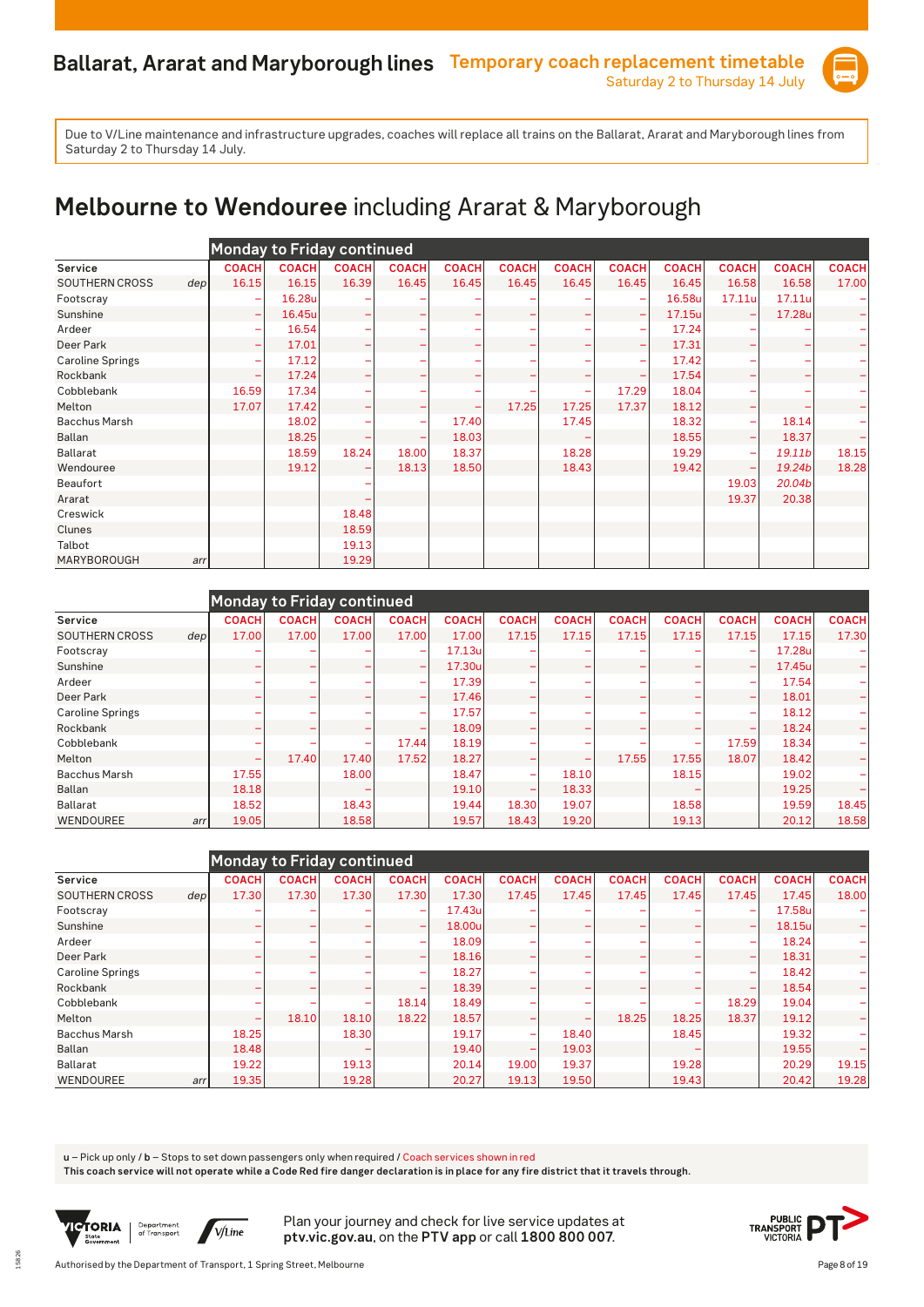

# **Melbourne to Wendouree** including Ararat & Maryborough

|                         |     |              |              | <b>Monday to Friday continued</b> |              |              |              |              |                          |              |                              |              |              |
|-------------------------|-----|--------------|--------------|-----------------------------------|--------------|--------------|--------------|--------------|--------------------------|--------------|------------------------------|--------------|--------------|
| Service                 |     | <b>COACH</b> | <b>COACH</b> | <b>COACH</b>                      | <b>COACH</b> | <b>COACH</b> | <b>COACH</b> | <b>COACH</b> | <b>COACH</b>             | <b>COACH</b> | <b>COACH</b>                 | <b>COACH</b> | <b>COACH</b> |
| <b>SOUTHERN CROSS</b>   | dep | 16.15        | 16.15        | 16.39                             | 16.45        | 16.45        | 16.45        | 16.45        | 16.45                    | 16.45        | 16.58                        | 16.58        | 17.00        |
| Footscray               |     | ۰            | 16.28u       |                                   |              |              |              |              |                          | 16.58u       | 17.11u                       | 17.11u       |              |
| Sunshine                |     | ÷            | 16.45u       | ۰                                 |              | -            |              |              | $\overline{\phantom{m}}$ | 17.15u       |                              | 17.28u       |              |
| Ardeer                  |     | -            | 16.54        |                                   |              |              |              |              | $\overline{\phantom{a}}$ | 17.24        |                              |              |              |
| Deer Park               |     | ÷            | 17.01        |                                   |              |              |              |              | -                        | 17.31        | -                            |              |              |
| <b>Caroline Springs</b> |     | ۰            | 17.12        |                                   |              |              |              |              | ۰                        | 17.42        | -                            |              |              |
| Rockbank                |     | ۰            | 17.24        |                                   |              |              |              |              |                          | 17.54        |                              |              |              |
| Cobblebank              |     | 16.59        | 17.34        |                                   |              |              |              |              | 17.29                    | 18.04        |                              |              |              |
| Melton                  |     | 17.07        | 17.42        |                                   |              |              | 17.25        | 17.25        | 17.37                    | 18.12        | -                            |              |              |
| <b>Bacchus Marsh</b>    |     |              | 18.02        |                                   |              | 17.40        |              | 17.45        |                          | 18.32        | -                            | 18.14        |              |
| <b>Ballan</b>           |     |              | 18.25        |                                   |              | 18.03        |              |              |                          | 18.55        | $\qquad \qquad \blacksquare$ | 18.37        |              |
| <b>Ballarat</b>         |     |              | 18.59        | 18.24                             | 18.00        | 18.37        |              | 18.28        |                          | 19.29        | -                            | 19.11b       | 18.15        |
| Wendouree               |     |              | 19.12        |                                   | 18.13        | 18.50        |              | 18.43        |                          | 19.42        | -                            | 19.24b       | 18.28        |
| <b>Beaufort</b>         |     |              |              |                                   |              |              |              |              |                          |              | 19.03                        | 20.04b       |              |
| Ararat                  |     |              |              |                                   |              |              |              |              |                          |              | 19.37                        | 20.38        |              |
| Creswick                |     |              |              | 18.48                             |              |              |              |              |                          |              |                              |              |              |
| Clunes                  |     |              |              | 18.59                             |              |              |              |              |                          |              |                              |              |              |
| Talbot                  |     |              |              | 19.13                             |              |              |              |              |                          |              |                              |              |              |
| MARYBOROUGH             | arr |              |              | 19.29                             |              |              |              |              |                          |              |                              |              |              |

|                         |                  | Monday to Friday continued |              |                          |              |              |              |              |              |                          |                          |              |              |
|-------------------------|------------------|----------------------------|--------------|--------------------------|--------------|--------------|--------------|--------------|--------------|--------------------------|--------------------------|--------------|--------------|
| Service                 |                  | <b>COACH</b>               | <b>COACH</b> | <b>COACH</b>             | <b>COACH</b> | <b>COACH</b> | <b>COACH</b> | <b>COACH</b> | <b>COACH</b> | <b>COACH</b>             | <b>COACH</b>             | <b>COACH</b> | <b>COACH</b> |
| <b>SOUTHERN CROSS</b>   | dep <sub>l</sub> | 17.00                      | 17.00        | 17.00                    | 17.00        | 17.00        | 17.15        | 17.15        | 17.15        | 17.15                    | 17.15                    | 17.15        | 17.30        |
| Footscray               |                  |                            |              |                          | ۰            | 17.13u       |              |              |              |                          |                          | 17.28u       |              |
| Sunshine                |                  |                            |              |                          | ۰            | 17.30u       |              |              |              |                          |                          | 17.45u       |              |
| Ardeer                  |                  |                            |              |                          | ۰            | 17.39        |              |              |              |                          | $\overline{\phantom{a}}$ | 17.54        |              |
| Deer Park               |                  |                            |              |                          |              | 17.46        |              |              |              |                          | $\overline{\phantom{a}}$ | 18.01        |              |
| <b>Caroline Springs</b> |                  |                            | ۰            |                          | <b>-</b>     | 17.57        |              |              |              |                          | $\overline{\phantom{a}}$ | 18.12        |              |
| Rockbank                |                  |                            |              |                          |              | 18.09        |              |              |              |                          | -                        | 18.24        |              |
| Cobblebank              |                  |                            | ۰            | $\overline{\phantom{0}}$ | 17.44        | 18.19        |              |              |              | $\overline{\phantom{0}}$ | 17.59                    | 18.34        |              |
| Melton                  |                  | ۰                          | 17.40        | 17.40                    | 17.52        | 18.27        |              |              | 17.55        | 17.55                    | 18.07                    | 18.42        |              |
| <b>Bacchus Marsh</b>    |                  | 17.55                      |              | 18.00                    |              | 18.47        |              | 18.10        |              | 18.15                    |                          | 19.02        |              |
| <b>Ballan</b>           |                  | 18.18                      |              |                          |              | 19.10        |              | 18.33        |              |                          |                          | 19.25        |              |
| <b>Ballarat</b>         |                  | 18.52                      |              | 18.43                    |              | 19.44        | 18.30        | 19.07        |              | 18.58                    |                          | 19.59        | 18.45        |
| WENDOUREE               | arr              | 19.05                      |              | 18.58                    |              | 19.57        | 18.43        | 19.20        |              | 19.13                    |                          | 20.12        | 18.58        |

|                         |     |              |              | <b>Monday to Friday continued</b> |              |              |                          |              |              |              |                          |              |              |
|-------------------------|-----|--------------|--------------|-----------------------------------|--------------|--------------|--------------------------|--------------|--------------|--------------|--------------------------|--------------|--------------|
| Service                 |     | <b>COACH</b> | <b>COACH</b> | <b>COACH</b>                      | <b>COACH</b> | <b>COACH</b> | <b>COACH</b>             | <b>COACH</b> | <b>COACH</b> | <b>COACH</b> | <b>COACH</b>             | <b>COACH</b> | <b>COACH</b> |
| <b>SOUTHERN CROSS</b>   | dep | 17.30        | 17.30        | 17.30                             | 17.30        | 17.30        | 17.45                    | 17.45        | 17.45        | 17.45        | 17.45                    | 17.45        | 18.00        |
| Footscray               |     |              |              |                                   | ۰            | 17.43u       |                          |              |              |              | $\overline{\phantom{a}}$ | 17.58u       |              |
| Sunshine                |     | -            |              |                                   | -            | 18.00u       |                          |              |              |              | -                        | 18.15u       |              |
| Ardeer                  |     |              |              |                                   | ۰            | 18.09        |                          |              |              |              | -                        | 18.24        |              |
| Deer Park               |     |              | -            |                                   |              | 18.16        |                          |              |              |              | -                        | 18.31        |              |
| <b>Caroline Springs</b> |     |              |              |                                   |              | 18.27        |                          |              |              |              | -                        | 18.42        |              |
| Rockbank                |     |              |              |                                   |              | 18.39        |                          |              |              |              | -                        | 18.54        |              |
| Cobblebank              |     |              |              | -                                 | 18.14        | 18.49        |                          |              |              |              | 18.29                    | 19.04        |              |
| Melton                  |     | ۰            | 18.10        | 18.10                             | 18.22        | 18.57        |                          |              | 18.25        | 18.25        | 18.37                    | 19.12        |              |
| <b>Bacchus Marsh</b>    |     | 18.25        |              | 18.30                             |              | 19.17        | -                        | 18.40        |              | 18.45        |                          | 19.32        |              |
| <b>Ballan</b>           |     | 18.48        |              |                                   |              | 19.40        | $\overline{\phantom{0}}$ | 19.03        |              |              |                          | 19.55        |              |
| <b>Ballarat</b>         |     | 19.22        |              | 19.13                             |              | 20.14        | 19.00                    | 19.37        |              | 19.28        |                          | 20.29        | 19.15        |
| <b>WENDOUREE</b>        | arr | 19.35        |              | 19.28                             |              | 20.27        | 19.13                    | 19.50        |              | 19.43        |                          | 20.42        | 19.28        |

**u** – Pick up only / **b** – Stops to set down passengers only when required / Coach services shown in red

**This coach service will not operate while a Code Red fire danger declaration is in place for any fire district that it travels through.**



15826

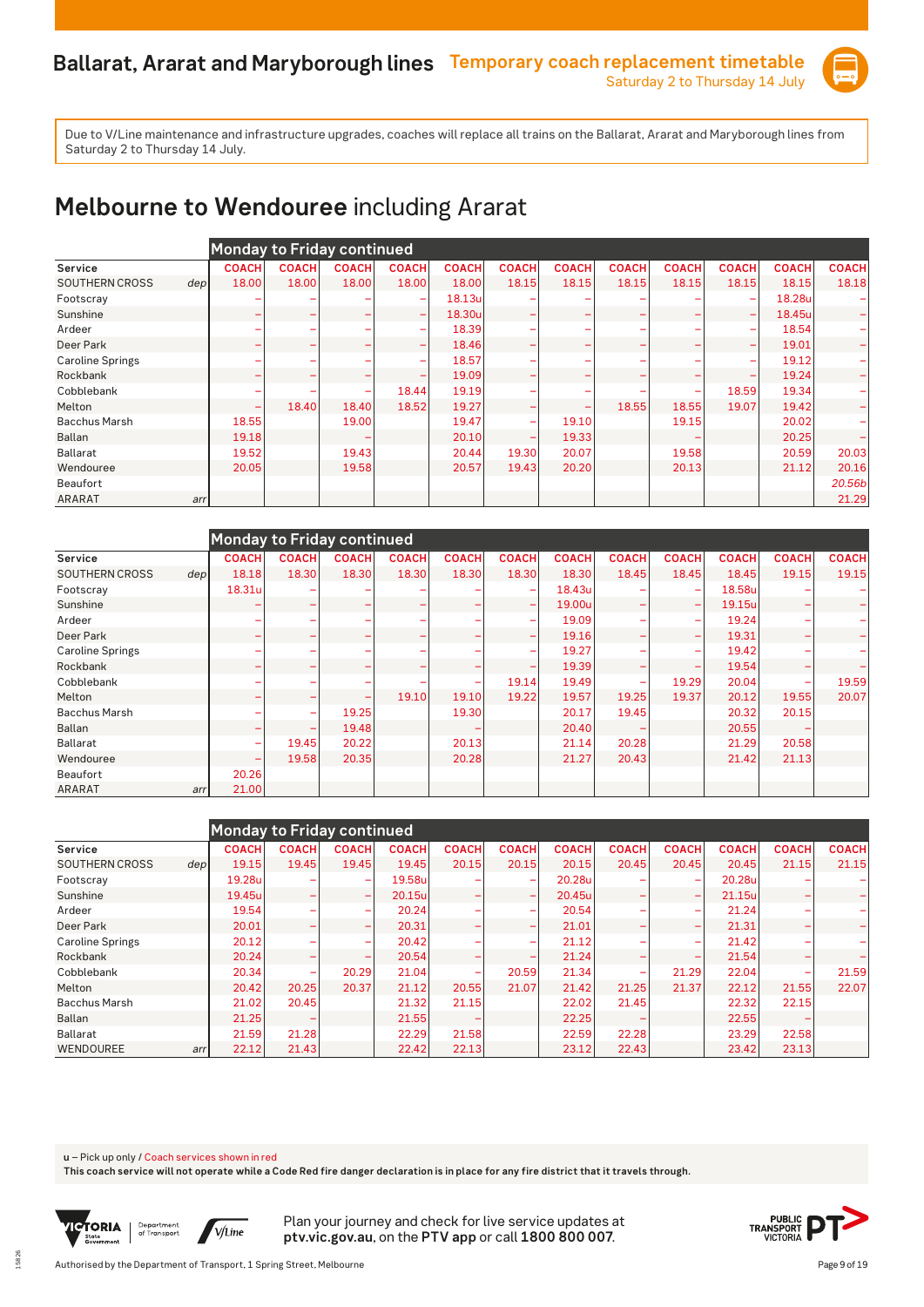

# **Melbourne to Wendouree** including Ararat

|                         |                  | <b>Monday to Friday continued</b> |              |              |                          |              |              |              |                          |              |              |              |              |
|-------------------------|------------------|-----------------------------------|--------------|--------------|--------------------------|--------------|--------------|--------------|--------------------------|--------------|--------------|--------------|--------------|
| Service                 |                  | <b>COACH</b>                      | <b>COACH</b> | <b>COACH</b> | <b>COACH</b>             | <b>COACH</b> | <b>COACH</b> | <b>COACH</b> | <b>COACH</b>             | <b>COACH</b> | <b>COACH</b> | <b>COACH</b> | <b>COACH</b> |
| <b>SOUTHERN CROSS</b>   | dep <sub>l</sub> | 18.00                             | 18.00        | 18.00        | 18.00                    | 18.00        | 18.15        | 18.15        | 18.15                    | 18.15        | 18.15        | 18.15        | 18.18        |
| Footscray               |                  |                                   |              |              |                          | 18.13u       |              |              |                          |              |              | 18.28u       |              |
| Sunshine                |                  | ۰                                 |              |              | $\overline{\phantom{0}}$ | 18.30u       |              |              | $\overline{\phantom{0}}$ |              | -            | 18.45u       |              |
| Ardeer                  |                  |                                   |              |              |                          | 18.39        |              |              |                          |              | -            | 18.54        |              |
| Deer Park               |                  |                                   |              |              |                          | 18.46        |              |              | -                        |              | -            | 19.01        |              |
| <b>Caroline Springs</b> |                  |                                   |              |              |                          | 18.57        |              |              |                          |              | -            | 19.12        |              |
| Rockbank                |                  |                                   |              |              |                          | 19.09        |              |              | -                        |              | -            | 19.24        |              |
| Cobblebank              |                  |                                   |              | ۰            | 18.44                    | 19.19        |              |              |                          |              | 18.59        | 19.34        |              |
| Melton                  |                  | ۰                                 | 18.40        | 18.40        | 18.52                    | 19.27        |              |              | 18.55                    | 18.55        | 19.07        | 19.42        |              |
| <b>Bacchus Marsh</b>    |                  | 18.55                             |              | 19.00        |                          | 19.47        |              | 19.10        |                          | 19.15        |              | 20.02        |              |
| Ballan                  |                  | 19.18                             |              |              |                          | 20.10        |              | 19.33        |                          |              |              | 20.25        |              |
| <b>Ballarat</b>         |                  | 19.52                             |              | 19.43        |                          | 20.44        | 19.30        | 20.07        |                          | 19.58        |              | 20.59        | 20.03        |
| Wendouree               |                  | 20.05                             |              | 19.58        |                          | 20.57        | 19.43        | 20.20        |                          | 20.13        |              | 21.12        | 20.16        |
| <b>Beaufort</b>         |                  |                                   |              |              |                          |              |              |              |                          |              |              |              | 20.56b       |
| <b>ARARAT</b>           | arr              |                                   |              |              |                          |              |              |              |                          |              |              |              | 21.29        |

|                         |                  | <b>Monday to Friday continued</b> |              |              |              |              |                          |              |              |                          |              |              |              |
|-------------------------|------------------|-----------------------------------|--------------|--------------|--------------|--------------|--------------------------|--------------|--------------|--------------------------|--------------|--------------|--------------|
| Service                 |                  | <b>COACH</b>                      | <b>COACH</b> | <b>COACH</b> | <b>COACH</b> | <b>COACH</b> | <b>COACH</b>             | <b>COACH</b> | <b>COACH</b> | <b>COACH</b>             | <b>COACH</b> | <b>COACH</b> | <b>COACH</b> |
| <b>SOUTHERN CROSS</b>   | dep <sub>l</sub> | 18.18                             | 18.30        | 18.30        | 18.30        | 18.30        | 18.30                    | 18.30        | 18.45        | 18.45                    | 18.45        | 19.15        | 19.15        |
| Footscray               |                  | 18.31u                            |              |              |              |              | -                        | 18.43u       |              |                          | 18.58u       |              |              |
| Sunshine                |                  |                                   |              | -            |              |              | $\overline{\phantom{a}}$ | 19.00u       |              | $\overline{\phantom{a}}$ | 19.15u       | -            |              |
| Ardeer                  |                  |                                   |              |              |              |              |                          | 19.09        |              |                          | 19.24        |              |              |
| Deer Park               |                  |                                   |              |              |              |              |                          | 19.16        |              |                          | 19.31        |              |              |
| <b>Caroline Springs</b> |                  |                                   |              |              |              |              |                          | 19.27        |              |                          | 19.42        |              |              |
| Rockbank                |                  |                                   |              |              |              |              |                          | 19.39        |              |                          | 19.54        | -            |              |
| Cobblebank              |                  |                                   |              |              |              | -            | 19.14                    | 19.49        |              | 19.29                    | 20.04        |              | 19.59        |
| Melton                  |                  |                                   |              |              | 19.10        | 19.10        | 19.22                    | 19.57        | 19.25        | 19.37                    | 20.12        | 19.55        | 20.07        |
| <b>Bacchus Marsh</b>    |                  |                                   |              | 19.25        |              | 19.30        |                          | 20.17        | 19.45        |                          | 20.32        | 20.15        |              |
| <b>Ballan</b>           |                  | ۰                                 |              | 19.48        |              |              |                          | 20.40        |              |                          | 20.55        |              |              |
| <b>Ballarat</b>         |                  | ۰                                 | 19.45        | 20.22        |              | 20.13        |                          | 21.14        | 20.28        |                          | 21.29        | 20.58        |              |
| Wendouree               |                  | ۰                                 | 19.58        | 20.35        |              | 20.28        |                          | 21.27        | 20.43        |                          | 21.42        | 21.13        |              |
| Beaufort                |                  | 20.26                             |              |              |              |              |                          |              |              |                          |              |              |              |
| <b>ARARAT</b>           | arr              | 21.00                             |              |              |              |              |                          |              |              |                          |              |              |              |

|                         |      |              |              | Monday to Friday continued |              |              |                          |              |              |              |              |              |                          |
|-------------------------|------|--------------|--------------|----------------------------|--------------|--------------|--------------------------|--------------|--------------|--------------|--------------|--------------|--------------------------|
| Service                 |      | <b>COACH</b> | <b>COACH</b> | <b>COACH</b>               | <b>COACH</b> | <b>COACH</b> | <b>COACH</b>             | <b>COACH</b> | <b>COACH</b> | <b>COACH</b> | <b>COACH</b> | <b>COACH</b> | <b>COACH</b>             |
| <b>SOUTHERN CROSS</b>   | depl | 19.15        | 19.45        | 19.45                      | 19.45        | 20.15        | 20.15                    | 20.15        | 20.45        | 20.45        | 20.45        | 21.15        | 21.15                    |
| Footscray               |      | 19.28u       |              | $\overline{\phantom{0}}$   | 19.58u       |              |                          | 20.28u       |              |              | 20.28u       |              |                          |
| Sunshine                |      | 19.45u       |              | $\overline{\phantom{a}}$   | 20.15u       |              |                          | 20.45ul      | -            |              | 21.15u       |              | ÷                        |
| Ardeer                  |      | 19.54        |              |                            | 20.24        |              |                          | 20.54        |              |              | 21.24        |              |                          |
| Deer Park               |      | 20.01        |              |                            | 20.31        |              | -                        | 21.01        | -            |              | 21.31        |              | $-$                      |
| <b>Caroline Springs</b> |      | 20.12        |              | $\overline{\phantom{0}}$   | 20.42        |              | $\overline{\phantom{a}}$ | 21.12        | -            | -            | 21.42        |              |                          |
| Rockbank                |      | 20.24        |              |                            | 20.54        |              | -                        | 21.24        | -            |              | 21.54        |              | $\overline{\phantom{0}}$ |
| Cobblebank              |      | 20.34        |              | 20.29                      | 21.04        |              | 20.59                    | 21.34        |              | 21.29        | 22.04        |              | 21.59                    |
| Melton                  |      | 20.42        | 20.25        | 20.37                      | 21.12        | 20.55        | 21.07                    | 21.42        | 21.25        | 21.37        | 22.12        | 21.55        | 22.07                    |
| <b>Bacchus Marsh</b>    |      | 21.02        | 20.45        |                            | 21.32        | 21.15        |                          | 22.02        | 21.45        |              | 22.32        | 22.15        |                          |
| Ballan                  |      | 21.25        |              |                            | 21.55        |              |                          | 22.25        |              |              | 22.55        |              |                          |
| Ballarat                |      | 21.59        | 21.28        |                            | 22.29        | 21.58        |                          | 22.59        | 22.28        |              | 23.29        | 22.58        |                          |
| <b>WENDOUREE</b>        | arr  | 22.12        | 21.43        |                            | 22.42        | 22.13        |                          | 23.12        | 22.43        |              | 23.42        | 23.13        |                          |

**u** – Pick up only / Coach services shown in red

**This coach service will not operate while a Code Red fire danger declaration is in place for any fire district that it travels through.**



15826

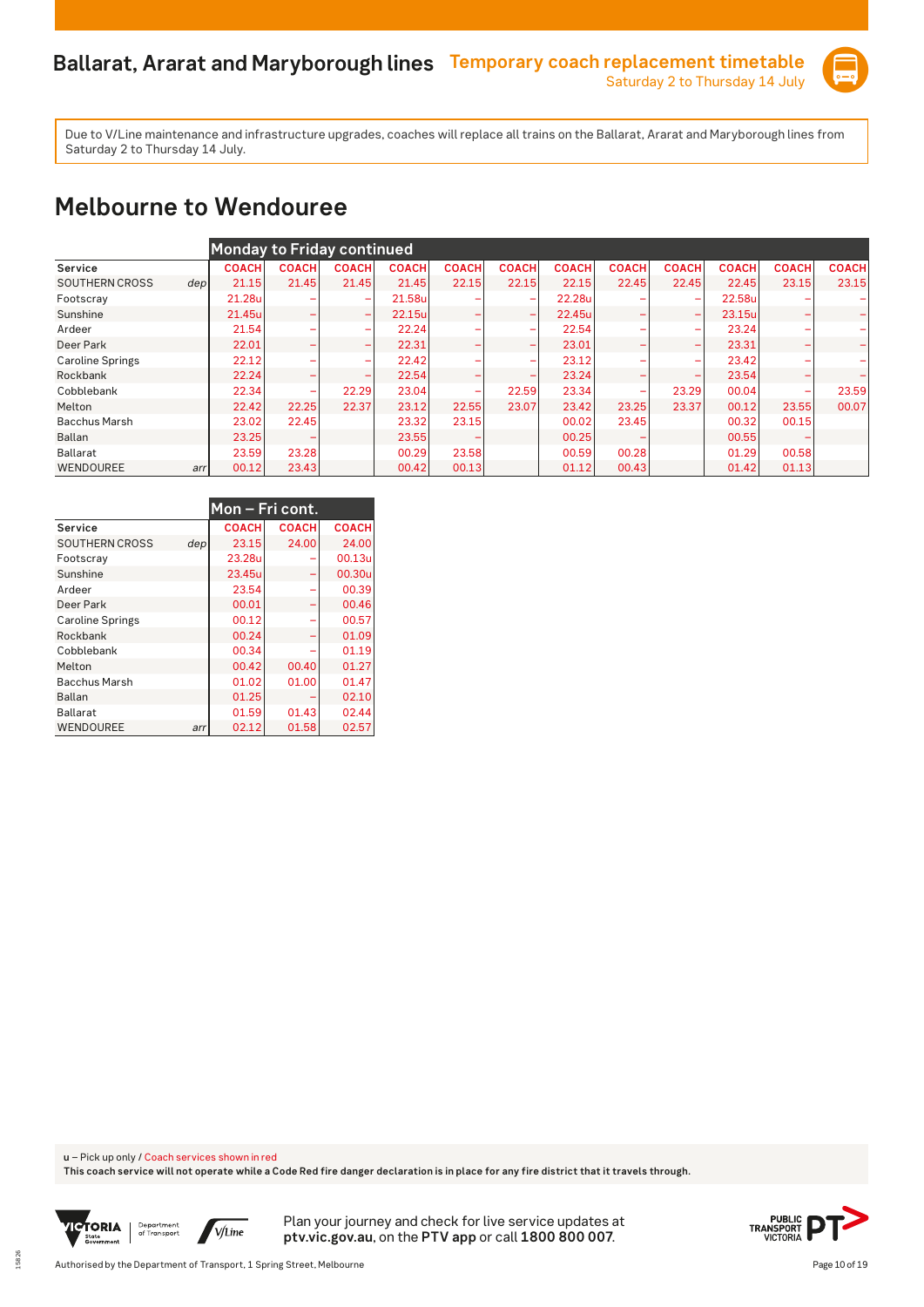

#### **Melbourne to Wendouree**

|                               |              | <b>Monday to Friday continued</b> |                          |              |              |                          |              |              |                          |              |              |              |
|-------------------------------|--------------|-----------------------------------|--------------------------|--------------|--------------|--------------------------|--------------|--------------|--------------------------|--------------|--------------|--------------|
| Service                       | <b>COACH</b> | <b>COACH</b>                      | <b>COACH</b>             | <b>COACH</b> | <b>COACH</b> | <b>COACH</b>             | <b>COACH</b> | <b>COACH</b> | <b>COACH</b>             | <b>COACH</b> | <b>COACH</b> | <b>COACH</b> |
| <b>SOUTHERN CROSS</b><br>depl | 21.15        | 21.45                             | 21.45                    | 21.45        | 22.15        | 22.15                    | 22.15        | 22.45        | 22.45                    | 22.45        | 23.15        | 23.15        |
| Footscray                     | 21.28u       |                                   | -                        | 21.58u       |              |                          | 22.28u       |              | $\overline{\phantom{0}}$ | 22.58u       |              |              |
| Sunshine                      | 21.45u       |                                   | $\overline{\phantom{0}}$ | 22.15u       |              | $\overline{\phantom{0}}$ | 22.45ul      |              | -                        | 23.15u       | -            |              |
| Ardeer                        | 21.54        |                                   | $\overline{\phantom{a}}$ | 22.24        |              | $\overline{\phantom{a}}$ | 22.54        |              |                          | 23.24        |              |              |
| Deer Park                     | 22.01        |                                   | $\overline{\phantom{0}}$ | 22.31        |              | $\overline{\phantom{0}}$ | 23.01        | -            | $\overline{\phantom{0}}$ | 23.31        | -            |              |
| <b>Caroline Springs</b>       | 22.12        |                                   | -                        | 22.42        |              | $\overline{\phantom{a}}$ | 23.12        |              | $\overline{\phantom{0}}$ | 23.42        |              |              |
| Rockbank                      | 22.24        |                                   |                          | 22.54        |              |                          | 23.24        | -            |                          | 23.54        |              |              |
| Cobblebank                    | 22.34        | -                                 | 22.29                    | 23.04        | -            | 22.59                    | 23.34        | -            | 23.29                    | 00.04        |              | 23.59        |
| Melton                        | 22.42        | 22.25                             | 22.37                    | 23.12        | 22.55        | 23.07                    | 23.42        | 23.25        | 23.37                    | 00.12        | 23.55        | 00.07        |
| <b>Bacchus Marsh</b>          | 23.02        | 22.45                             |                          | 23.32        | 23.15        |                          | 00.02        | 23.45        |                          | 00.32        | 00.15        |              |
| Ballan                        | 23.25        |                                   |                          | 23.55        |              |                          | 00.25        |              |                          | 00.55        |              |              |
| Ballarat                      | 23.59        | 23.28                             |                          | 00.29        | 23.58        |                          | 00.59        | 00.28        |                          | 01.29        | 00.58        |              |
| WENDOUREE                     | 00.12<br>arr | 23.43                             |                          | 00.42        | 00.13        |                          | 01.12        | 00.43        |                          | 01.42        | 01.13        |              |

|                         |     | Mon – Fri cont. |              |              |
|-------------------------|-----|-----------------|--------------|--------------|
| Service                 |     | <b>COACH</b>    | <b>COACH</b> | <b>COACH</b> |
| <b>SOUTHERN CROSS</b>   | dep | 23.15           | 24.00        | 24.00        |
| Footscray               |     | 23.28u          |              | 00.13u       |
| Sunshine                |     | 23.45u          |              | 00.30u       |
| Ardeer                  |     | 23.54           |              | 00.39        |
| Deer Park               |     | 00.01           |              | 00.46        |
| <b>Caroline Springs</b> |     | 00.12           |              | 00.57        |
| Rockbank                |     | 00.24           |              | 01.09        |
| Cobblebank              |     | 00.34           |              | 01.19        |
| Melton                  |     | 00.42           | 00.40        | 01.27        |
| <b>Bacchus Marsh</b>    |     | 01.02           | 01.00        | 01.47        |
| Ballan                  |     | 01.25           |              | 02.10        |
| Ballarat                |     | 01.59           | 01.43        | 02.44        |
| <b>WENDOUREE</b>        | arr | 02.12           | 01.58        | 02.57        |

**u** – Pick up only / Coach services shown in red

**This coach service will not operate while a Code Red fire danger declaration is in place for any fire district that it travels through.**



15826

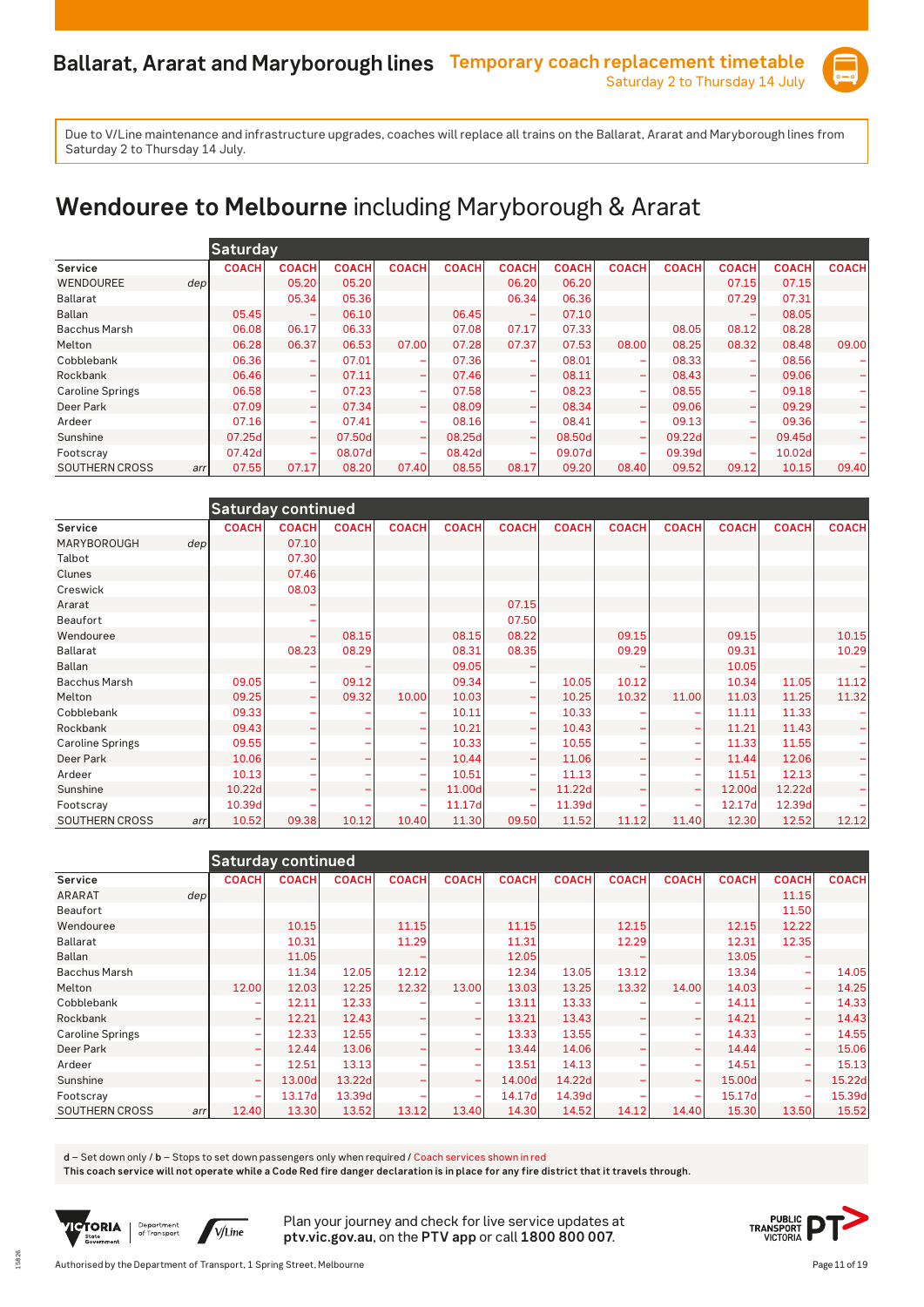

# **Wendouree to Melbourne** including Maryborough & Ararat

|                              | <b>Saturday</b> |                          |              |                          |              |                          |              |                          |              |              |              |              |
|------------------------------|-----------------|--------------------------|--------------|--------------------------|--------------|--------------------------|--------------|--------------------------|--------------|--------------|--------------|--------------|
| Service                      | <b>COACH</b>    | <b>COACH</b>             | <b>COACH</b> | <b>COACH</b>             | <b>COACH</b> | <b>COACH</b>             | <b>COACH</b> | <b>COACH</b>             | <b>COACH</b> | <b>COACH</b> | <b>COACH</b> | <b>COACH</b> |
| WENDOUREE<br>depl            |                 | 05.20                    | 05.20        |                          |              | 06.20                    | 06.20        |                          |              | 07.15        | 07.15        |              |
| Ballarat                     |                 | 05.34                    | 05.36        |                          |              | 06.34                    | 06.36        |                          |              | 07.29        | 07.31        |              |
| <b>Ballan</b>                | 05.45           |                          | 06.10        |                          | 06.45        |                          | 07.10        |                          |              |              | 08.05        |              |
| <b>Bacchus Marsh</b>         | 06.08           | 06.17                    | 06.33        |                          | 07.08        | 07.17                    | 07.33        |                          | 08.05        | 08.12        | 08.28        |              |
| Melton                       | 06.28           | 06.37                    | 06.53        | 07.00                    | 07.28        | 07.37                    | 07.53        | 08.00                    | 08.25        | 08.32        | 08.48        | 09.00        |
| Cobblebank                   | 06.36           |                          | 07.01        |                          | 07.36        |                          | 08.01        |                          | 08.33        |              | 08.56        |              |
| Rockbank                     | 06.46           | $\overline{\phantom{0}}$ | 07.11        |                          | 07.46        |                          | 08.11        | $\overline{\phantom{0}}$ | 08.43        | -            | 09.06        |              |
| <b>Caroline Springs</b>      | 06.58           | $\overline{\phantom{0}}$ | 07.23        |                          | 07.58        |                          | 08.23        | $\overline{\phantom{a}}$ | 08.55        | -            | 09.18        |              |
| Deer Park                    | 07.09           | $\overline{\phantom{0}}$ | 07.34        | $\overline{\phantom{0}}$ | 08.09        | $\overline{\phantom{0}}$ | 08.34        | $\overline{\phantom{0}}$ | 09.06        | -            | 09.29        |              |
| Ardeer                       | 07.16           | $\overline{\phantom{a}}$ | 07.41        |                          | 08.16        |                          | 08.41        | $\overline{\phantom{0}}$ | 09.13        | -            | 09.36        |              |
| Sunshine                     | 07.25d          |                          | 07.50d       |                          | 08.25d       |                          | 08.50d       | $\overline{\phantom{0}}$ | 09.22d       | -            | 09.45d       |              |
| Footscray                    | 07.42d          | $\overline{\phantom{0}}$ | 08.07dl      |                          | 08.42d       |                          | 09.07d       | $\overline{\phantom{a}}$ | 09.39d       | -            | 10.02d       |              |
| <b>SOUTHERN CROSS</b><br>arr | 07.55           | 07.17                    | 08.20        | 07.40                    | 08.55        | 08.17                    | 09.20        | 08.40                    | 09.52        | 09.12        | 10.15        | 09.40        |

| Saturday continued           |              |              |              |              |              |              |              |              |              |              |              |              |  |
|------------------------------|--------------|--------------|--------------|--------------|--------------|--------------|--------------|--------------|--------------|--------------|--------------|--------------|--|
| Service                      | <b>COACH</b> | <b>COACH</b> | <b>COACH</b> | <b>COACH</b> | <b>COACH</b> | <b>COACH</b> | <b>COACH</b> | <b>COACH</b> | <b>COACH</b> | <b>COACH</b> | <b>COACH</b> | <b>COACH</b> |  |
| MARYBOROUGH<br>dep           |              | 07.10        |              |              |              |              |              |              |              |              |              |              |  |
| Talbot                       |              | 07.30        |              |              |              |              |              |              |              |              |              |              |  |
| Clunes                       |              | 07.46        |              |              |              |              |              |              |              |              |              |              |  |
| Creswick                     |              | 08.03        |              |              |              |              |              |              |              |              |              |              |  |
| Ararat                       |              |              |              |              |              | 07.15        |              |              |              |              |              |              |  |
| Beaufort                     |              |              |              |              |              | 07.50        |              |              |              |              |              |              |  |
| Wendouree                    |              |              | 08.15        |              | 08.15        | 08.22        |              | 09.15        |              | 09.15        |              | 10.15        |  |
| <b>Ballarat</b>              |              | 08.23        | 08.29        |              | 08.31        | 08.35        |              | 09.29        |              | 09.31        |              | 10.29        |  |
| <b>Ballan</b>                |              |              |              |              | 09.05        |              |              |              |              | 10.05        |              |              |  |
| <b>Bacchus Marsh</b>         | 09.05        |              | 09.12        |              | 09.34        |              | 10.05        | 10.12        |              | 10.34        | 11.05        | 11.12        |  |
| Melton                       | 09.25        | ۰            | 09.32        | 10.00        | 10.03        |              | 10.25        | 10.32        | 11.00        | 11.03        | 11.25        | 11.32        |  |
| Cobblebank                   | 09.33        |              |              |              | 10.11        |              | 10.33        |              |              | 11.11        | 11.33        |              |  |
| Rockbank                     | 09.43        |              |              |              | 10.21        |              | 10.43        |              |              | 11.21        | 11.43        |              |  |
| <b>Caroline Springs</b>      | 09.55        |              |              |              | 10.33        |              | 10.55        |              |              | 11.33        | 11.55        |              |  |
| Deer Park                    | 10.06        |              |              |              | 10.44        |              | 11.06        |              |              | 11.44        | 12.06        |              |  |
| Ardeer                       | 10.13        |              |              |              | 10.51        |              | 11.13        |              |              | 11.51        | 12.13        |              |  |
| Sunshine                     | 10.22d       |              |              |              | 11.00d       |              | 11.22d       |              |              | 12.00d       | 12.22d       |              |  |
| Footscray                    | 10.39d       |              |              |              | 11.17d       |              | 11.39d       |              |              | 12.17d       | 12.39d       |              |  |
| <b>SOUTHERN CROSS</b><br>arr | 10.52        | 09.38        | 10.12        | 10.40        | 11.30        | 09.50        | 11.52        | 11.12        | 11.40        | 12.30        | 12.52        | 12.12        |  |

|                         |                          | <b>Saturday continued</b> |              |              |                          |              |              |              |                          |              |              |              |
|-------------------------|--------------------------|---------------------------|--------------|--------------|--------------------------|--------------|--------------|--------------|--------------------------|--------------|--------------|--------------|
| Service                 | <b>COACH</b>             | <b>COACH</b>              | <b>COACH</b> | <b>COACH</b> | <b>COACH</b>             | <b>COACH</b> | <b>COACH</b> | <b>COACH</b> | <b>COACH</b>             | <b>COACH</b> | <b>COACH</b> | <b>COACH</b> |
| <b>ARARAT</b>           | dep                      |                           |              |              |                          |              |              |              |                          |              | 11.15        |              |
| Beaufort                |                          |                           |              |              |                          |              |              |              |                          |              | 11.50        |              |
| Wendouree               |                          | 10.15                     |              | 11.15        |                          | 11.15        |              | 12.15        |                          | 12.15        | 12.22        |              |
| <b>Ballarat</b>         |                          | 10.31                     |              | 11.29        |                          | 11.31        |              | 12.29        |                          | 12.31        | 12.35        |              |
| <b>Ballan</b>           |                          | 11.05                     |              |              |                          | 12.05        |              |              |                          | 13.05        |              |              |
| <b>Bacchus Marsh</b>    |                          | 11.34                     | 12.05        | 12.12        |                          | 12.34        | 13.05        | 13.12        |                          | 13.34        |              | 14.05        |
| Melton                  | 12.00                    | 12.03                     | 12.25        | 12.32        | 13.00                    | 13.03        | 13.25        | 13.32        | 14.00                    | 14.03        |              | 14.25        |
| Cobblebank              |                          | 12.11                     | 12.33        |              |                          | 13.11        | 13.33        |              |                          | 14.11        |              | 14.33        |
| Rockbank                | -                        | 12.21                     | 12.43        |              | $\overline{\phantom{0}}$ | 13.21        | 13.43        |              | $\overline{\phantom{a}}$ | 14.21        |              | 14.43        |
| <b>Caroline Springs</b> | -                        | 12.33                     | 12.55        |              | $\overline{\phantom{a}}$ | 13.33        | 13.55        |              |                          | 14.33        |              | 14.55        |
| Deer Park               | ۰                        | 12.44                     | 13.06        |              |                          | 13.44        | 14.06        |              |                          | 14.44        |              | 15.06        |
| Ardeer                  | ۳                        | 12.51                     | 13.13        |              | ۰                        | 13.51        | 14.13        |              | $\overline{\phantom{0}}$ | 14.51        |              | 15.13        |
| Sunshine                | $\overline{\phantom{0}}$ | 13.00dl                   | 13.22d       |              | $\overline{\phantom{0}}$ | 14.00d       | 14.22d       |              | $\overline{\phantom{a}}$ | 15.00d       |              | 15.22d       |
| Footscray               | ۳                        | 13.17d                    | 13.39d       |              |                          | 14.17d       | 14.39d       |              |                          | 15.17d       |              | 15.39d       |
| SOUTHERN CROSS          | 12.40<br>arr             | 13.30                     | 13.52        | 13.12        | 13.40                    | 14.30        | 14.52        | 14.12        | 14.40                    | 15.30        | 13.50        | 15.52        |

**d** – Set down only / **b** – Stops to set down passengers only when required / Coach services shown in red

**This coach service will not operate while a Code Red fire danger declaration is in place for any fire district that it travels through.**



15826

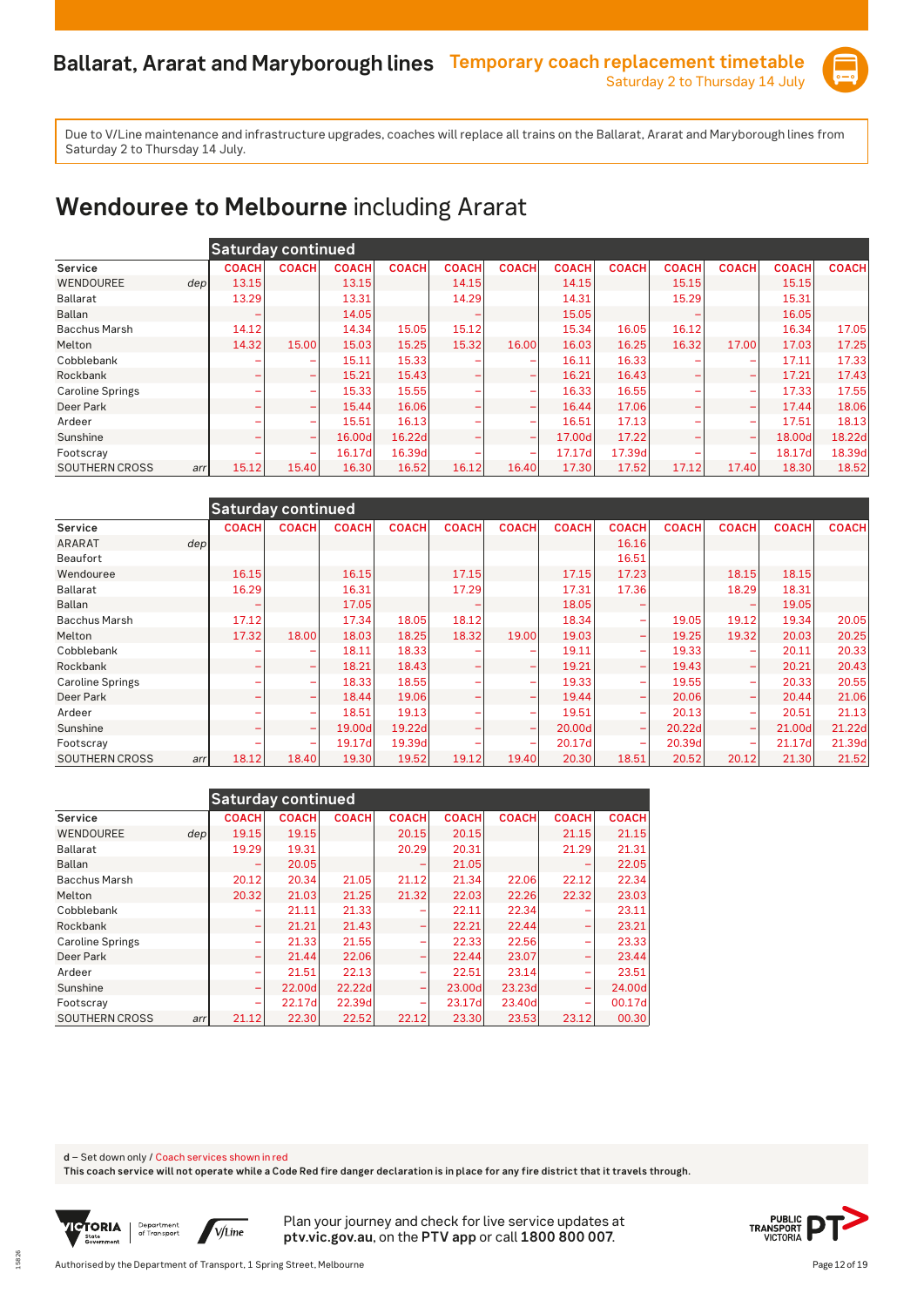

# **Wendouree to Melbourne** including Ararat

|                         |              | <b>Saturday continued</b> |              |              |              |                          |              |              |              |              |              |              |
|-------------------------|--------------|---------------------------|--------------|--------------|--------------|--------------------------|--------------|--------------|--------------|--------------|--------------|--------------|
| Service                 | <b>COACH</b> | <b>COACH</b>              | <b>COACH</b> | <b>COACH</b> | <b>COACH</b> | <b>COACH</b>             | <b>COACH</b> | <b>COACH</b> | <b>COACH</b> | <b>COACH</b> | <b>COACH</b> | <b>COACH</b> |
| WENDOUREE               | 13.15<br>dep |                           | 13.15        |              | 14.15        |                          | 14.15        |              | 15.15        |              | 15.15        |              |
| Ballarat                | 13.29        |                           | 13.31        |              | 14.29        |                          | 14.31        |              | 15.29        |              | 15.31        |              |
| <b>Ballan</b>           |              |                           | 14.05        |              |              |                          | 15.05        |              |              |              | 16.05        |              |
| <b>Bacchus Marsh</b>    | 14.12        |                           | 14.34        | 15.05        | 15.12        |                          | 15.34        | 16.05        | 16.12        |              | 16.34        | 17.05        |
| Melton                  | 14.32        | 15.00                     | 15.03        | 15.25        | 15.32        | 16.00                    | 16.03        | 16.25        | 16.32        | 17.00        | 17.03        | 17.25        |
| Cobblebank              |              |                           | 15.11        | 15.33        |              |                          | 16.11        | 16.33        |              |              | 17.11        | 17.33        |
| Rockbank                | ۰            | $\overline{\phantom{0}}$  | 15.21        | 15.43        |              |                          | 16.21        | 16.43        |              | -            | 17.21        | 17.43        |
| <b>Caroline Springs</b> |              | ۰                         | 15.33        | 15.55        |              |                          | 16.33        | 16.55        |              | -            | 17.33        | 17.55        |
| Deer Park               |              |                           | 15.44        | 16.06        |              |                          | 16.44        | 17.06        |              | -            | 17.44        | 18.06        |
| Ardeer                  |              |                           | 15.51        | 16.13        |              |                          | 16.51        | 17.13        |              | -            | 17.51        | 18.13        |
| Sunshine                | ۰            | $\overline{\phantom{a}}$  | 16.00d       | 16.22d       |              | $\overline{\phantom{a}}$ | 17.00d       | 17.22        |              | -            | 18.00d       | 18.22d       |
| Footscray               |              | $\overline{\phantom{0}}$  | 16.17d       | 16.39d       |              | $\overline{\phantom{a}}$ | 17.17d       | 17.39d       |              | -            | 18.17d       | 18.39d       |
| SOUTHERN CROSS          | 15.12<br>arr | 15.40                     | 16.30        | 16.52        | 16.12        | 16.40                    | 17.30        | 17.52        | 17.12        | 17.40        | 18.30        | 18.52        |

| <b>Saturday continued</b> |                  |              |              |              |                          |                          |              |                          |              |                          |              |              |  |
|---------------------------|------------------|--------------|--------------|--------------|--------------------------|--------------------------|--------------|--------------------------|--------------|--------------------------|--------------|--------------|--|
| Service                   | <b>COACH</b>     | <b>COACH</b> | <b>COACH</b> | <b>COACH</b> | <b>COACH</b>             | <b>COACH</b>             | <b>COACH</b> | <b>COACH</b>             | <b>COACH</b> | <b>COACH</b>             | <b>COACH</b> | <b>COACH</b> |  |
| <b>ARARAT</b>             | dep <sub>1</sub> |              |              |              |                          |                          |              | 16.16                    |              |                          |              |              |  |
| Beaufort                  |                  |              |              |              |                          |                          |              | 16.51                    |              |                          |              |              |  |
| Wendouree                 | 16.15            |              | 16.15        |              | 17.15                    |                          | 17.15        | 17.23                    |              | 18.15                    | 18.15        |              |  |
| Ballarat                  | 16.29            |              | 16.31        |              | 17.29                    |                          | 17.31        | 17.36                    |              | 18.29                    | 18.31        |              |  |
| Ballan                    |                  |              | 17.05        |              |                          |                          | 18.05        |                          |              |                          | 19.05        |              |  |
| <b>Bacchus Marsh</b>      | 17.12            |              | 17.34        | 18.05        | 18.12                    |                          | 18.34        |                          | 19.05        | 19.12                    | 19.34        | 20.05        |  |
| Melton                    | 17.32            | 18.00        | 18.03        | 18.25        | 18.32                    | 19.00                    | 19.03        |                          | 19.25        | 19.32                    | 20.03        | 20.25        |  |
| Cobblebank                |                  | ۰            | 18.11        | 18.33        |                          |                          | 19.11        | $\overline{\phantom{a}}$ | 19.33        |                          | 20.11        | 20.33        |  |
| Rockbank                  | -                | -            | 18.21        | 18.43        |                          | $\overline{\phantom{0}}$ | 19.21        | $\overline{\phantom{0}}$ | 19.43        | $\overline{\phantom{0}}$ | 20.21        | 20.43        |  |
| <b>Caroline Springs</b>   |                  | ۰            | 18.33        | 18.55        |                          |                          | 19.33        |                          | 19.55        | ۰                        | 20.33        | 20.55        |  |
| Deer Park                 | -                | ۰            | 18.44        | 19.06        | $\overline{\phantom{0}}$ |                          | 19.44        | $\overline{\phantom{0}}$ | 20.06        | $\overline{\phantom{0}}$ | 20.44        | 21.06        |  |
| Ardeer                    |                  | ۰            | 18.51        | 19.13        |                          | ۰                        | 19.51        | -                        | 20.13        | $\overline{\phantom{a}}$ | 20.51        | 21.13        |  |
| Sunshine                  |                  | ۰            | 19.00d       | 19.22d       |                          |                          | 20.00d       |                          | 20.22d       |                          | 21.00d       | 21.22d       |  |
| Footscray                 |                  | ۰            | 19.17d       | 19.39d       |                          |                          | 20.17d       |                          | 20.39d       |                          | 21.17d       | 21.39d       |  |
| <b>SOUTHERN CROSS</b>     | 18.12<br>arr     | 18.40        | 19.30        | 19.52        | 19.12                    | 19.40                    | 20.30        | 18.51                    | 20.52        | 20.12                    | 21.30        | 21.52        |  |

|                         |     | <b>Saturday continued</b> |              |              |                          |              |              |                          |              |
|-------------------------|-----|---------------------------|--------------|--------------|--------------------------|--------------|--------------|--------------------------|--------------|
| Service                 |     | <b>COACH</b>              | <b>COACH</b> | <b>COACH</b> | <b>COACH</b>             | <b>COACH</b> | <b>COACH</b> | <b>COACH</b>             | <b>COACH</b> |
| <b>WENDOUREE</b>        | dep | 19.15                     | 19.15        |              | 20.15                    | 20.15        |              | 21.15                    | 21.15        |
| <b>Ballarat</b>         |     | 19.29                     | 19.31        |              | 20.29                    | 20.31        |              | 21.29                    | 21.31        |
| Ballan                  |     |                           | 20.05        |              | -                        | 21.05        |              |                          | 22.05        |
| <b>Bacchus Marsh</b>    |     | 20.12                     | 20.34        | 21.05        | 21.12                    | 21.34        | 22.06        | 22.12                    | 22.34        |
| Melton                  |     | 20.32                     | 21.03        | 21.25        | 21.32                    | 22.03        | 22.26        | 22.32                    | 23.03        |
| Cobblebank              |     |                           | 21.11        | 21.33        | -                        | 22.11        | 22.34        |                          | 23.11        |
| Rockbank                |     | -                         | 21.21        | 21.43        | -                        | 22.21        | 22.44        | -                        | 23.21        |
| <b>Caroline Springs</b> |     | ۰                         | 21.33        | 21.55        | -                        | 22.33        | 22.56        | -                        | 23.33        |
| Deer Park               |     | ۰                         | 21.44        | 22.06        | -                        | 22.44        | 23.07        | -                        | 23.44        |
| Ardeer                  |     | ۰                         | 21.51        | 22.13        | -                        | 22.51        | 23.14        |                          | 23.51        |
| Sunshine                |     | -                         | 22.00dl      | 22.22d       | $\overline{\phantom{m}}$ | 23.00dl      | 23.23d       | $\overline{\phantom{0}}$ | 24.00d       |
| Footscray               |     | ۰                         | 22.17d       | 22.39d       | -                        | 23.17dl      | 23.40d       | ۰                        | 00.17d       |
| SOUTHERN CROSS          | arr | 21.12                     | 22.30        | 22.52        | 22.12                    | 23.30        | 23.53        | 23.12                    | 00.30        |

**d** – Set down only / Coach services shown in red

**This coach service will not operate while a Code Red fire danger declaration is in place for any fire district that it travels through.**



15826

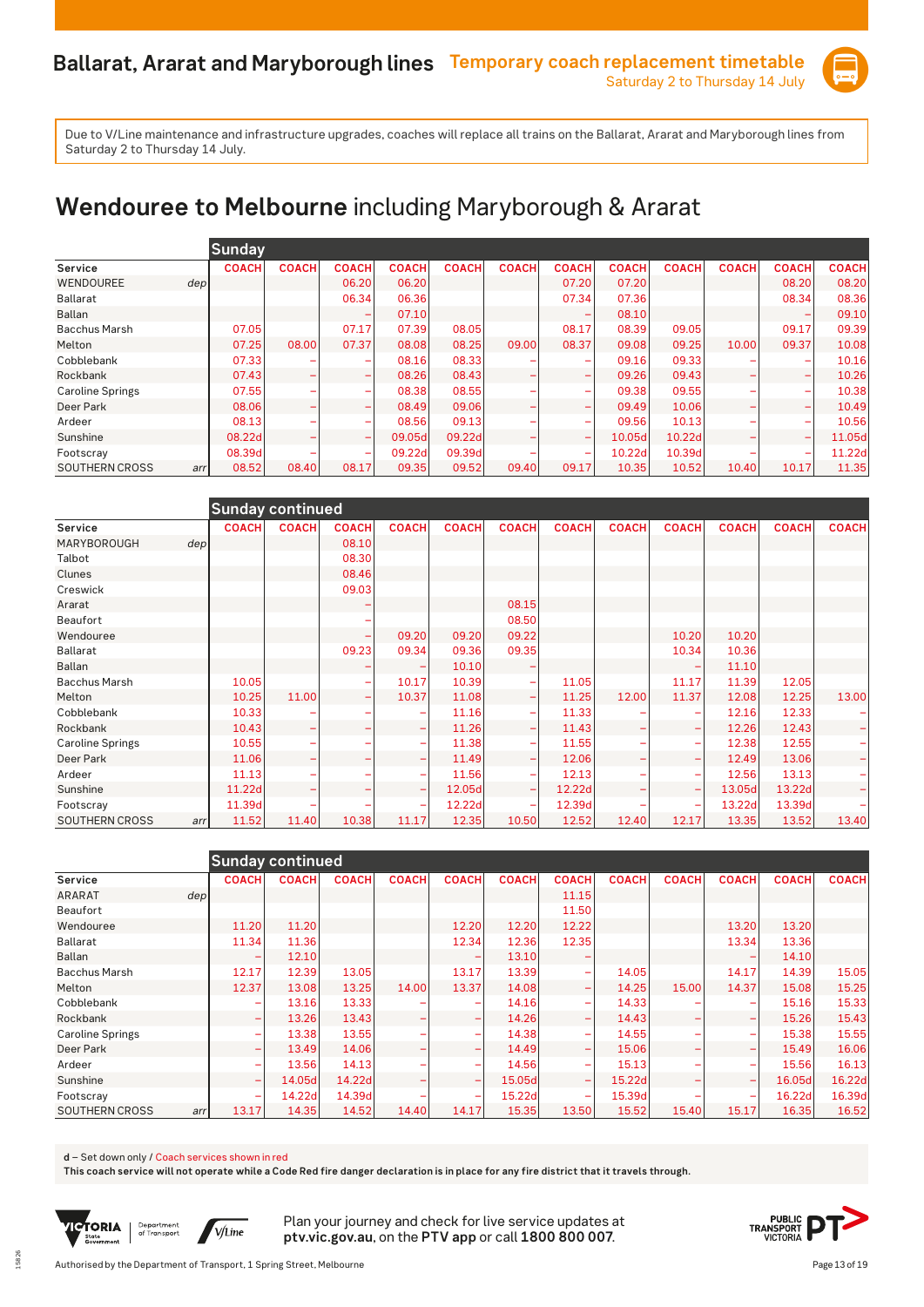

# **Wendouree to Melbourne** including Maryborough & Ararat

|                         | <b>Sunday</b> |              |                          |              |              |              |                          |              |              |              |              |              |
|-------------------------|---------------|--------------|--------------------------|--------------|--------------|--------------|--------------------------|--------------|--------------|--------------|--------------|--------------|
| Service                 | <b>COACH</b>  | <b>COACH</b> | <b>COACH</b>             | <b>COACH</b> | <b>COACH</b> | <b>COACH</b> | <b>COACH</b>             | <b>COACH</b> | <b>COACH</b> | <b>COACH</b> | <b>COACH</b> | <b>COACH</b> |
| WENDOUREE               | depl          |              | 06.20                    | 06.20        |              |              | 07.20                    | 07.20        |              |              | 08.20        | 08.20        |
| Ballarat                |               |              | 06.34                    | 06.36        |              |              | 07.34                    | 07.36        |              |              | 08.34        | 08.36        |
| <b>Ballan</b>           |               |              |                          | 07.10        |              |              |                          | 08.10        |              |              |              | 09.10        |
| <b>Bacchus Marsh</b>    | 07.05         |              | 07.17                    | 07.39        | 08.05        |              | 08.17                    | 08.39        | 09.05        |              | 09.17        | 09.39        |
| Melton                  | 07.25         | 08.00        | 07.37                    | 08.08        | 08.25        | 09.00        | 08.37                    | 09.08        | 09.25        | 10.00        | 09.37        | 10.08        |
| Cobblebank              | 07.33         |              | $\overline{\phantom{0}}$ | 08.16        | 08.33        |              |                          | 09.16        | 09.33        |              |              | 10.16        |
| Rockbank                | 07.43         |              | $\overline{\phantom{0}}$ | 08.26        | 08.43        |              | $\overline{\phantom{a}}$ | 09.26        | 09.43        | -            |              | 10.26        |
| <b>Caroline Springs</b> | 07.55         |              | $\overline{\phantom{a}}$ | 08.38        | 08.55        |              | $\overline{\phantom{a}}$ | 09.38        | 09.55        | -            |              | 10.38        |
| Deer Park               | 08.06         |              | $\overline{\phantom{0}}$ | 08.49        | 09.06        |              |                          | 09.49        | 10.06        |              |              | 10.49        |
| Ardeer                  | 08.13         |              | ۰                        | 08.56        | 09.13        |              |                          | 09.56        | 10.13        |              |              | 10.56        |
| Sunshine                | 08.22d        |              | $\overline{\phantom{0}}$ | 09.05d       | 09.22d       |              | $\overline{\phantom{a}}$ | 10.05d       | 10.22d       | -            |              | 11.05d       |
| Footscray               | 08.39d        |              | $\overline{\phantom{0}}$ | 09.22d       | 09.39d       |              |                          | 10.22d       | 10.39d       |              |              | 11.22d       |
| <b>SOUTHERN CROSS</b>   | 08.52<br>arr  | 08.40        | 08.17                    | 09.35        | 09.52        | 09.40        | 09.17                    | 10.35        | 10.52        | 10.40        | 10.17        | 11.35        |

|                         |     | <b>Sunday continued</b> |              |                          |              |              |                          |              |              |              |              |              |              |
|-------------------------|-----|-------------------------|--------------|--------------------------|--------------|--------------|--------------------------|--------------|--------------|--------------|--------------|--------------|--------------|
| Service                 |     | <b>COACH</b>            | <b>COACH</b> | <b>COACH</b>             | <b>COACH</b> | <b>COACH</b> | <b>COACH</b>             | <b>COACH</b> | <b>COACH</b> | <b>COACH</b> | <b>COACH</b> | <b>COACH</b> | <b>COACH</b> |
| MARYBOROUGH             | dep |                         |              | 08.10                    |              |              |                          |              |              |              |              |              |              |
| Talbot                  |     |                         |              | 08.30                    |              |              |                          |              |              |              |              |              |              |
| Clunes                  |     |                         |              | 08.46                    |              |              |                          |              |              |              |              |              |              |
| Creswick                |     |                         |              | 09.03                    |              |              |                          |              |              |              |              |              |              |
| Ararat                  |     |                         |              |                          |              |              | 08.15                    |              |              |              |              |              |              |
| Beaufort                |     |                         |              |                          |              |              | 08.50                    |              |              |              |              |              |              |
| Wendouree               |     |                         |              | ۰                        | 09.20        | 09.20        | 09.22                    |              |              | 10.20        | 10.20        |              |              |
| <b>Ballarat</b>         |     |                         |              | 09.23                    | 09.34        | 09.36        | 09.35                    |              |              | 10.34        | 10.36        |              |              |
| <b>Ballan</b>           |     |                         |              |                          |              | 10.10        |                          |              |              |              | 11.10        |              |              |
| <b>Bacchus Marsh</b>    |     | 10.05                   |              | $\overline{\phantom{0}}$ | 10.17        | 10.39        | ۰                        | 11.05        |              | 11.17        | 11.39        | 12.05        |              |
| Melton                  |     | 10.25                   | 11.00        | $\overline{\phantom{0}}$ | 10.37        | 11.08        | -                        | 11.25        | 12.00        | 11.37        | 12.08        | 12.25        | 13.00        |
| Cobblebank              |     | 10.33                   |              |                          |              | 11.16        | ۰                        | 11.33        |              |              | 12.16        | 12.33        |              |
| Rockbank                |     | 10.43                   |              |                          |              | 11.26        | -                        | 11.43        |              |              | 12.26        | 12.43        |              |
| <b>Caroline Springs</b> |     | 10.55                   |              |                          |              | 11.38        | ۰                        | 11.55        |              | -            | 12.38        | 12.55        |              |
| Deer Park               |     | 11.06                   |              |                          |              | 11.49        | -                        | 12.06        |              |              | 12.49        | 13.06        |              |
| Ardeer                  |     | 11.13                   |              |                          |              | 11.56        | ۰                        | 12.13        |              |              | 12.56        | 13.13        |              |
| Sunshine                |     | 11.22d                  |              |                          |              | 12.05d       | $\overline{\phantom{0}}$ | 12.22d       |              |              | 13.05d       | 13.22d       |              |
| Footscray               |     | 11.39d                  |              |                          |              | 12.22d       |                          | 12.39d       |              |              | 13.22d       | 13.39d       |              |
| <b>SOUTHERN CROSS</b>   | arr | 11.52                   | 11.40        | 10.38                    | 11.17        | 12.35        | 10.50                    | 12.52        | 12.40        | 12.17        | 13.35        | 13.52        | 13.40        |

|                         |                          | <b>Sunday continued</b> |              |              |                          |              |                          |              |                          |              |              |              |
|-------------------------|--------------------------|-------------------------|--------------|--------------|--------------------------|--------------|--------------------------|--------------|--------------------------|--------------|--------------|--------------|
| Service                 | <b>COACH</b>             | <b>COACH</b>            | <b>COACH</b> | <b>COACH</b> | <b>COACH</b>             | <b>COACH</b> | <b>COACH</b>             | <b>COACH</b> | <b>COACH</b>             | <b>COACH</b> | <b>COACH</b> | <b>COACH</b> |
| <b>ARARAT</b>           | dep                      |                         |              |              |                          |              | 11.15                    |              |                          |              |              |              |
| Beaufort                |                          |                         |              |              |                          |              | 11.50                    |              |                          |              |              |              |
| Wendouree               | 11.20                    | 11.20                   |              |              | 12.20                    | 12.20        | 12.22                    |              |                          | 13.20        | 13.20        |              |
| Ballarat                | 11.34                    | 11.36                   |              |              | 12.34                    | 12.36        | 12.35                    |              |                          | 13.34        | 13.36        |              |
| <b>Ballan</b>           | ۰                        | 12.10                   |              |              |                          | 13.10        |                          |              |                          |              | 14.10        |              |
| <b>Bacchus Marsh</b>    | 12.17                    | 12.39                   | 13.05        |              | 13.17                    | 13.39        |                          | 14.05        |                          | 14.17        | 14.39        | 15.05        |
| Melton                  | 12.37                    | 13.08                   | 13.25        | 14.00        | 13.37                    | 14.08        |                          | 14.25        | 15.00                    | 14.37        | 15.08        | 15.25        |
| Cobblebank              |                          | 13.16                   | 13.33        |              |                          | 14.16        |                          | 14.33        |                          |              | 15.16        | 15.33        |
| Rockbank                | -                        | 13.26                   | 13.43        |              | $\overline{\phantom{0}}$ | 14.26        | $\overline{\phantom{a}}$ | 14.43        | $\overline{\phantom{0}}$ | -            | 15.26        | 15.43        |
| <b>Caroline Springs</b> | -                        | 13.38                   | 13.55        |              | $\overline{\phantom{a}}$ | 14.38        |                          | 14.55        |                          |              | 15.38        | 15.55        |
| Deer Park               | ۰                        | 13.49                   | 14.06        |              | ۰                        | 14.49        |                          | 15.06        |                          | -            | 15.49        | 16.06        |
| Ardeer                  | ۳                        | 13.56                   | 14.13        |              | ۰                        | 14.56        |                          | 15.13        |                          | -            | 15.56        | 16.13        |
| Sunshine                | $\overline{\phantom{0}}$ | 14.05d                  | 14.22d       |              | $\overline{\phantom{0}}$ | 15.05d       | $\overline{\phantom{0}}$ | 15.22d       |                          | -            | 16.05d       | 16.22d       |
| Footscray               | ۰                        | 14.22d                  | 14.39d       |              |                          | 15.22d       |                          | 15.39d       |                          |              | 16.22d       | 16.39d       |
| SOUTHERN CROSS          | 13.17<br>arr             | 14.35                   | 14.52        | 14.40        | 14.17                    | 15.35        | 13.50                    | 15.52        | 15.40                    | 15.17        | 16.35        | 16.52        |

#### **d** – Set down only / Coach services shown in red

**This coach service will not operate while a Code Red fire danger declaration is in place for any fire district that it travels through.**



15826

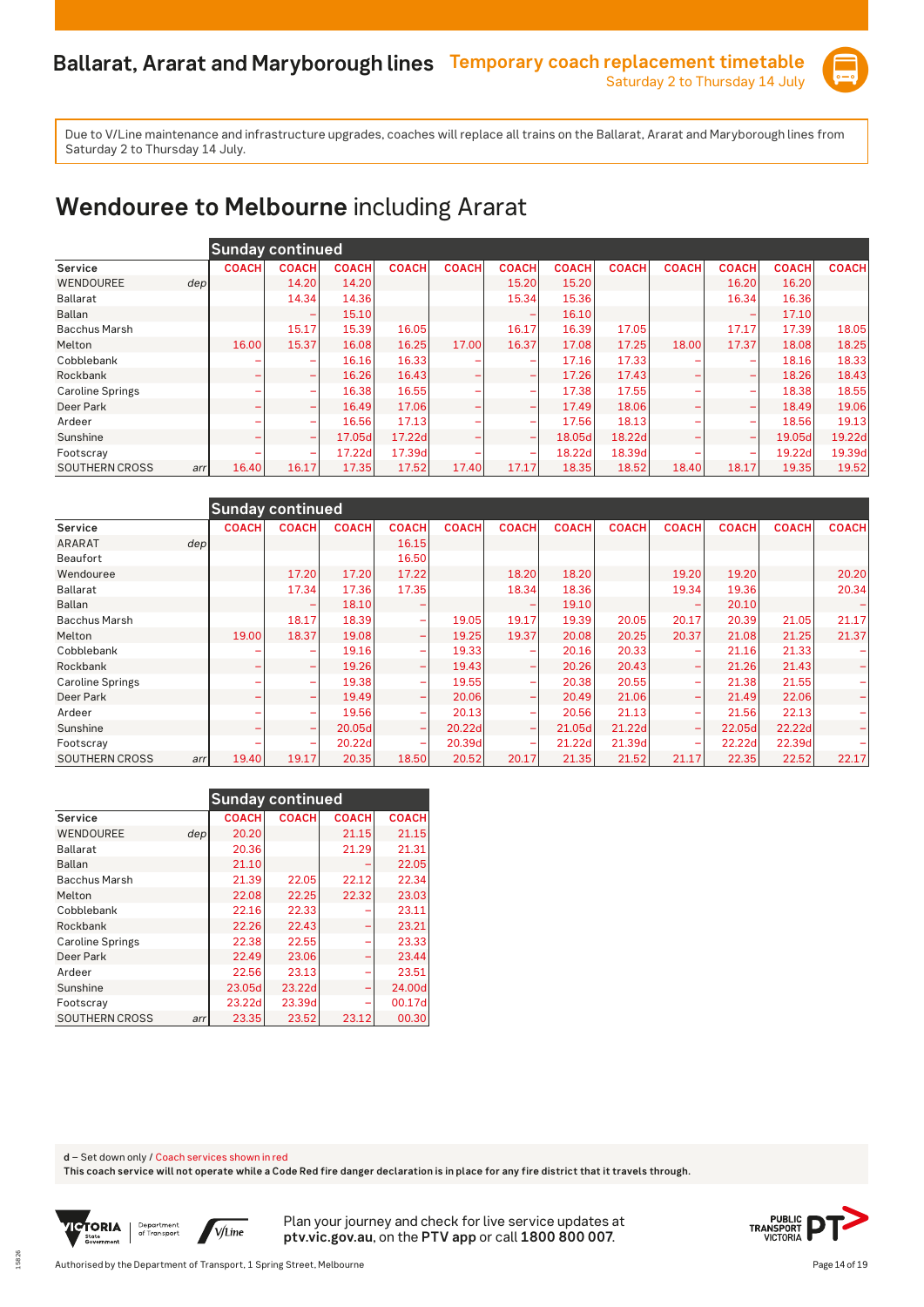

### **Wendouree to Melbourne** including Ararat

|                              |              | <b>Sunday continued</b>  |              |              |              |                          |              |              |              |              |              |              |
|------------------------------|--------------|--------------------------|--------------|--------------|--------------|--------------------------|--------------|--------------|--------------|--------------|--------------|--------------|
| Service                      | <b>COACH</b> | <b>COACH</b>             | <b>COACH</b> | <b>COACH</b> | <b>COACH</b> | <b>COACH</b>             | <b>COACH</b> | <b>COACH</b> | <b>COACH</b> | <b>COACH</b> | <b>COACH</b> | <b>COACH</b> |
| WENDOUREE<br>depl            |              | 14.20                    | 14.20        |              |              | 15.20                    | 15.20        |              |              | 16.20        | 16.20        |              |
| Ballarat                     |              | 14.34                    | 14.36        |              |              | 15.34                    | 15.36        |              |              | 16.34        | 16.36        |              |
| <b>Ballan</b>                |              |                          | 15.10        |              |              |                          | 16.10        |              |              |              | 17.10        |              |
| <b>Bacchus Marsh</b>         |              | 15.17                    | 15.39        | 16.05        |              | 16.17                    | 16.39        | 17.05        |              | 17.17        | 17.39        | 18.05        |
| Melton                       | 16.00        | 15.37                    | 16.08        | 16.25        | 17.00        | 16.37                    | 17.08        | 17.25        | 18.00        | 17.37        | 18.08        | 18.25        |
| Cobblebank                   |              |                          | 16.16        | 16.33        |              |                          | 17.16        | 17.33        |              |              | 18.16        | 18.33        |
| Rockbank                     | ۰            | $\overline{\phantom{0}}$ | 16.26        | 16.43        |              |                          | 17.26        | 17.43        |              | -            | 18.26        | 18.43        |
| <b>Caroline Springs</b>      |              | ۰                        | 16.38        | 16.55        |              |                          | 17.38        | 17.55        |              | -            | 18.38        | 18.55        |
| Deer Park                    |              |                          | 16.49        | 17.06        |              |                          | 17.49        | 18.06        |              | -            | 18.49        | 19.06        |
| Ardeer                       |              |                          | 16.56        | 17.13        |              |                          | 17.56        | 18.13        |              | -            | 18.56        | 19.13        |
| Sunshine                     | ۰            | $\overline{\phantom{a}}$ | 17.05d       | 17.22d       |              | $\overline{\phantom{a}}$ | 18.05d       | 18.22d       |              | -            | 19.05d       | 19.22d       |
| Footscray                    |              | $\overline{\phantom{0}}$ | 17.22d       | 17.39d       |              | $\overline{\phantom{0}}$ | 18.22d       | 18.39d       |              | -            | 19.22d       | 19.39d       |
| <b>SOUTHERN CROSS</b><br>arr | 16.40        | 16.17                    | 17.35        | 17.52        | 17.40        | 17.17                    | 18.35        | 18.52        | 18.40        | 18.17        | 19.35        | 19.52        |

|                              | <b>Sunday continued</b> |              |              |                          |              |                          |              |              |                          |              |              |              |
|------------------------------|-------------------------|--------------|--------------|--------------------------|--------------|--------------------------|--------------|--------------|--------------------------|--------------|--------------|--------------|
| Service                      | <b>COACH</b>            | <b>COACH</b> | <b>COACH</b> | <b>COACH</b>             | <b>COACH</b> | <b>COACH</b>             | <b>COACH</b> | <b>COACH</b> | <b>COACH</b>             | <b>COACH</b> | <b>COACH</b> | <b>COACH</b> |
| ARARAT<br>dep <sub>1</sub>   |                         |              |              | 16.15                    |              |                          |              |              |                          |              |              |              |
| Beaufort                     |                         |              |              | 16.50                    |              |                          |              |              |                          |              |              |              |
| Wendouree                    |                         | 17.20        | 17.20        | 17.22                    |              | 18.20                    | 18.20        |              | 19.20                    | 19.20        |              | 20.20        |
| <b>Ballarat</b>              |                         | 17.34        | 17.36        | 17.35                    |              | 18.34                    | 18.36        |              | 19.34                    | 19.36        |              | 20.34        |
| Ballan                       |                         |              | 18.10        |                          |              |                          | 19.10        |              |                          | 20.10        |              |              |
| <b>Bacchus Marsh</b>         |                         | 18.17        | 18.39        | ۰                        | 19.05        | 19.17                    | 19.39        | 20.05        | 20.17                    | 20.39        | 21.05        | 21.17        |
| Melton                       | 19.00                   | 18.37        | 19.08        | ۰                        | 19.25        | 19.37                    | 20.08        | 20.25        | 20.37                    | 21.08        | 21.25        | 21.37        |
| Cobblebank                   |                         |              | 19.16        | ۰                        | 19.33        |                          | 20.16        | 20.33        |                          | 21.16        | 21.33        |              |
| Rockbank                     |                         | -            | 19.26        | $\overline{\phantom{0}}$ | 19.43        |                          | 20.26        | 20.43        | -                        | 21.26        | 21.43        | -            |
| <b>Caroline Springs</b>      |                         | ۰            | 19.38        | ۰                        | 19.55        | $\overline{\phantom{0}}$ | 20.38        | 20.55        | $\overline{\phantom{0}}$ | 21.38        | 21.55        |              |
| Deer Park                    | -                       | ۰            | 19.49        | $\overline{\phantom{0}}$ | 20.06        | $\overline{\phantom{0}}$ | 20.49        | 21.06        |                          | 21.49        | 22.06        |              |
| Ardeer                       |                         | ۰            | 19.56        | $\overline{\phantom{a}}$ | 20.13        | $\overline{\phantom{0}}$ | 20.56        | 21.13        | -                        | 21.56        | 22.13        |              |
| Sunshine                     | -                       | ۰            | 20.05d       | $\overline{\phantom{0}}$ | 20.22d       | $\overline{\phantom{0}}$ | 21.05d       | 21.22d       | -                        | 22.05d       | 22.22d       |              |
| Footscray                    |                         | ۰            | 20.22d       | ۰                        | 20.39d       | ۰                        | 21.22d       | 21.39d       | $\overline{\phantom{0}}$ | 22.22d       | 22.39d       |              |
| <b>SOUTHERN CROSS</b><br>arr | 19.40                   | 19.17        | 20.35        | 18.50                    | 20.52        | 20.17                    | 21.35        | 21.52        | 21.17                    | 22.35        | 22.52        | 22.17        |

|                         |                  | <b>Sunday continued</b> |              |              |              |
|-------------------------|------------------|-------------------------|--------------|--------------|--------------|
| Service                 |                  | <b>COACH</b>            | <b>COACH</b> | <b>COACH</b> | <b>COACH</b> |
| <b>WENDOUREE</b>        | dep <sub>l</sub> | 20.20                   |              | 21.15        | 21.15        |
| Ballarat                |                  | 20.36                   |              | 21.29        | 21.31        |
| <b>Ballan</b>           |                  | 21.10                   |              |              | 22.05        |
| <b>Bacchus Marsh</b>    |                  | 21.39                   | 22.05        | 22.12        | 22.34        |
| Melton                  |                  | 22.08                   | 22.25        | 22.32        | 23.03        |
| Cobblebank              |                  | 22.16                   | 22.33        |              | 23.11        |
| Rockbank                |                  | 22.26                   | 22.43        |              | 23.21        |
| <b>Caroline Springs</b> |                  | 22.38                   | 22.55        |              | 23.33        |
| Deer Park               |                  | 22.49                   | 23.06        |              | 23.44        |
| Ardeer                  |                  | 22.56                   | 23.13        |              | 23.51        |
| Sunshine                |                  | 23.05d                  | 23.22d       |              | 24.00d       |
| Footscray               |                  | 23.22d                  | 23.39d       |              | 00.17d       |
| <b>SOUTHERN CROSS</b>   | arr              | 23.35                   | 23.52        | 23.12        | 00.30        |

**d** – Set down only / Coach services shown in red

**This coach service will not operate while a Code Red fire danger declaration is in place for any fire district that it travels through.**



15826

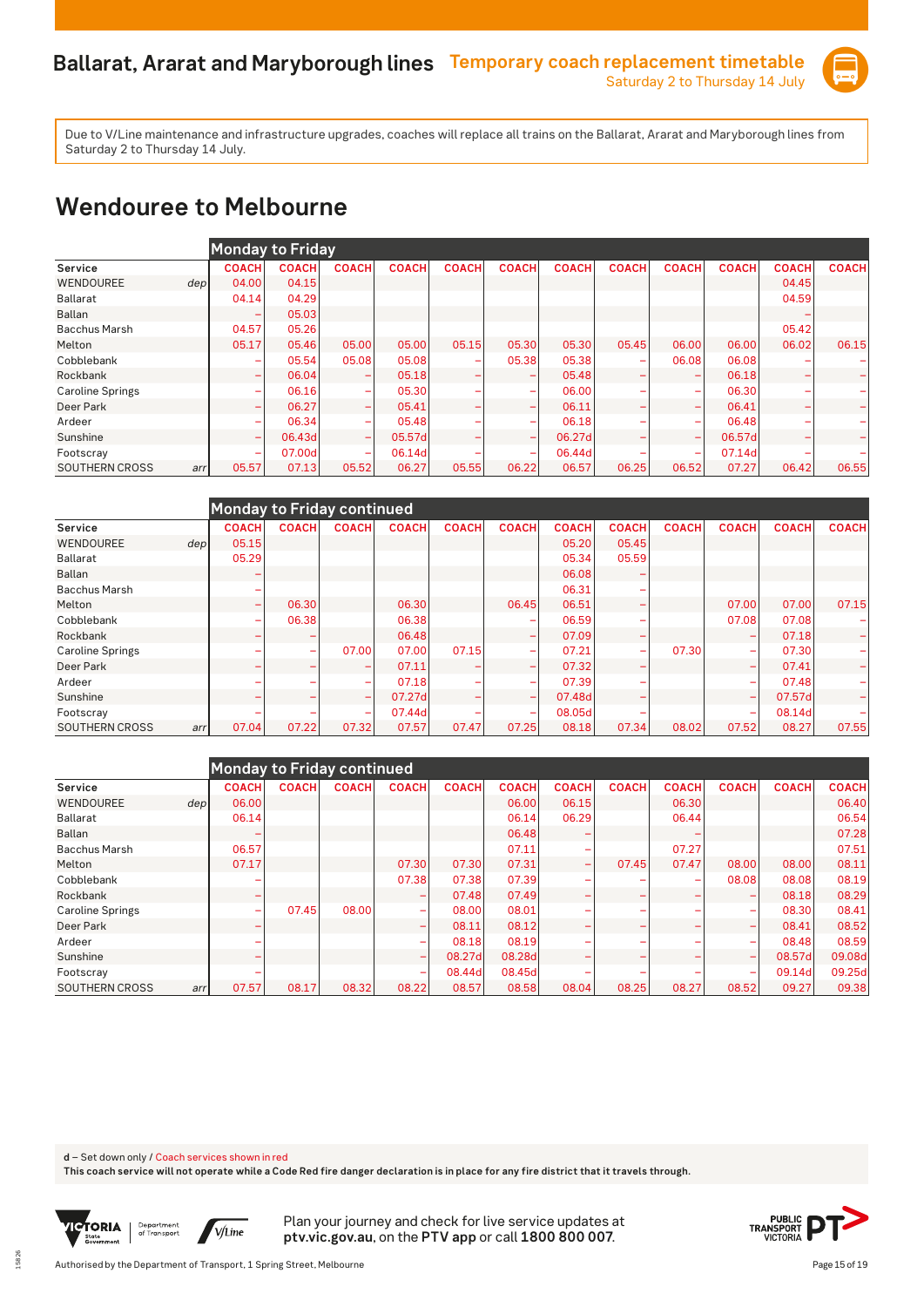

#### **Wendouree to Melbourne**

|                         | <b>Monday to Friday</b>  |              |                          |              |              |              |              |                          |                          |              |              |              |
|-------------------------|--------------------------|--------------|--------------------------|--------------|--------------|--------------|--------------|--------------------------|--------------------------|--------------|--------------|--------------|
| Service                 | <b>COACH</b>             | <b>COACH</b> | <b>COACH</b>             | <b>COACH</b> | <b>COACH</b> | <b>COACH</b> | <b>COACH</b> | <b>COACH</b>             | <b>COACH</b>             | <b>COACH</b> | <b>COACH</b> | <b>COACH</b> |
| WENDOUREE<br>dep        | 04.00                    | 04.15        |                          |              |              |              |              |                          |                          |              | 04.45        |              |
| Ballarat                | 04.14                    | 04.29        |                          |              |              |              |              |                          |                          |              | 04.59        |              |
| <b>Ballan</b>           | ۰                        | 05.03        |                          |              |              |              |              |                          |                          |              |              |              |
| <b>Bacchus Marsh</b>    | 04.57                    | 05.26        |                          |              |              |              |              |                          |                          |              | 05.42        |              |
| Melton                  | 05.17                    | 05.46        | 05.00                    | 05.00        | 05.15        | 05.30        | 05.30        | 05.45                    | 06.00                    | 06.00        | 06.02        | 06.15        |
| Cobblebank              | ۰                        | 05.54        | 05.08                    | 05.08        |              | 05.38        | 05.38        | -                        | 06.08                    | 06.08        |              |              |
| Rockbank                | $\overline{\phantom{0}}$ | 06.04        | $\overline{\phantom{0}}$ | 05.18        |              |              | 05.48        | $\overline{\phantom{0}}$ |                          | 06.18        |              |              |
| <b>Caroline Springs</b> | ۰                        | 06.16        | $\overline{\phantom{a}}$ | 05.30        |              |              | 06.00        |                          |                          | 06.30        |              |              |
| Deer Park               | -                        | 06.27        | $\overline{\phantom{0}}$ | 05.41        |              |              | 06.11        |                          |                          | 06.41        |              |              |
| Ardeer                  | ۰                        | 06.34        | $\overline{\phantom{a}}$ | 05.48        |              |              | 06.18        |                          |                          | 06.48        |              |              |
| Sunshine                | $\overline{\phantom{0}}$ | 06.43d       | $\overline{\phantom{m}}$ | 05.57d       |              |              | 06.27d       |                          |                          | 06.57d       |              |              |
| Footscray               | ۰                        | 07.00d       | $\overline{\phantom{a}}$ | 06.14d       |              |              | 06.44d       |                          | $\overline{\phantom{a}}$ | 07.14d       |              |              |
| SOUTHERN CROSS<br>arr   | 05.57                    | 07.13        | 05.52                    | 06.27        | 05.55        | 06.22        | 06.57        | 06.25                    | 06.52                    | 07.27        | 06.42        | 06.55        |

|                         |      |                          |              | Monday to Friday continued   |              |              |                          |              |                          |              |                          |              |              |
|-------------------------|------|--------------------------|--------------|------------------------------|--------------|--------------|--------------------------|--------------|--------------------------|--------------|--------------------------|--------------|--------------|
| Service                 |      | <b>COACH</b>             | <b>COACH</b> | <b>COACH</b>                 | <b>COACH</b> | <b>COACH</b> | <b>COACH</b>             | <b>COACH</b> | <b>COACH</b>             | <b>COACH</b> | <b>COACH</b>             | <b>COACH</b> | <b>COACH</b> |
| WENDOUREE               | depl | 05.15                    |              |                              |              |              |                          | 05.20        | 05.45                    |              |                          |              |              |
| Ballarat                |      | 05.29                    |              |                              |              |              |                          | 05.34        | 05.59                    |              |                          |              |              |
| Ballan                  |      |                          |              |                              |              |              |                          | 06.08        |                          |              |                          |              |              |
| <b>Bacchus Marsh</b>    |      |                          |              |                              |              |              |                          | 06.31        |                          |              |                          |              |              |
| Melton                  |      | $\overline{\phantom{0}}$ | 06.30        |                              | 06.30        |              | 06.45                    | 06.51        |                          |              | 07.00                    | 07.00        | 07.15        |
| Cobblebank              |      | ۰                        | 06.38        |                              | 06.38        |              |                          | 06.59        |                          |              | 07.08                    | 07.08        |              |
| Rockbank                |      | ۰                        |              |                              | 06.48        |              |                          | 07.09        |                          |              |                          | 07.18        |              |
| <b>Caroline Springs</b> |      |                          | ۰            | 07.00                        | 07.00        | 07.15        | $\overline{\phantom{a}}$ | 07.21        | $\overline{\phantom{0}}$ | 07.30        | $\overline{\phantom{0}}$ | 07.30        |              |
| Deer Park               |      |                          |              | -                            | 07.11        |              | $\overline{\phantom{a}}$ | 07.32        |                          |              | $\overline{\phantom{0}}$ | 07.41        |              |
| Ardeer                  |      |                          |              | $\overline{\phantom{0}}$     | 07.18        |              |                          | 07.39        |                          |              | -                        | 07.48        |              |
| Sunshine                |      |                          |              | $\qquad \qquad \blacksquare$ | 07.27d       |              |                          | 07.48d       |                          |              |                          | 07.57dl      |              |
| Footscray               |      |                          |              | $\overline{\phantom{m}}$     | 07.44d       |              |                          | 08.05dl      |                          |              |                          | 08.14d       |              |
| SOUTHERN CROSS          | arr  | 07.04                    | 07.22        | 07.32                        | 07.57        | 07.47        | 07.25                    | 08.18        | 07.34                    | 08.02        | 07.52                    | 08.27        | 07.55        |

|                         |                  |              |              | Monday to Friday continued |                          |              |              |                          |              |                          |                          |              |              |
|-------------------------|------------------|--------------|--------------|----------------------------|--------------------------|--------------|--------------|--------------------------|--------------|--------------------------|--------------------------|--------------|--------------|
| Service                 |                  | <b>COACH</b> | <b>COACH</b> | <b>COACH</b>               | <b>COACH</b>             | <b>COACH</b> | <b>COACH</b> | <b>COACH</b>             | <b>COACH</b> | <b>COACH</b>             | <b>COACH</b>             | <b>COACH</b> | <b>COACH</b> |
| WENDOUREE               | dep <sub>l</sub> | 06.00        |              |                            |                          |              | 06.00        | 06.15                    |              | 06.30                    |                          |              | 06.40        |
| Ballarat                |                  | 06.14        |              |                            |                          |              | 06.14        | 06.29                    |              | 06.44                    |                          |              | 06.54        |
| <b>Ballan</b>           |                  |              |              |                            |                          |              | 06.48        |                          |              |                          |                          |              | 07.28        |
| <b>Bacchus Marsh</b>    |                  | 06.57        |              |                            |                          |              | 07.11        |                          |              | 07.27                    |                          |              | 07.51        |
| Melton                  |                  | 07.17        |              |                            | 07.30                    | 07.30        | 07.31        | $\overline{\phantom{0}}$ | 07.45        | 07.47                    | 08.00                    | 08.00        | 08.11        |
| Cobblebank              |                  |              |              |                            | 07.38                    | 07.38        | 07.39        |                          |              | $\overline{\phantom{0}}$ | 08.08                    | 08.08        | 08.19        |
| Rockbank                |                  | ۰            |              |                            |                          | 07.48        | 07.49        |                          |              |                          |                          | 08.18        | 08.29        |
| <b>Caroline Springs</b> |                  | ۰            | 07.45        | 08.00                      | -                        | 08.00        | 08.01        |                          |              |                          | -                        | 08.30        | 08.41        |
| Deer Park               |                  |              |              |                            |                          | 08.11        | 08.12        |                          |              |                          | $\overline{\phantom{0}}$ | 08.41        | 08.52        |
| Ardeer                  |                  |              |              |                            |                          | 08.18        | 08.19        |                          |              |                          | -                        | 08.48        | 08.59        |
| Sunshine                |                  |              |              |                            | $\overline{\phantom{0}}$ | 08.27d       | 08.28d       |                          |              |                          | $\overline{\phantom{a}}$ | 08.57dl      | 09.08d       |
| Footscray               |                  |              |              |                            | <b>-</b>                 | 08.44d       | 08.45d       |                          |              |                          | $\overline{\phantom{0}}$ | 09.14d       | 09.25d       |
| <b>SOUTHERN CROSS</b>   | arr              | 07.57        | 08.17        | 08.32                      | 08.22                    | 08.57        | 08.58        | 08.04                    | 08.25        | 08.27                    | 08.52                    | 09.27        | 09.38        |

**d** – Set down only / Coach services shown in red

**This coach service will not operate while a Code Red fire danger declaration is in place for any fire district that it travels through.**



15826

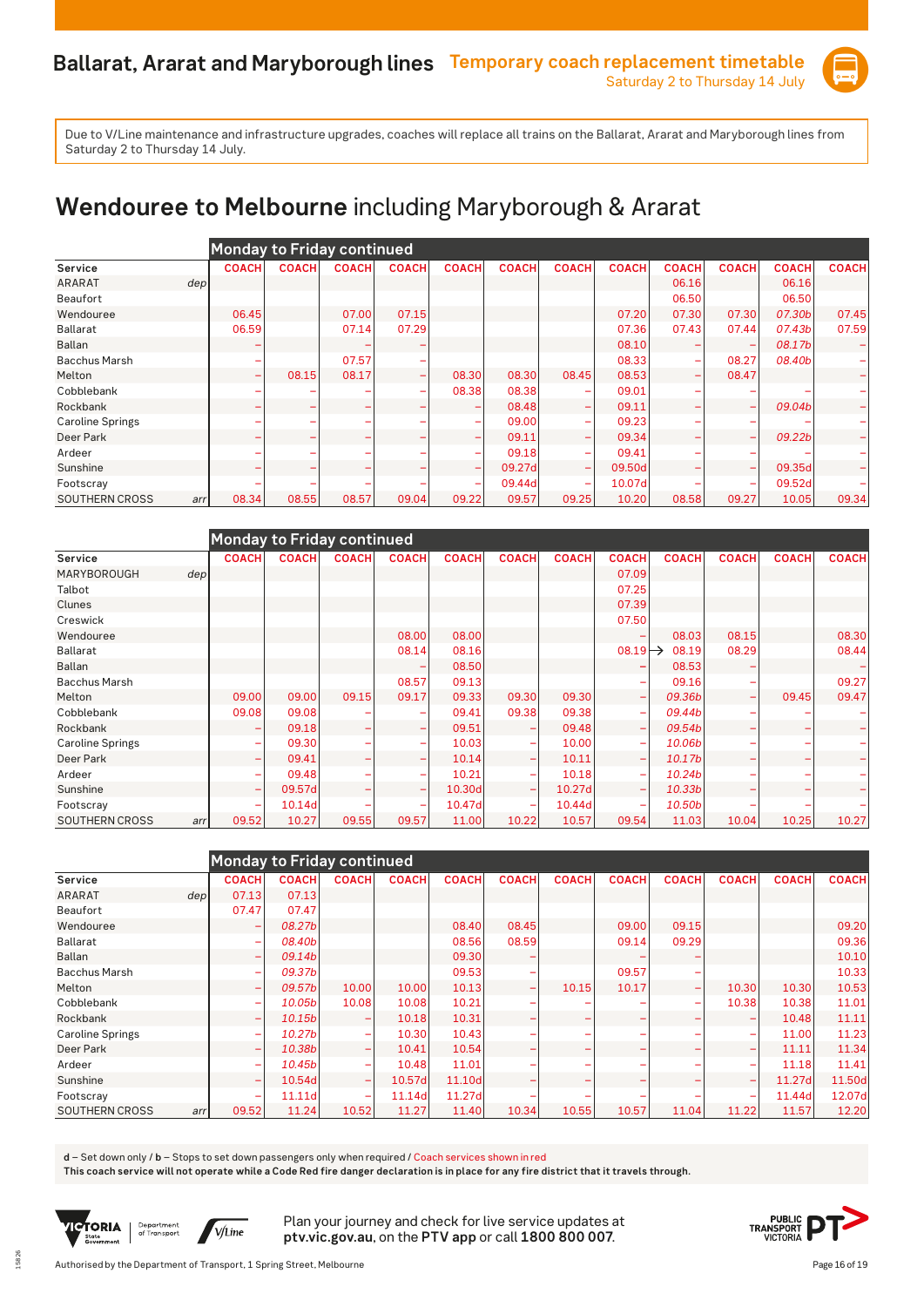

# **Wendouree to Melbourne** including Maryborough & Ararat

|                         |              | <b>Monday to Friday continued</b> |              |              |                          |              |                          |              |              |              |              |              |
|-------------------------|--------------|-----------------------------------|--------------|--------------|--------------------------|--------------|--------------------------|--------------|--------------|--------------|--------------|--------------|
| Service                 | <b>COACH</b> | <b>COACH</b>                      | <b>COACH</b> | <b>COACH</b> | <b>COACH</b>             | <b>COACH</b> | <b>COACH</b>             | <b>COACH</b> | <b>COACH</b> | <b>COACH</b> | <b>COACH</b> | <b>COACH</b> |
| <b>ARARAT</b>           | depl         |                                   |              |              |                          |              |                          |              | 06.16        |              | 06.16        |              |
| <b>Beaufort</b>         |              |                                   |              |              |                          |              |                          |              | 06.50        |              | 06.50        |              |
| Wendouree               | 06.45        |                                   | 07.00        | 07.15        |                          |              |                          | 07.20        | 07.30        | 07.30        | 07.30b       | 07.45        |
| <b>Ballarat</b>         | 06.59        |                                   | 07.14        | 07.29        |                          |              |                          | 07.36        | 07.43        | 07.44        | 07.43b       | 07.59        |
| Ballan                  |              |                                   |              |              |                          |              |                          | 08.10        |              |              | 08.17b       |              |
| <b>Bacchus Marsh</b>    |              |                                   | 07.57        |              |                          |              |                          | 08.33        |              | 08.27        | 08.40b       |              |
| Melton                  | ۰            | 08.15                             | 08.17        |              | 08.30                    | 08.30        | 08.45                    | 08.53        | -            | 08.47        |              |              |
| Cobblebank              |              |                                   |              |              | 08.38                    | 08.38        |                          | 09.01        |              |              |              |              |
| Rockbank                |              |                                   |              |              |                          | 08.48        |                          | 09.11        |              | ۳            | 09.04b       |              |
| <b>Caroline Springs</b> |              |                                   |              |              | $\overline{\phantom{a}}$ | 09.00        |                          | 09.23        |              |              |              |              |
| Deer Park               | ۰            |                                   |              |              | $\overline{\phantom{a}}$ | 09.11        |                          | 09.34        |              | -            | 09.22b       |              |
| Ardeer                  |              |                                   |              |              | $\overline{\phantom{0}}$ | 09.18        |                          | 09.41        |              |              |              |              |
| Sunshine                |              |                                   |              |              | $\overline{\phantom{0}}$ | 09.27d       |                          | 09.50d       |              | -            | 09.35d       |              |
| Footscray               |              |                                   |              |              | $\overline{\phantom{0}}$ | 09.44d       | $\overline{\phantom{0}}$ | 10.07d       |              | ۰            | 09.52dl      |              |
| <b>SOUTHERN CROSS</b>   | 08.34<br>arr | 08.55                             | 08.57        | 09.04        | 09.22                    | 09.57        | 09.25                    | 10.20        | 08.58        | 09.27        | 10.05        | 09.34        |

|                              | <b>Monday to Friday continued</b> |              |                          |                          |              |                          |              |                          |              |              |                          |              |
|------------------------------|-----------------------------------|--------------|--------------------------|--------------------------|--------------|--------------------------|--------------|--------------------------|--------------|--------------|--------------------------|--------------|
| Service                      | <b>COACH</b>                      | <b>COACH</b> | <b>COACH</b>             | <b>COACH</b>             | <b>COACH</b> | <b>COACH</b>             | <b>COACH</b> | <b>COACH</b>             | <b>COACH</b> | <b>COACH</b> | <b>COACH</b>             | <b>COACH</b> |
| MARYBOROUGH<br>dep           |                                   |              |                          |                          |              |                          |              | 07.09                    |              |              |                          |              |
| Talbot                       |                                   |              |                          |                          |              |                          |              | 07.25                    |              |              |                          |              |
| Clunes                       |                                   |              |                          |                          |              |                          |              | 07.39                    |              |              |                          |              |
| Creswick                     |                                   |              |                          |                          |              |                          |              | 07.50                    |              |              |                          |              |
| Wendouree                    |                                   |              |                          | 08.00                    | 08.00        |                          |              |                          | 08.03        | 08.15        |                          | 08.30        |
| <b>Ballarat</b>              |                                   |              |                          | 08.14                    | 08.16        |                          |              | $08.19 \rightarrow$      | 08.19        | 08.29        |                          | 08.44        |
| <b>Ballan</b>                |                                   |              |                          |                          | 08.50        |                          |              |                          | 08.53        |              |                          |              |
| <b>Bacchus Marsh</b>         |                                   |              |                          | 08.57                    | 09.13        |                          |              |                          | 09.16        |              |                          | 09.27        |
| Melton                       | 09.00                             | 09.00        | 09.15                    | 09.17                    | 09.33        | 09.30                    | 09.30        | $\overline{\phantom{a}}$ | 09.36b       |              | 09.45                    | 09.47        |
| Cobblebank                   | 09.08                             | 09.08        |                          |                          | 09.41        | 09.38                    | 09.38        | -                        | 09.44b       |              |                          |              |
| Rockbank                     | ۰                                 | 09.18        | ۰                        |                          | 09.51        |                          | 09.48        | -                        | 09.54b       |              |                          |              |
| <b>Caroline Springs</b>      | ۰                                 | 09.30        | ۰                        |                          | 10.03        |                          | 10.00        | $\overline{\phantom{0}}$ | 10.06b       |              |                          |              |
| Deer Park                    | ۰                                 | 09.41        | -                        |                          | 10.14        |                          | 10.11        | $\overline{\phantom{0}}$ | 10.17b       | -            | $\overline{\phantom{0}}$ |              |
| Ardeer                       | ۰                                 | 09.48        |                          |                          | 10.21        |                          | 10.18        | -                        | 10.24b       |              |                          |              |
| Sunshine                     | $\overline{\phantom{0}}$          | 09.57d       | $\overline{\phantom{0}}$ | $\overline{\phantom{0}}$ | 10.30d       | $\overline{\phantom{0}}$ | 10.27d       | $\overline{\phantom{0}}$ | 10.33b       |              |                          |              |
| Footscray                    | ۰                                 | 10.14d       |                          |                          | 10.47d       |                          | 10.44d       |                          | 10.50b       |              |                          |              |
| <b>SOUTHERN CROSS</b><br>arr | 09.52                             | 10.27        | 09.55                    | 09.57                    | 11.00        | 10.22                    | 10.57        | 09.54                    | 11.03        | 10.04        | 10.25                    | 10.27        |

|                              | Monday to Friday continued |                    |                          |              |              |              |              |              |                          |              |              |              |
|------------------------------|----------------------------|--------------------|--------------------------|--------------|--------------|--------------|--------------|--------------|--------------------------|--------------|--------------|--------------|
| Service                      | <b>COACH</b>               | <b>COACH</b>       | <b>COACH</b>             | <b>COACH</b> | <b>COACH</b> | <b>COACH</b> | <b>COACH</b> | <b>COACH</b> | <b>COACH</b>             | <b>COACH</b> | <b>COACH</b> | <b>COACH</b> |
| <b>ARARAT</b><br>dep         | 07.13                      | 07.13              |                          |              |              |              |              |              |                          |              |              |              |
| <b>Beaufort</b>              | 07.47                      | 07.47              |                          |              |              |              |              |              |                          |              |              |              |
| Wendouree                    | ۰                          | 08.27b             |                          |              | 08.40        | 08.45        |              | 09.00        | 09.15                    |              |              | 09.20        |
| <b>Ballarat</b>              | -                          | 08.40b             |                          |              | 08.56        | 08.59        |              | 09.14        | 09.29                    |              |              | 09.36        |
| <b>Ballan</b>                | ۰                          | 09.14b             |                          |              | 09.30        |              |              |              |                          |              |              | 10.10        |
| <b>Bacchus Marsh</b>         | ۰                          | 09.37 <sub>b</sub> |                          |              | 09.53        |              |              | 09.57        |                          |              |              | 10.33        |
| Melton                       | ۰                          | 09.57b             | 10.00                    | 10.00        | 10.13        | -            | 10.15        | 10.17        | $\overline{\phantom{a}}$ | 10.30        | 10.30        | 10.53        |
| Cobblebank                   | ۳                          | 10.05b             | 10.08                    | 10.08        | 10.21        |              |              |              |                          | 10.38        | 10.38        | 11.01        |
| Rockbank                     | ۰                          | 10.15b             | $\overline{\phantom{0}}$ | 10.18        | 10.31        |              |              | -            |                          |              | 10.48        | 11.11        |
| <b>Caroline Springs</b>      | ۰                          | 10.27b             | $\overline{\phantom{a}}$ | 10.30        | 10.43        |              |              |              |                          | -            | 11.00        | 11.23        |
| Deer Park                    | ۳                          | 10.38b             | $\overline{\phantom{0}}$ | 10.41        | 10.54        |              |              | -            |                          | -            | 11.11        | 11.34        |
| Ardeer                       | ۰                          | 10.45b             | ۰                        | 10.48        | 11.01        |              |              |              |                          |              | 11.18        | 11.41        |
| Sunshine                     | ۳                          | 10.54d             | $\overline{\phantom{0}}$ | 10.57d       | 11.10d       |              |              |              |                          | -            | 11.27d       | 11.50d       |
| Footscray                    | ۰                          | 11.11d             | $\overline{\phantom{0}}$ | 11.14d       | 11.27d       |              |              |              |                          | -            | 11.44d       | 12.07d       |
| <b>SOUTHERN CROSS</b><br>arr | 09.52                      | 11.24              | 10.52                    | 11.27        | 11.40        | 10.34        | 10.55        | 10.57        | 11.04                    | 11.22        | 11.57        | 12.20        |

**d** – Set down only / **b** – Stops to set down passengers only when required / Coach services shown in red

**This coach service will not operate while a Code Red fire danger declaration is in place for any fire district that it travels through.**



15826

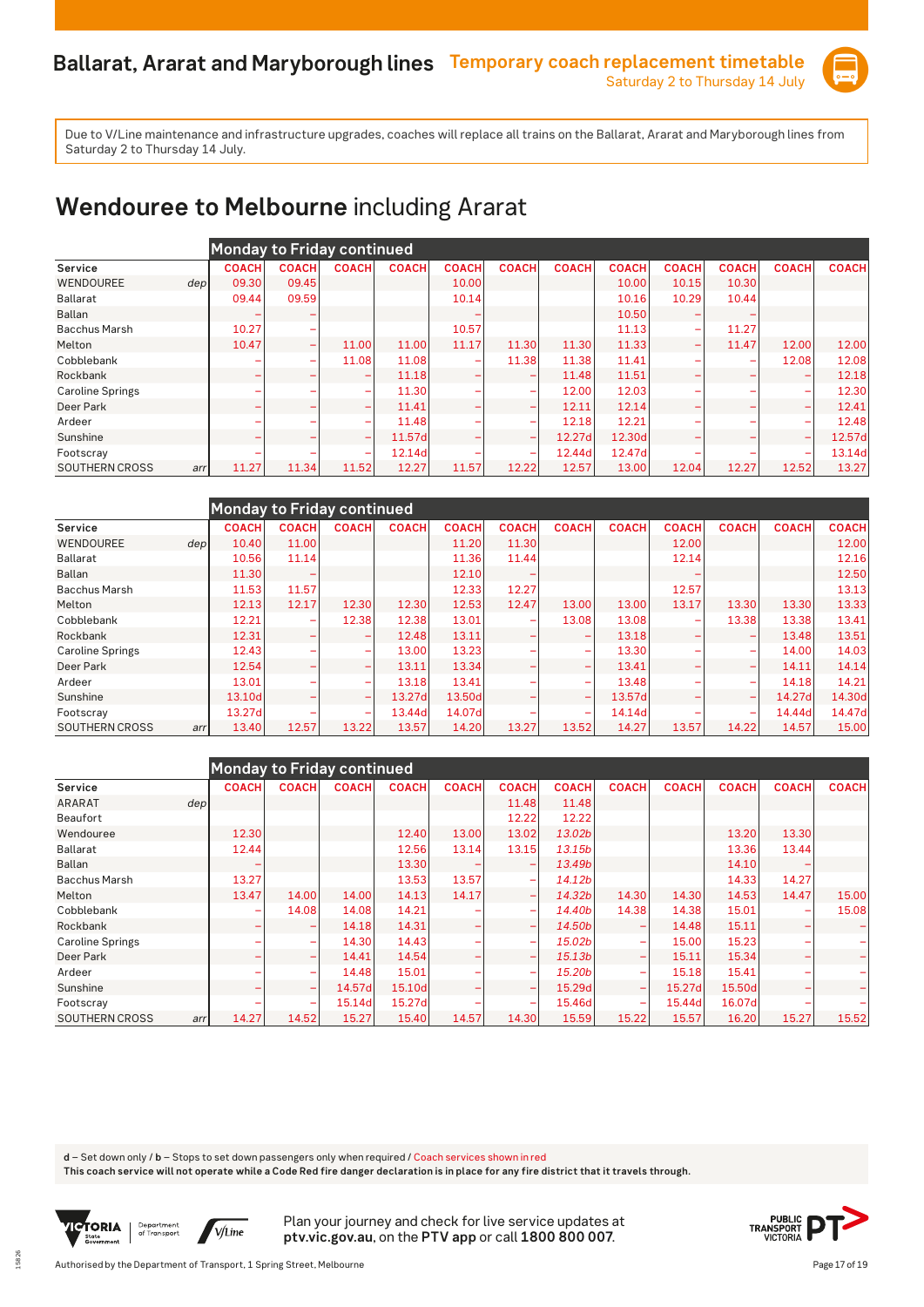

# **Wendouree to Melbourne** including Ararat

|                         |     |              |              | Monday to Friday continued   |              |              |              |              |              |                          |              |                          |              |
|-------------------------|-----|--------------|--------------|------------------------------|--------------|--------------|--------------|--------------|--------------|--------------------------|--------------|--------------------------|--------------|
| Service                 |     | <b>COACH</b> | <b>COACH</b> | <b>COACH</b>                 | <b>COACH</b> | <b>COACH</b> | <b>COACH</b> | <b>COACH</b> | <b>COACH</b> | <b>COACH</b>             | <b>COACH</b> | <b>COACH</b>             | <b>COACH</b> |
| WENDOUREE               | dep | 09.30        | 09.45        |                              |              | 10.00        |              |              | 10.00        | 10.15                    | 10.30        |                          |              |
| Ballarat                |     | 09.44        | 09.59        |                              |              | 10.14        |              |              | 10.16        | 10.29                    | 10.44        |                          |              |
| <b>Ballan</b>           |     |              |              |                              |              |              |              |              | 10.50        |                          |              |                          |              |
| <b>Bacchus Marsh</b>    |     | 10.27        | ۰            |                              |              | 10.57        |              |              | 11.13        | $\overline{\phantom{a}}$ | 11.27        |                          |              |
| Melton                  |     | 10.47        | -            | 11.00                        | 11.00        | 11.17        | 11.30        | 11.30        | 11.33        | $\overline{\phantom{a}}$ | 11.47        | 12.00                    | 12.00        |
| Cobblebank              |     |              | ۰            | 11.08                        | 11.08        |              | 11.38        | 11.38        | 11.41        |                          |              | 12.08                    | 12.08        |
| Rockbank                |     |              |              | -                            | 11.18        |              |              | 11.48        | 11.51        |                          |              |                          | 12.18        |
| <b>Caroline Springs</b> |     |              |              | $\overline{\phantom{0}}$     | 11.30        |              |              | 12.00        | 12.03        |                          |              |                          | 12.30        |
| Deer Park               |     |              |              | $\overline{\phantom{0}}$     | 11.41        |              |              | 12.11        | 12.14        |                          |              | $\overline{\phantom{a}}$ | 12.41        |
| Ardeer                  |     |              |              | $\overline{\phantom{a}}$     | 11.48        |              |              | 12.18        | 12.21        |                          |              |                          | 12.48        |
| Sunshine                |     |              |              | $\qquad \qquad \blacksquare$ | 11.57d       |              |              | 12.27d       | 12.30d       |                          |              |                          | 12.57d       |
| Footscray               |     | ۰            |              | $\overline{\phantom{a}}$     | 12.14d       |              | -            | 12.44d       | 12.47d       |                          |              | $\overline{\phantom{0}}$ | 13.14d       |
| <b>SOUTHERN CROSS</b>   | arr | 11.27        | 11.34        | 11.52                        | 12.27        | 11.57        | 12.22        | 12.57        | 13.00        | 12.04                    | 12.27        | 12.52                    | 13.27        |

|                         |      |              | <b>Monday to Friday continued</b> |                          |              |              |              |                          |              |              |                          |              |              |
|-------------------------|------|--------------|-----------------------------------|--------------------------|--------------|--------------|--------------|--------------------------|--------------|--------------|--------------------------|--------------|--------------|
| Service                 |      | <b>COACH</b> | <b>COACH</b>                      | <b>COACH</b>             | <b>COACH</b> | <b>COACH</b> | <b>COACH</b> | <b>COACH</b>             | <b>COACH</b> | <b>COACH</b> | <b>COACH</b>             | <b>COACH</b> | <b>COACH</b> |
| WENDOUREE               | depl | 10.40        | 11.00                             |                          |              | 11.20        | 11.30        |                          |              | 12.00        |                          |              | 12.00        |
| <b>Ballarat</b>         |      | 10.56        | 11.14                             |                          |              | 11.36        | 11.44        |                          |              | 12.14        |                          |              | 12.16        |
| Ballan                  |      | 11.30        |                                   |                          |              | 12.10        |              |                          |              |              |                          |              | 12.50        |
| <b>Bacchus Marsh</b>    |      | 11.53        | 11.57                             |                          |              | 12.33        | 12.27        |                          |              | 12.57        |                          |              | 13.13        |
| Melton                  |      | 12.13        | 12.17                             | 12.30                    | 12.30        | 12.53        | 12.47        | 13.00                    | 13.00        | 13.17        | 13.30                    | 13.30        | 13.33        |
| Cobblebank              |      | 12.21        | $\overline{\phantom{a}}$          | 12.38                    | 12.38        | 13.01        |              | 13.08                    | 13.08        | ÷            | 13.38                    | 13.38        | 13.41        |
| Rockbank                |      | 12.31        |                                   | -                        | 12.48        | 13.11        |              |                          | 13.18        | ÷            | -                        | 13.48        | 13.51        |
| <b>Caroline Springs</b> |      | 12.43        |                                   | $\overline{\phantom{a}}$ | 13.00        | 13.23        |              | $\overline{\phantom{0}}$ | 13.30        |              | $\overline{\phantom{0}}$ | 14.00        | 14.03        |
| Deer Park               |      | 12.54        |                                   | $\overline{\phantom{a}}$ | 13.11        | 13.34        |              | $\overline{\phantom{0}}$ | 13.41        |              | -                        | 14.11        | 14.14        |
| Ardeer                  |      | 13.01        |                                   | $\overline{\phantom{0}}$ | 13.18        | 13.41        |              | $\overline{\phantom{0}}$ | 13.48        |              | ÷                        | 14.18        | 14.21        |
| Sunshine                |      | 13.10d       |                                   | $\overline{\phantom{0}}$ | 13.27d       | 13.50d       |              | $\overline{\phantom{0}}$ | 13.57d       |              | $\overline{\phantom{0}}$ | 14.27d       | 14.30d       |
| Footscray               |      | 13.27d       |                                   | $\overline{\phantom{0}}$ | 13.44d       | 14.07d       |              | $\overline{\phantom{a}}$ | 14.14d       |              |                          | 14.44d       | 14.47d       |
| <b>SOUTHERN CROSS</b>   | arr  | 13.40        | 12.57                             | 13.22                    | 13.57        | 14.20        | 13.27        | 13.52                    | 14.27        | 13.57        | 14.22                    | 14.57        | 15.00        |

|                         |      |              |                          | <b>Monday to Friday continued</b> |              |              |                          |                    |                          |              |              |              |              |
|-------------------------|------|--------------|--------------------------|-----------------------------------|--------------|--------------|--------------------------|--------------------|--------------------------|--------------|--------------|--------------|--------------|
| Service                 |      | <b>COACH</b> | <b>COACH</b>             | <b>COACH</b>                      | <b>COACH</b> | <b>COACH</b> | <b>COACH</b>             | <b>COACH</b>       | <b>COACH</b>             | <b>COACH</b> | <b>COACH</b> | <b>COACH</b> | <b>COACH</b> |
| <b>ARARAT</b>           | depl |              |                          |                                   |              |              | 11.48                    | 11.48              |                          |              |              |              |              |
| <b>Beaufort</b>         |      |              |                          |                                   |              |              | 12.22                    | 12.22              |                          |              |              |              |              |
| Wendouree               |      | 12.30        |                          |                                   | 12.40        | 13.00        | 13.02                    | 13.02b             |                          |              | 13.20        | 13.30        |              |
| Ballarat                |      | 12.44        |                          |                                   | 12.56        | 13.14        | 13.15                    | 13.15b             |                          |              | 13.36        | 13.44        |              |
| Ballan                  |      |              |                          |                                   | 13.30        |              |                          | 13.49b             |                          |              | 14.10        |              |              |
| <b>Bacchus Marsh</b>    |      | 13.27        |                          |                                   | 13.53        | 13.57        | $\overline{\phantom{a}}$ | 14.12 <sub>b</sub> |                          |              | 14.33        | 14.27        |              |
| Melton                  |      | 13.47        | 14.00                    | 14.00                             | 14.13        | 14.17        | $\overline{\phantom{a}}$ | 14.32b             | 14.30                    | 14.30        | 14.53        | 14.47        | 15.00        |
| Cobblebank              |      | ۰            | 14.08                    | 14.08                             | 14.21        |              | $\overline{\phantom{a}}$ | 14.40b             | 14.38                    | 14.38        | 15.01        |              | 15.08        |
| Rockbank                |      | ۰            |                          | 14.18                             | 14.31        |              | $\overline{\phantom{0}}$ | 14.50b             |                          | 14.48        | 15.11        |              |              |
| <b>Caroline Springs</b> |      |              |                          | 14.30                             | 14.43        |              | $\overline{\phantom{0}}$ | 15.02b             | -                        | 15.00        | 15.23        |              |              |
| Deer Park               |      | ۰            |                          | 14.41                             | 14.54        |              | $\overline{\phantom{0}}$ | 15.13 <sub>b</sub> | -                        | 15.11        | 15.34        |              |              |
| Ardeer                  |      |              |                          | 14.48                             | 15.01        |              | $\overline{\phantom{a}}$ | 15.20b             | $\overline{\phantom{0}}$ | 15.18        | 15.41        |              |              |
| Sunshine                |      |              | $\overline{\phantom{0}}$ | 14.57d                            | 15.10d       |              | $\overline{\phantom{a}}$ | 15.29d             | -                        | 15.27d       | 15.50d       |              |              |
| Footscray               |      |              | ۰                        | 15.14d                            | 15.27d       |              | ۰                        | 15.46d             | $\overline{\phantom{a}}$ | 15.44dl      | 16.07d       |              |              |
| SOUTHERN CROSS          | arr  | 14.27        | 14.52                    | 15.27                             | 15.40        | 14.57        | 14.30                    | 15.59              | 15.22                    | 15.57        | 16.20        | 15.27        | 15.52        |

**d** – Set down only / **b** – Stops to set down passengers only when required / Coach services shown in red

**This coach service will not operate while a Code Red fire danger declaration is in place for any fire district that it travels through.**



15826

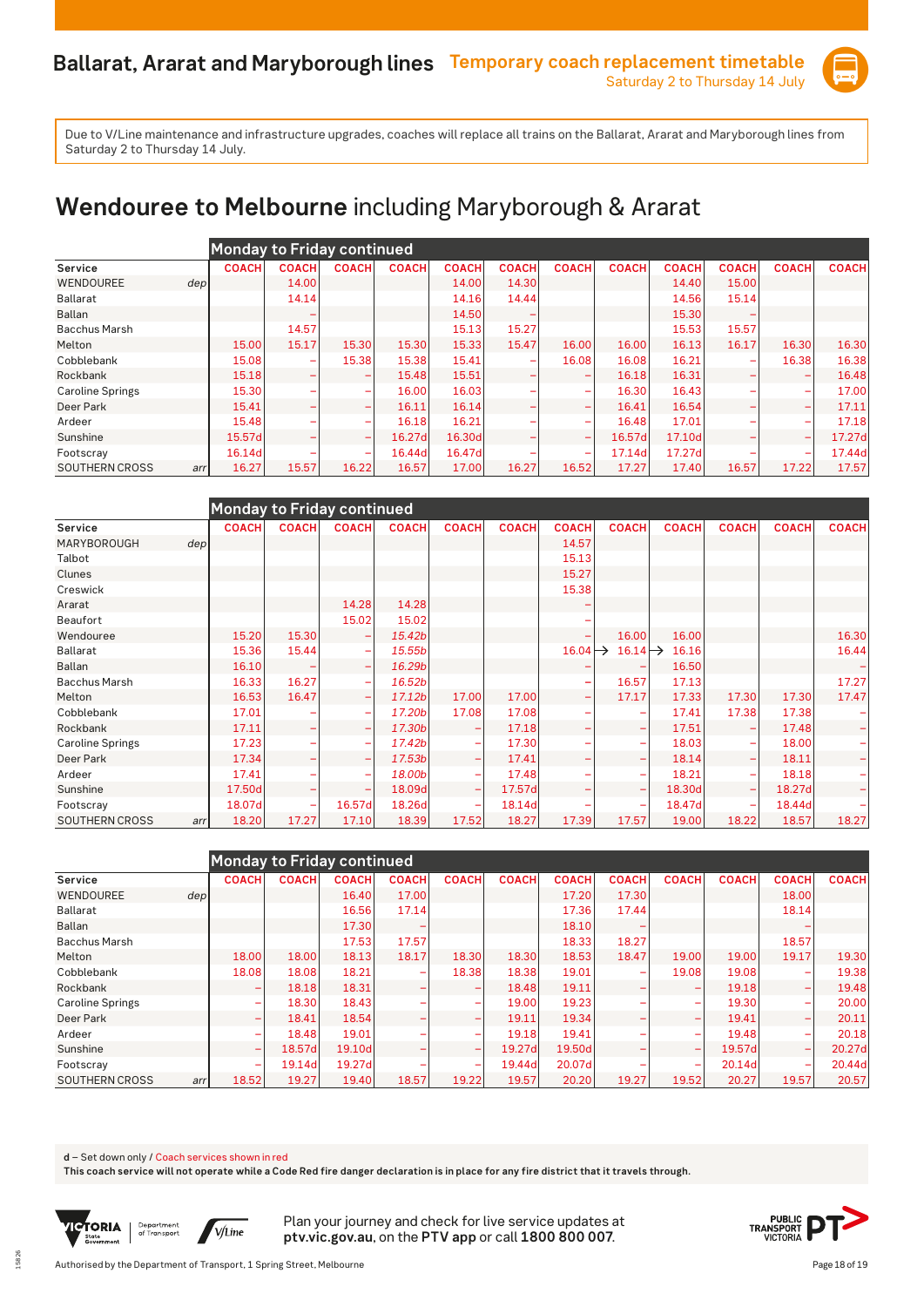

# **Wendouree to Melbourne** including Maryborough & Ararat

|                              |              | <b>Monday to Friday continued</b> |                              |              |              |              |                          |              |              |              |              |              |
|------------------------------|--------------|-----------------------------------|------------------------------|--------------|--------------|--------------|--------------------------|--------------|--------------|--------------|--------------|--------------|
| Service                      | <b>COACH</b> | <b>COACH</b>                      | <b>COACH</b>                 | <b>COACH</b> | <b>COACH</b> | <b>COACH</b> | <b>COACH</b>             | <b>COACH</b> | <b>COACH</b> | <b>COACH</b> | <b>COACH</b> | <b>COACH</b> |
| <b>WENDOUREE</b><br>depl     |              | 14.00                             |                              |              | 14.00        | 14.30        |                          |              | 14.40        | 15.00        |              |              |
| Ballarat                     |              | 14.14                             |                              |              | 14.16        | 14.44        |                          |              | 14.56        | 15.14        |              |              |
| <b>Ballan</b>                |              |                                   |                              |              | 14.50        |              |                          |              | 15.30        |              |              |              |
| <b>Bacchus Marsh</b>         |              | 14.57                             |                              |              | 15.13        | 15.27        |                          |              | 15.53        | 15.57        |              |              |
| Melton                       | 15.00        | 15.17                             | 15.30                        | 15.30        | 15.33        | 15.47        | 16.00                    | 16.00        | 16.13        | 16.17        | 16.30        | 16.30        |
| Cobblebank                   | 15.08        |                                   | 15.38                        | 15.38        | 15.41        |              | 16.08                    | 16.08        | 16.21        |              | 16.38        | 16.38        |
| Rockbank                     | 15.18        |                                   | $\qquad \qquad \blacksquare$ | 15.48        | 15.51        |              |                          | 16.18        | 16.31        |              |              | 16.48        |
| <b>Caroline Springs</b>      | 15.30        |                                   | $\overline{\phantom{a}}$     | 16.00        | 16.03        |              | $\overline{\phantom{a}}$ | 16.30        | 16.43        |              |              | 17.00        |
| Deer Park                    | 15.41        |                                   | $\overline{\phantom{0}}$     | 16.11        | 16.14        |              |                          | 16.41        | 16.54        |              |              | 17.11        |
| Ardeer                       | 15.48        |                                   | $\overline{\phantom{0}}$     | 16.18        | 16.21        |              |                          | 16.48        | 17.01        |              |              | 17.18        |
| Sunshine                     | 15.57d       |                                   | $\overline{\phantom{0}}$     | 16.27d       | 16.30d       |              | $\overline{\phantom{0}}$ | 16.57d       | 17.10d       |              | -            | 17.27d       |
| Footscray                    | 16.14d       |                                   | $\overline{\phantom{a}}$     | 16.44d       | 16.47d       |              | $\overline{\phantom{a}}$ | 17.14d       | 17.27d       |              | -            | 17.44d       |
| <b>SOUTHERN CROSS</b><br>arr | 16.27        | 15.57                             | 16.22                        | 16.57        | 17.00        | 16.27        | 16.52                    | 17.27        | 17.40        | 16.57        | 17.22        | 17.57        |

|                         |     | <b>Monday to Friday continued</b> |              |                          |              |                          |              |              |                                       |              |              |              |              |
|-------------------------|-----|-----------------------------------|--------------|--------------------------|--------------|--------------------------|--------------|--------------|---------------------------------------|--------------|--------------|--------------|--------------|
| Service                 |     | <b>COACH</b>                      | <b>COACH</b> | <b>COACH</b>             | <b>COACH</b> | <b>COACH</b>             | <b>COACH</b> | <b>COACH</b> | <b>COACH</b>                          | <b>COACH</b> | <b>COACH</b> | <b>COACH</b> | <b>COACH</b> |
| MARYBOROUGH             | dep |                                   |              |                          |              |                          |              | 14.57        |                                       |              |              |              |              |
| Talbot                  |     |                                   |              |                          |              |                          |              | 15.13        |                                       |              |              |              |              |
| Clunes                  |     |                                   |              |                          |              |                          |              | 15.27        |                                       |              |              |              |              |
| Creswick                |     |                                   |              |                          |              |                          |              | 15.38        |                                       |              |              |              |              |
| Ararat                  |     |                                   |              | 14.28                    | 14.28        |                          |              |              |                                       |              |              |              |              |
| Beaufort                |     |                                   |              | 15.02                    | 15.02        |                          |              |              |                                       |              |              |              |              |
| Wendouree               |     | 15.20                             | 15.30        | ۰                        | 15.42b       |                          |              |              | 16.00                                 | 16.00        |              |              | 16.30        |
| Ballarat                |     | 15.36                             | 15.44        | $\overline{\phantom{m}}$ | 15.55b       |                          |              |              | $16.04 \rightarrow 16.14 \rightarrow$ | 16.16        |              |              | 16.44        |
| <b>Ballan</b>           |     | 16.10                             |              | $\overline{\phantom{0}}$ | 16.29b       |                          |              |              |                                       | 16.50        |              |              |              |
| <b>Bacchus Marsh</b>    |     | 16.33                             | 16.27        | $\overline{\phantom{0}}$ | 16.52b       |                          |              |              | 16.57                                 | 17.13        |              |              | 17.27        |
| Melton                  |     | 16.53                             | 16.47        | $\overline{\phantom{0}}$ | 17.12b       | 17.00                    | 17.00        |              | 17.17                                 | 17.33        | 17.30        | 17.30        | 17.47        |
| Cobblebank              |     | 17.01                             |              | $\overline{\phantom{a}}$ | 17.20b       | 17.08                    | 17.08        |              |                                       | 17.41        | 17.38        | 17.38        |              |
| Rockbank                |     | 17.11                             |              | ÷                        | 17.30b       | $\overline{\phantom{0}}$ | 17.18        |              |                                       | 17.51        |              | 17.48        |              |
| <b>Caroline Springs</b> |     | 17.23                             |              | $\overline{\phantom{0}}$ | 17.42b       | <b>-</b>                 | 17.30        |              | -                                     | 18.03        |              | 18.00        |              |
| Deer Park               |     | 17.34                             |              | $\overline{\phantom{0}}$ | 17.53b       | $\overline{\phantom{a}}$ | 17.41        |              |                                       | 18.14        | -            | 18.11        |              |
| Ardeer                  |     | 17.41                             |              | ۰                        | 18.00b       | <b>-</b>                 | 17.48        |              | -                                     | 18.21        |              | 18.18        |              |
| Sunshine                |     | 17.50d                            |              | ۰                        | 18.09d       | $\overline{\phantom{a}}$ | 17.57d       |              |                                       | 18.30d       |              | 18.27d       |              |
| Footscray               |     | 18.07d                            |              | 16.57d                   | 18.26d       |                          | 18.14d       |              |                                       | 18.47d       |              | 18.44d       |              |
| <b>SOUTHERN CROSS</b>   | arr | 18.20                             | 17.27        | 17.10                    | 18.39        | 17.52                    | 18.27        | 17.39        | 17.57                                 | 19.00        | 18.22        | 18.57        | 18.27        |

|                         |              | <b>Monday to Friday continued</b> |              |                          |                          |              |              |              |                          |              |              |              |
|-------------------------|--------------|-----------------------------------|--------------|--------------------------|--------------------------|--------------|--------------|--------------|--------------------------|--------------|--------------|--------------|
| Service                 | <b>COACH</b> | <b>COACH</b>                      | <b>COACH</b> | <b>COACH</b>             | <b>COACH</b>             | <b>COACH</b> | <b>COACH</b> | <b>COACH</b> | <b>COACH</b>             | <b>COACH</b> | <b>COACH</b> | <b>COACH</b> |
| <b>WENDOUREE</b>        | dep          |                                   | 16.40        | 17.00                    |                          |              | 17.20        | 17.30        |                          |              | 18.00        |              |
| Ballarat                |              |                                   | 16.56        | 17.14                    |                          |              | 17.36        | 17.44        |                          |              | 18.14        |              |
| <b>Ballan</b>           |              |                                   | 17.30        |                          |                          |              | 18.10        |              |                          |              |              |              |
| <b>Bacchus Marsh</b>    |              |                                   | 17.53        | 17.57                    |                          |              | 18.33        | 18.27        |                          |              | 18.57        |              |
| Melton                  | 18.00        | 18.00                             | 18.13        | 18.17                    | 18.30                    | 18.30        | 18.53        | 18.47        | 19.00                    | 19.00        | 19.17        | 19.30        |
| Cobblebank              | 18.08        | 18.08                             | 18.21        | $\overline{\phantom{a}}$ | 18.38                    | 18.38        | 19.01        | -            | 19.08                    | 19.08        |              | 19.38        |
| Rockbank                | -            | 18.18                             | 18.31        |                          | $\overline{\phantom{0}}$ | 18.48        | 19.11        |              | $\overline{\phantom{a}}$ | 19.18        |              | 19.48        |
| <b>Caroline Springs</b> | -            | 18.30                             | 18.43        |                          | $\overline{\phantom{a}}$ | 19.00        | 19.23        |              | $\overline{\phantom{a}}$ | 19.30        |              | 20.00        |
| Deer Park               | ۰            | 18.41                             | 18.54        |                          | $\overline{\phantom{a}}$ | 19.11        | 19.34        |              | $\overline{\phantom{a}}$ | 19.41        |              | 20.11        |
| Ardeer                  | ۳            | 18.48                             | 19.01        |                          | $\overline{\phantom{0}}$ | 19.18        | 19.41        |              |                          | 19.48        |              | 20.18        |
| Sunshine                | ۰            | 18.57dl                           | 19.10d       |                          | <b>-</b>                 | 19.27dl      | 19.50d       |              | $\overline{\phantom{a}}$ | 19.57d       |              | 20.27d       |
| Footscray               | ۰            | 19.14d                            | 19.27d       |                          | ۰                        | 19.44d       | 20.07d       |              | $\overline{\phantom{a}}$ | 20.14d       |              | 20.44d       |
| <b>SOUTHERN CROSS</b>   | 18.52<br>arr | 19.27                             | 19.40        | 18.57                    | 19.22                    | 19.57        | 20.20        | 19.27        | 19.52                    | 20.27        | 19.57        | 20.57        |

**d** – Set down only / Coach services shown in red

**This coach service will not operate while a Code Red fire danger declaration is in place for any fire district that it travels through.**



15826